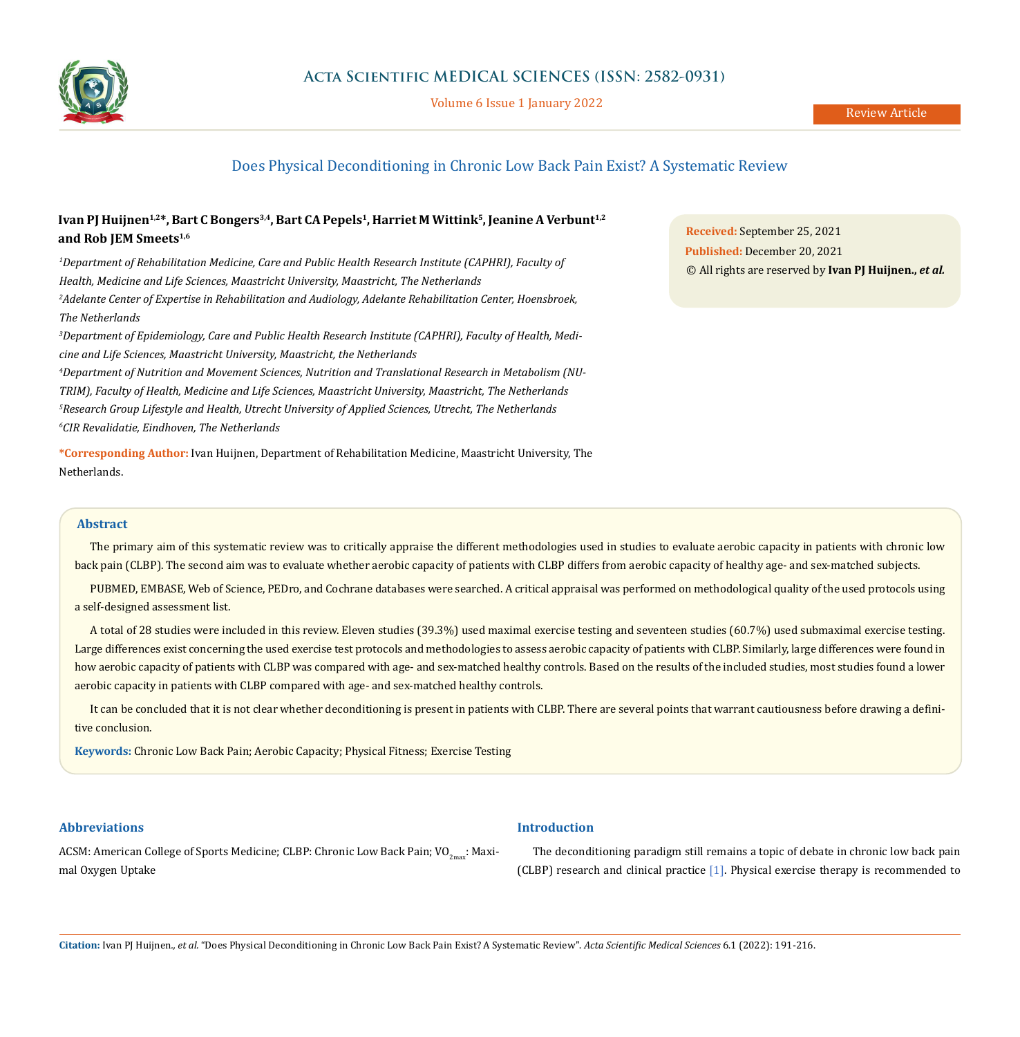

Volume 6 Issue 1 January 2022

# Does Physical Deconditioning in Chronic Low Back Pain Exist? A Systematic Review

# Ivan PJ Huijnen<sup>1,2\*</sup>, Bart C Bongers<sup>3,4</sup>, Bart CA Pepels<sup>1</sup>, Harriet M Wittink<sup>5</sup>, Jeanine A Verbunt<sup>1,2</sup> **and Rob JEM Smeets1,6**

*1 Department of Rehabilitation Medicine, Care and Public Health Research Institute (CAPHRI), Faculty of Health, Medicine and Life Sciences, Maastricht University, Maastricht, The Netherlands 2 Adelante Center of Expertise in Rehabilitation and Audiology, Adelante Rehabilitation Center, Hoensbroek, The Netherlands*

*3 Department of Epidemiology, Care and Public Health Research Institute (CAPHRI), Faculty of Health, Medicine and Life Sciences, Maastricht University, Maastricht, the Netherlands*

 *Department of Nutrition and Movement Sciences, Nutrition and Translational Research in Metabolism (NU-TRIM), Faculty of Health, Medicine and Life Sciences, Maastricht University, Maastricht, The Netherlands Research Group Lifestyle and Health, Utrecht University of Applied Sciences, Utrecht, The Netherlands CIR Revalidatie, Eindhoven, The Netherlands*

**\*Corresponding Author:** Ivan Huijnen, Department of Rehabilitation Medicine, Maastricht University, The Netherlands.

**Received:** September 25, 2021 **Published:** December 20, 2021 © All rights are reserved by **Ivan PJ Huijnen.,** *et al.*

### **Abstract**

The primary aim of this systematic review was to critically appraise the different methodologies used in studies to evaluate aerobic capacity in patients with chronic low back pain (CLBP). The second aim was to evaluate whether aerobic capacity of patients with CLBP differs from aerobic capacity of healthy age- and sex-matched subjects.

PUBMED, EMBASE, Web of Science, PEDro, and Cochrane databases were searched. A critical appraisal was performed on methodological quality of the used protocols using a self-designed assessment list.

A total of 28 studies were included in this review. Eleven studies (39.3%) used maximal exercise testing and seventeen studies (60.7%) used submaximal exercise testing. Large differences exist concerning the used exercise test protocols and methodologies to assess aerobic capacity of patients with CLBP. Similarly, large differences were found in how aerobic capacity of patients with CLBP was compared with age- and sex-matched healthy controls. Based on the results of the included studies, most studies found a lower aerobic capacity in patients with CLBP compared with age- and sex-matched healthy controls.

It can be concluded that it is not clear whether deconditioning is present in patients with CLBP. There are several points that warrant cautiousness before drawing a definitive conclusion.

**Introduction**

**Keywords:** Chronic Low Back Pain; Aerobic Capacity; Physical Fitness; Exercise Testing

# **Abbreviations**

# ACSM: American College of Sports Medicine; CLBP: Chronic Low Back Pain;  $VO_{2\text{max}}$ : Maximal Oxygen Uptake

# The deconditioning paradigm still remains a topic of debate in chronic low back pain

(CLBP) research and clinical practice [1]. Physical exercise therapy is recommended to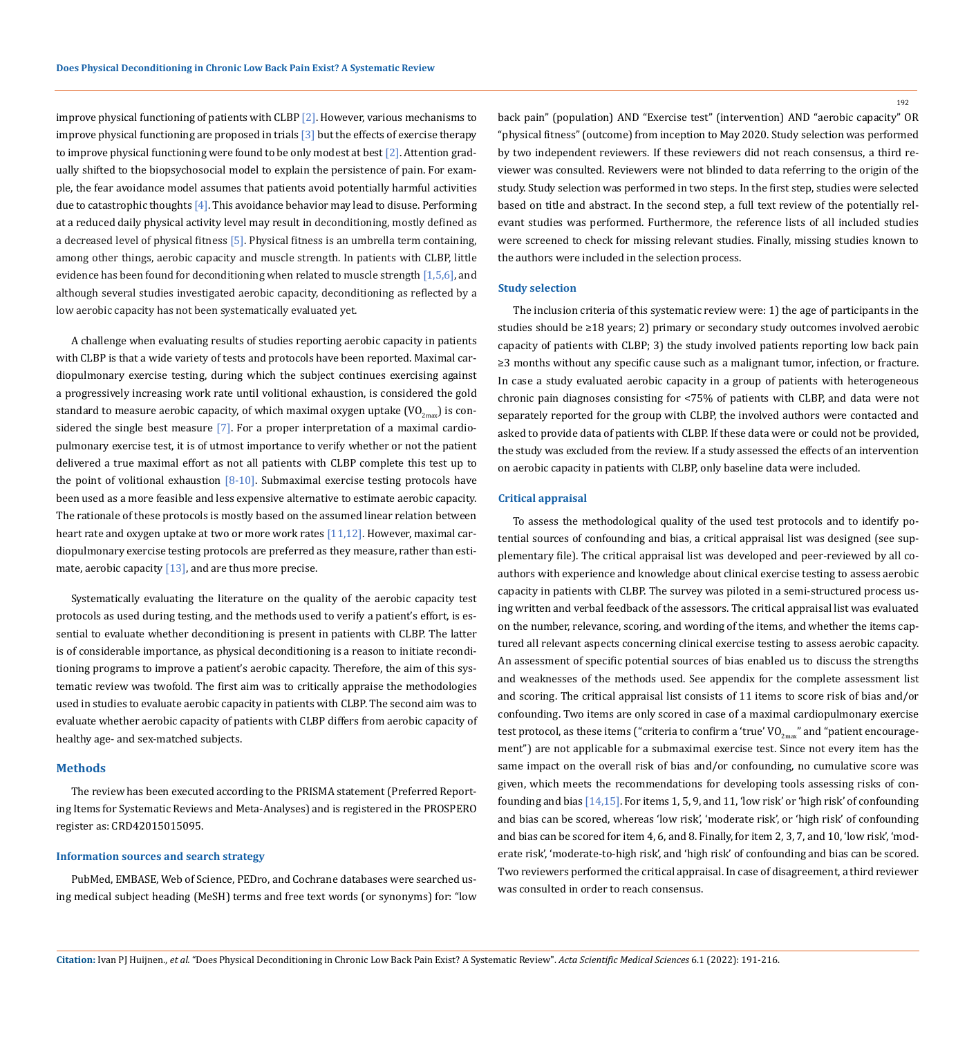improve physical functioning of patients with CLBP [2]. However, various mechanisms to improve physical functioning are proposed in trials [3] but the effects of exercise therapy to improve physical functioning were found to be only modest at best [2]. Attention gradually shifted to the biopsychosocial model to explain the persistence of pain. For example, the fear avoidance model assumes that patients avoid potentially harmful activities due to catastrophic thoughts  $[4]$ . This avoidance behavior may lead to disuse. Performing at a reduced daily physical activity level may result in deconditioning, mostly defined as a decreased level of physical fitness [5]. Physical fitness is an umbrella term containing, among other things, aerobic capacity and muscle strength. In patients with CLBP, little evidence has been found for deconditioning when related to muscle strength [1,5,6], and although several studies investigated aerobic capacity, deconditioning as reflected by a low aerobic capacity has not been systematically evaluated yet.

A challenge when evaluating results of studies reporting aerobic capacity in patients with CLBP is that a wide variety of tests and protocols have been reported. Maximal cardiopulmonary exercise testing, during which the subject continues exercising against a progressively increasing work rate until volitional exhaustion, is considered the gold standard to measure aerobic capacity, of which maximal oxygen uptake  $(VO_{2m}S)$  is considered the single best measure [7]. For a proper interpretation of a maximal cardiopulmonary exercise test, it is of utmost importance to verify whether or not the patient delivered a true maximal effort as not all patients with CLBP complete this test up to the point of volitional exhaustion  $[8-10]$ . Submaximal exercise testing protocols have been used as a more feasible and less expensive alternative to estimate aerobic capacity. The rationale of these protocols is mostly based on the assumed linear relation between heart rate and oxygen uptake at two or more work rates [11,12]. However, maximal cardiopulmonary exercise testing protocols are preferred as they measure, rather than estimate, aerobic capacity  $[13]$ , and are thus more precise.

Systematically evaluating the literature on the quality of the aerobic capacity test protocols as used during testing, and the methods used to verify a patient's effort, is essential to evaluate whether deconditioning is present in patients with CLBP. The latter is of considerable importance, as physical deconditioning is a reason to initiate reconditioning programs to improve a patient's aerobic capacity. Therefore, the aim of this systematic review was twofold. The first aim was to critically appraise the methodologies used in studies to evaluate aerobic capacity in patients with CLBP. The second aim was to evaluate whether aerobic capacity of patients with CLBP differs from aerobic capacity of healthy age- and sex-matched subjects.

### **Methods**

The review has been executed according to the PRISMA statement (Preferred Reporting Items for Systematic Reviews and Meta-Analyses) and is registered in the PROSPERO register as: CRD42015015095.

#### **Information sources and search strategy**

PubMed, EMBASE, Web of Science, PEDro, and Cochrane databases were searched using medical subject heading (MeSH) terms and free text words (or synonyms) for: "low back pain" (population) AND "Exercise test" (intervention) AND "aerobic capacity" OR "physical fitness" (outcome) from inception to May 2020. Study selection was performed by two independent reviewers. If these reviewers did not reach consensus, a third reviewer was consulted. Reviewers were not blinded to data referring to the origin of the study. Study selection was performed in two steps. In the first step, studies were selected based on title and abstract. In the second step, a full text review of the potentially relevant studies was performed. Furthermore, the reference lists of all included studies were screened to check for missing relevant studies. Finally, missing studies known to the authors were included in the selection process.

### **Study selection**

The inclusion criteria of this systematic review were: 1) the age of participants in the studies should be ≥18 years; 2) primary or secondary study outcomes involved aerobic capacity of patients with CLBP; 3) the study involved patients reporting low back pain ≥3 months without any specific cause such as a malignant tumor, infection, or fracture. In case a study evaluated aerobic capacity in a group of patients with heterogeneous chronic pain diagnoses consisting for <75% of patients with CLBP, and data were not separately reported for the group with CLBP, the involved authors were contacted and asked to provide data of patients with CLBP. If these data were or could not be provided, the study was excluded from the review. If a study assessed the effects of an intervention on aerobic capacity in patients with CLBP, only baseline data were included.

# **Critical appraisal**

To assess the methodological quality of the used test protocols and to identify potential sources of confounding and bias, a critical appraisal list was designed (see supplementary file). The critical appraisal list was developed and peer-reviewed by all coauthors with experience and knowledge about clinical exercise testing to assess aerobic capacity in patients with CLBP. The survey was piloted in a semi-structured process using written and verbal feedback of the assessors. The critical appraisal list was evaluated on the number, relevance, scoring, and wording of the items, and whether the items captured all relevant aspects concerning clinical exercise testing to assess aerobic capacity. An assessment of specific potential sources of bias enabled us to discuss the strengths and weaknesses of the methods used. See appendix for the complete assessment list and scoring. The critical appraisal list consists of 11 items to score risk of bias and/or confounding. Two items are only scored in case of a maximal cardiopulmonary exercise test protocol, as these items ("criteria to confirm a 'true'  $\rm VO_{2max}$ " and "patient encouragement") are not applicable for a submaximal exercise test. Since not every item has the same impact on the overall risk of bias and/or confounding, no cumulative score was given, which meets the recommendations for developing tools assessing risks of confounding and bias [14,15]. For items 1, 5, 9, and 11, 'low risk' or 'high risk' of confounding and bias can be scored, whereas 'low risk', 'moderate risk', or 'high risk' of confounding and bias can be scored for item 4, 6, and 8. Finally, for item 2, 3, 7, and 10, 'low risk', 'moderate risk', 'moderate-to-high risk', and 'high risk' of confounding and bias can be scored. Two reviewers performed the critical appraisal. In case of disagreement, a third reviewer was consulted in order to reach consensus.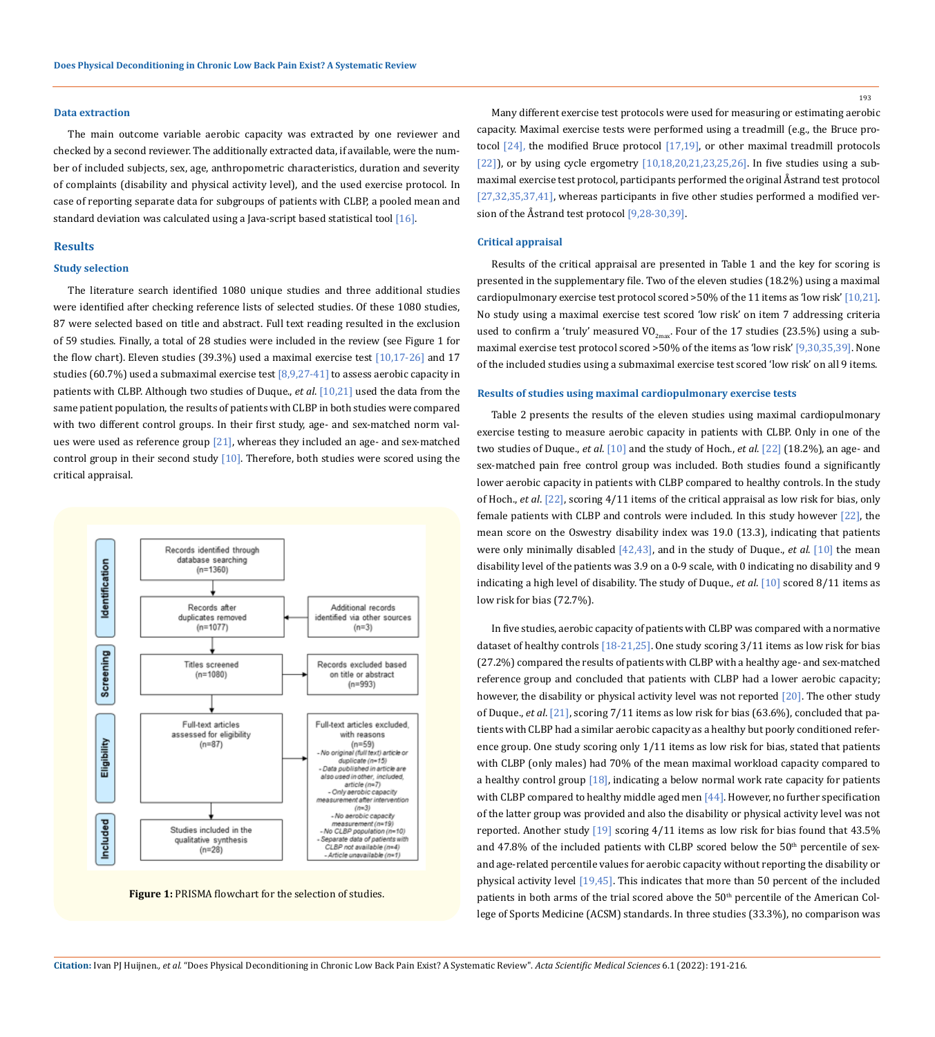#### **Data extraction**

The main outcome variable aerobic capacity was extracted by one reviewer and checked by a second reviewer. The additionally extracted data, if available, were the number of included subjects, sex, age, anthropometric characteristics, duration and severity of complaints (disability and physical activity level), and the used exercise protocol. In case of reporting separate data for subgroups of patients with CLBP, a pooled mean and standard deviation was calculated using a Java-script based statistical tool [16].

### **Results**

### **Study selection**

The literature search identified 1080 unique studies and three additional studies were identified after checking reference lists of selected studies. Of these 1080 studies, 87 were selected based on title and abstract. Full text reading resulted in the exclusion of 59 studies. Finally, a total of 28 studies were included in the review (see Figure 1 for the flow chart). Eleven studies (39.3%) used a maximal exercise test [10,17-26] and 17 studies (60.7%) used a submaximal exercise test [8,9,27-41] to assess aerobic capacity in patients with CLBP. Although two studies of Duque., *et al*. [10,21] used the data from the same patient population, the results of patients with CLBP in both studies were compared with two different control groups. In their first study, age- and sex-matched norm values were used as reference group [21], whereas they included an age- and sex-matched control group in their second study [10]. Therefore, both studies were scored using the critical appraisal.



Figure 1: PRISMA flowchart for the selection of studies.

193

Many different exercise test protocols were used for measuring or estimating aerobic capacity. Maximal exercise tests were performed using a treadmill (e.g., the Bruce protocol [24], the modified Bruce protocol [17,19], or other maximal treadmill protocols [22]), or by using cycle ergometry  $[10,18,20,21,23,25,26]$ . In five studies using a submaximal exercise test protocol, participants performed the original Åstrand test protocol [27,32,35,37,41], whereas participants in five other studies performed a modified version of the Åstrand test protocol [9,28-30,39].

### **Critical appraisal**

Results of the critical appraisal are presented in Table 1 and the key for scoring is presented in the supplementary file. Two of the eleven studies (18.2%) using a maximal cardiopulmonary exercise test protocol scored >50% of the 11 items as 'low risk' [10,21]. No study using a maximal exercise test scored 'low risk' on item 7 addressing criteria used to confirm a 'truly' measured VO<sub>2max</sub>. Four of the 17 studies (23.5%) using a submaximal exercise test protocol scored >50% of the items as 'low risk' [9,30,35,39]. None of the included studies using a submaximal exercise test scored 'low risk' on all 9 items.

#### **Results of studies using maximal cardiopulmonary exercise tests**

Table 2 presents the results of the eleven studies using maximal cardiopulmonary exercise testing to measure aerobic capacity in patients with CLBP. Only in one of the two studies of Duque., *et al*. [10] and the study of Hoch., *et al*. [22] (18.2%), an age- and sex-matched pain free control group was included. Both studies found a significantly lower aerobic capacity in patients with CLBP compared to healthy controls. In the study of Hoch., *et al*. [22], scoring 4/11 items of the critical appraisal as low risk for bias, only female patients with CLBP and controls were included. In this study however [22], the mean score on the Oswestry disability index was 19.0 (13.3), indicating that patients were only minimally disabled [42,43], and in the study of Duque., *et al*. [10] the mean disability level of the patients was 3.9 on a 0-9 scale, with 0 indicating no disability and 9 indicating a high level of disability. The study of Duque., *et al*. [10] scored 8/11 items as low risk for bias (72.7%).

In five studies, aerobic capacity of patients with CLBP was compared with a normative dataset of healthy controls  $[18-21,25]$ . One study scoring  $3/11$  items as low risk for bias (27.2%) compared the results of patients with CLBP with a healthy age- and sex-matched reference group and concluded that patients with CLBP had a lower aerobic capacity; however, the disability or physical activity level was not reported [20]. The other study of Duque., *et al*. [21], scoring 7/11 items as low risk for bias (63.6%), concluded that patients with CLBP had a similar aerobic capacity as a healthy but poorly conditioned reference group. One study scoring only 1/11 items as low risk for bias, stated that patients with CLBP (only males) had 70% of the mean maximal workload capacity compared to a healthy control group [18], indicating a below normal work rate capacity for patients with CLBP compared to healthy middle aged men [44]. However, no further specification of the latter group was provided and also the disability or physical activity level was not reported. Another study  $[19]$  scoring  $4/11$  items as low risk for bias found that  $43.5\%$ and 47.8% of the included patients with CLBP scored below the  $50<sup>th</sup>$  percentile of sexand age-related percentile values for aerobic capacity without reporting the disability or physical activity level [19,45]. This indicates that more than 50 percent of the included patients in both arms of the trial scored above the 50<sup>th</sup> percentile of the American College of Sports Medicine (ACSM) standards. In three studies (33.3%), no comparison was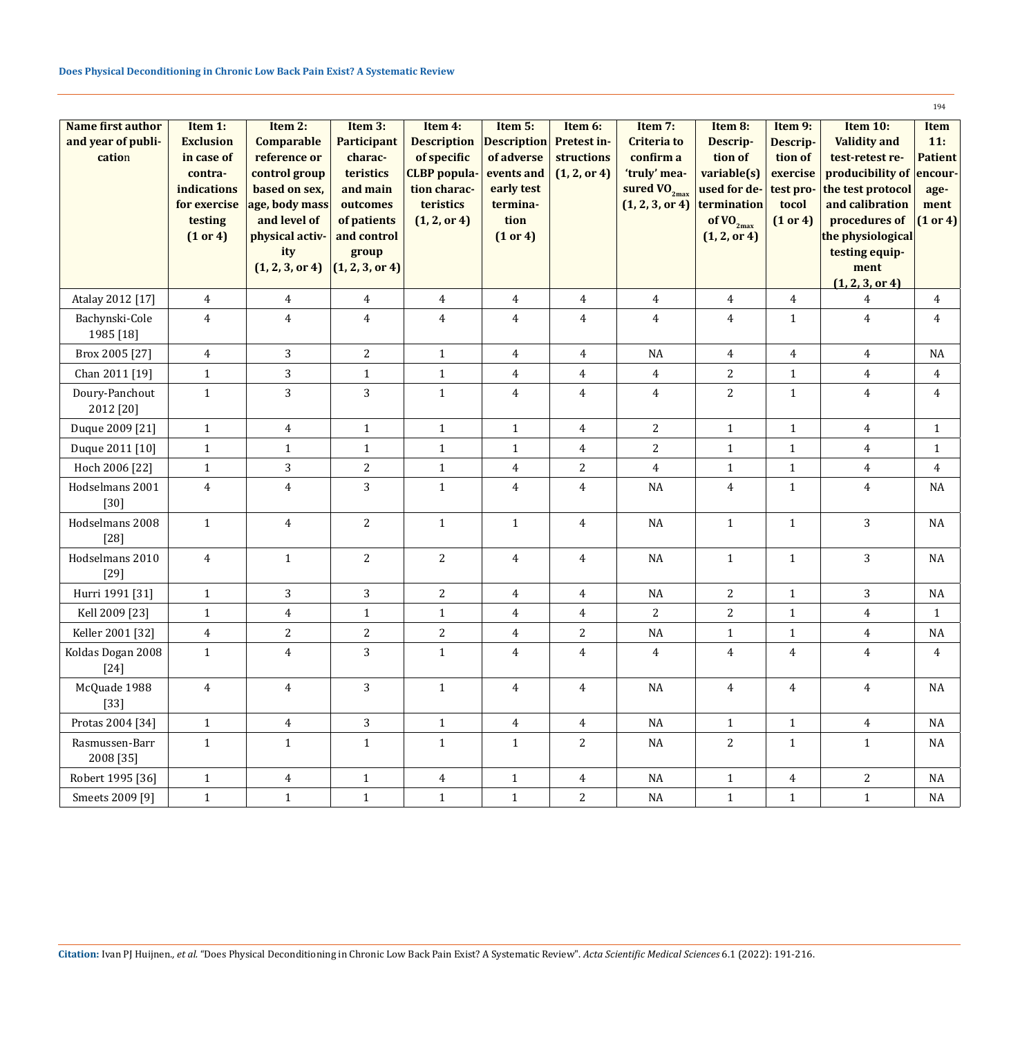|                             |                        |                                |                       |                                     |                          |                |                                      |                             |                       |                                       | 194            |
|-----------------------------|------------------------|--------------------------------|-----------------------|-------------------------------------|--------------------------|----------------|--------------------------------------|-----------------------------|-----------------------|---------------------------------------|----------------|
| Name first author           | Item 1:                | Item $2:$                      | Item 3:               | Item 4:                             | Item 5:                  | Item 6:        | Item 7:                              | Item 8:                     | Item 9:               | Item 10:                              | Item           |
| and year of publi-          | <b>Exclusion</b>       | Comparable                     | <b>Participant</b>    | <b>Description</b>                  | <b>Description</b>       | Pretest in-    | <b>Criteria to</b>                   | Descrip-                    | Descrip-              | <b>Validity and</b>                   | 11:            |
| cation                      | in case of             | reference or                   | charac-               | of specific                         | of adverse               | structions     | confirm a                            | tion of                     | tion of               | test-retest re-                       | <b>Patient</b> |
|                             | contra-<br>indications | control group<br>based on sex, | teristics<br>and main | <b>CLBP</b> popula-<br>tion charac- | events and<br>early test | (1, 2, or 4)   | 'truly' mea-                         | variable(s)<br>used for de- | exercise<br>test pro- | producibility of<br>the test protocol | encour-        |
|                             | for exercise           | age, body mass                 | outcomes              | teristics                           | termina-                 |                | sured $VO_{2max}$<br>(1, 2, 3, or 4) | termination                 | tocol                 | and calibration                       | age-<br>ment   |
|                             | testing                | and level of                   | of patients           | (1, 2, or 4)                        | tion                     |                |                                      | of $\overline{VO}_{2max}$   | (1 or 4)              | procedures of                         | (1 or 4)       |
|                             | (1 or 4)               | physical activ-                | and control           |                                     | (1 or 4)                 |                |                                      | (1, 2, or 4)                |                       | the physiological                     |                |
|                             |                        | ity                            | group                 |                                     |                          |                |                                      |                             |                       | testing equip-                        |                |
|                             |                        | (1, 2, 3, or 4)                | (1, 2, 3, or 4)       |                                     |                          |                |                                      |                             |                       | ment                                  |                |
| Atalay 2012 [17]            | $\overline{4}$         | $\overline{4}$                 | $\overline{4}$        | $\overline{4}$                      | $\overline{4}$           | $\overline{4}$ | $\overline{4}$                       | 4                           | $\overline{4}$        | (1, 2, 3, or 4)<br>4                  | 4              |
| Bachynski-Cole              |                        | $\overline{4}$                 | $\pmb{4}$             |                                     |                          |                | $\pmb{4}$                            | $\boldsymbol{4}$            | $\mathbf{1}$          |                                       | 4              |
| 1985 [18]                   | $\overline{4}$         |                                |                       | $\overline{4}$                      | $\overline{4}$           | $\overline{4}$ |                                      |                             |                       | $\overline{4}$                        |                |
| Brox 2005 [27]              | $\overline{4}$         | 3                              | $\sqrt{2}$            | $\mathbf{1}$                        | $\overline{4}$           | $\overline{4}$ | $\rm NA$                             | $\overline{4}$              | $\overline{4}$        | $\overline{4}$                        | NA             |
| Chan 2011 [19]              | $1\,$                  | 3                              | $\mathbf{1}$          | $\mathbf{1}$                        | $\overline{4}$           | $\overline{4}$ | $\overline{4}$                       | $\sqrt{2}$                  | $\mathbf{1}$          | $\overline{4}$                        | $\overline{4}$ |
| Doury-Panchout              | $1\,$                  | 3                              | 3                     | $\mathbf{1}$                        | $\overline{4}$           | $\overline{4}$ | $\overline{4}$                       | $\sqrt{2}$                  | $\mathbf{1}$          | $\overline{4}$                        | $\overline{4}$ |
| 2012 [20]                   |                        |                                |                       |                                     |                          |                |                                      |                             |                       |                                       |                |
| Duque 2009 [21]             | $1\,$                  | $\overline{4}$                 | $\mathbf{1}$          | $\mathbf{1}$                        | $\mathbf{1}$             | $\overline{4}$ | $\sqrt{2}$                           | $\mathbf{1}$                | $\mathbf{1}$          | $\overline{4}$                        | $\mathbf{1}$   |
| Duque 2011 [10]             | $\mathbf{1}$           | $\mathbf{1}$                   | $\mathbf{1}$          | $\mathbf{1}$                        | $\mathbf{1}$             | $\overline{4}$ | $\overline{c}$                       | $\mathbf{1}$                | $\mathbf{1}$          | $\overline{4}$                        | 1              |
| Hoch 2006 [22]              | $1\,$                  | 3                              | $\sqrt{2}$            | $1\,$                               | $\overline{4}$           | $\sqrt{2}$     | $\overline{4}$                       | $\mathbf 1$                 | $\mathbf{1}$          | $\overline{4}$                        | $\overline{4}$ |
| Hodselmans 2001<br>$[30]$   | $\overline{4}$         | $\overline{4}$                 | 3                     | $\mathbf{1}$                        | $\overline{4}$           | $\overline{4}$ | <b>NA</b>                            | $\overline{4}$              | $\mathbf{1}$          | $\overline{4}$                        | NA             |
| Hodselmans 2008<br>$[28]$   | $\mathbf{1}$           | $\overline{4}$                 | $\overline{c}$        | $\mathbf{1}$                        | $\mathbf{1}$             | $\overline{4}$ | NA                                   | $\mathbf{1}$                | $\mathbf{1}$          | 3                                     | NA             |
| Hodselmans 2010<br>$[29]$   | $\overline{4}$         | $\mathbf{1}$                   | $\overline{2}$        | $\overline{c}$                      | 4                        | $\overline{4}$ | NA                                   | $\mathbf{1}$                | 1                     | 3                                     | NA             |
| Hurri 1991 [31]             | $\mathbf{1}$           | 3                              | 3                     | $\overline{c}$                      | $\overline{4}$           | $\overline{4}$ | <b>NA</b>                            | $\overline{2}$              | $\mathbf{1}$          | 3                                     | $\rm NA$       |
| Kell 2009 [23]              | $\mathbf{1}$           | $\overline{4}$                 | 1                     | $\mathbf{1}$                        | $\overline{4}$           | $\overline{4}$ | $\overline{c}$                       | $\sqrt{2}$                  | $\mathbf{1}$          | $\overline{4}$                        | 1              |
| Keller 2001 [32]            | $\overline{4}$         | $\overline{c}$                 | $\sqrt{2}$            | $\overline{c}$                      | $\overline{4}$           | $\sqrt{2}$     | <b>NA</b>                            | $\mathbf 1$                 | $\mathbf{1}$          | $\overline{4}$                        | NA             |
| Koldas Dogan 2008<br>$[24]$ | $1\,$                  | $\overline{4}$                 | 3                     | $\mathbf{1}$                        | 4                        | $\overline{4}$ | $\overline{4}$                       | $\overline{4}$              | 4                     | $\overline{4}$                        | 4              |
| McQuade 1988<br>$[33]$      | 4                      | $\overline{4}$                 | $\sqrt{3}$            | $\mathbf{1}$                        | $\overline{4}$           | $\overline{4}$ | $\rm NA$                             | $\overline{4}$              | $\overline{4}$        | $\overline{4}$                        | $\rm NA$       |
| Protas 2004 [34]            | $\mathbf{1}$           | $\overline{4}$                 | 3                     | $\mathbf{1}$                        | $\overline{4}$           | $\overline{4}$ | $\rm NA$                             | $\mathbf{1}$                | $\mathbf{1}$          | $\overline{4}$                        | NA             |
| Rasmussen-Barr<br>2008 [35] | $1\,$                  | $\mathbf{1}$                   | $\mathbf 1$           | $\mathbf{1}$                        | $\mathbf{1}$             | $\sqrt{2}$     | $\rm NA$                             | $\overline{2}$              | $\mathbf{1}$          | $\mathbf{1}$                          | $\rm NA$       |
| Robert 1995 [36]            | $1\,$                  | $\overline{4}$                 | $\mathbf{1}$          | $\overline{4}$                      | $\mathbf{1}$             | $\overline{4}$ | NA                                   | $\mathbf{1}$                | $\overline{4}$        | 2                                     | NA             |
| Smeets 2009 [9]             | $\mathbf{1}$           | $\mathbf{1}$                   | $\mathbf{1}$          | $\mathbf{1}$                        | $\mathbf{1}$             | $\overline{a}$ | NA                                   | $\mathbf{1}$                | $\mathbf{1}$          | $\mathbf{1}$                          | NA             |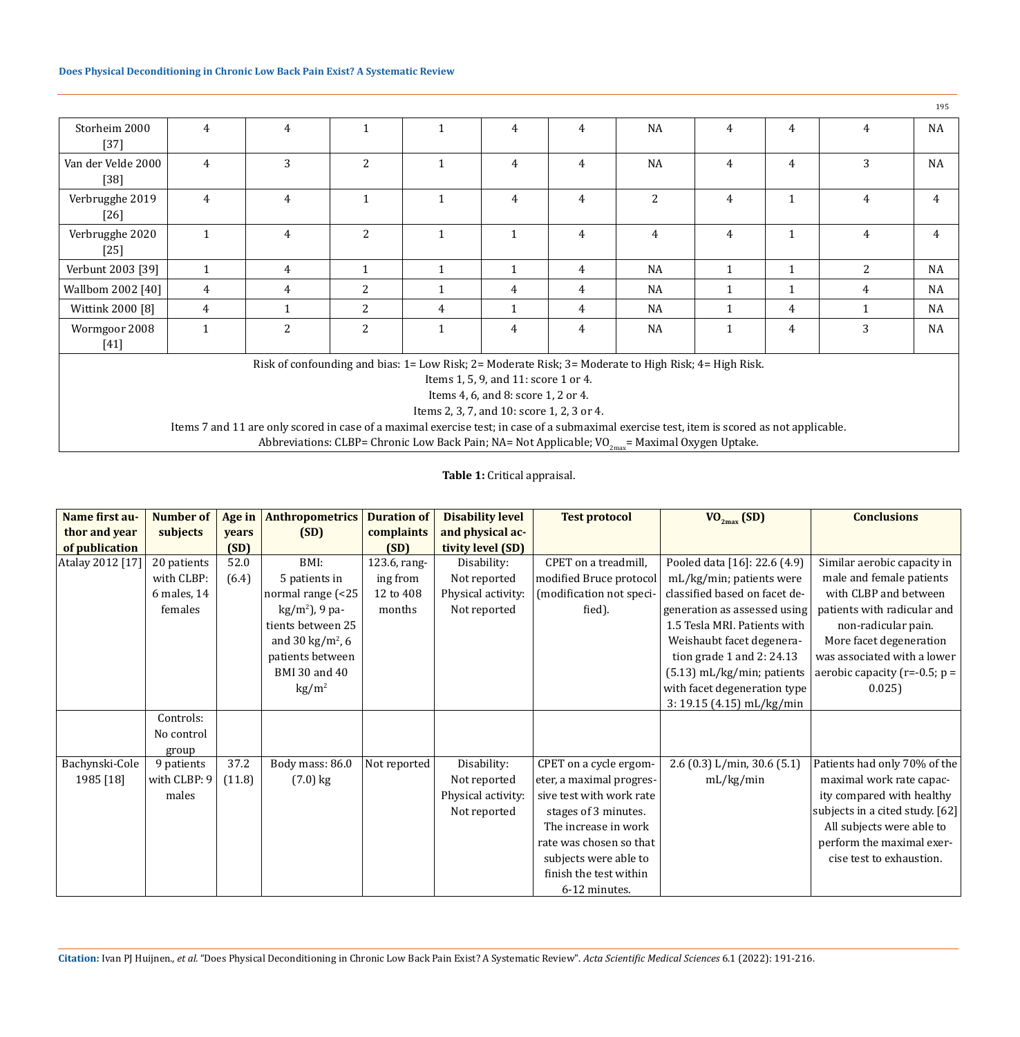|                                                                                                                                             |                                                                                                      |                |                |              |                                      |                |                |                |              |   | 195            |
|---------------------------------------------------------------------------------------------------------------------------------------------|------------------------------------------------------------------------------------------------------|----------------|----------------|--------------|--------------------------------------|----------------|----------------|----------------|--------------|---|----------------|
| Storheim 2000<br>$[37]$                                                                                                                     | $\overline{4}$                                                                                       | $\overline{4}$ | $\mathbf{1}$   |              | $\overline{4}$                       | 4              | NA             | $\overline{4}$ | 4            | 4 | <b>NA</b>      |
| Van der Velde 2000<br>$[38]$                                                                                                                | $\overline{4}$                                                                                       | 3              | $\overline{2}$ | $\mathbf{1}$ | 4                                    | 4              | NA             | 4              | 4            | 3 | <b>NA</b>      |
| Verbrugghe 2019<br>$[26]$                                                                                                                   | $\overline{4}$                                                                                       | $\overline{4}$ | $\mathbf{1}$   | $\mathbf{1}$ | $\overline{4}$                       | 4              | $\overline{2}$ | $\overline{4}$ | $\mathbf{1}$ | 4 | 4              |
| Verbrugghe 2020<br>$[25]$                                                                                                                   | $\mathbf{1}$                                                                                         | 4              | $\overline{2}$ | $\mathbf{1}$ |                                      | 4              | 4              | 4              | 1            | 4 | $\overline{4}$ |
| Verbunt 2003 [39]                                                                                                                           | $\mathbf{1}$                                                                                         | 4              | $\mathbf{1}$   | $\mathbf{1}$ | $\mathbf{1}$                         | 4              | <b>NA</b>      | $\mathbf{1}$   | $\mathbf{1}$ | 2 | NA             |
| Wallbom 2002 [40]                                                                                                                           | 4                                                                                                    | 4              | 2              | $\mathbf{1}$ | 4                                    | 4              | <b>NA</b>      | $\mathbf{1}$   | $\mathbf{1}$ | 4 | <b>NA</b>      |
| Wittink 2000 [8]                                                                                                                            | 4                                                                                                    |                | 2              | 4            | $\mathbf{1}$                         | 4              | <b>NA</b>      | $\mathbf{1}$   | 4            |   | NA             |
| Wormgoor 2008                                                                                                                               | $\mathbf{1}$                                                                                         | 2              | 2              |              | $\overline{4}$                       | $\overline{4}$ | <b>NA</b>      | $\mathbf{1}$   | 4            | 3 | <b>NA</b>      |
| $[41]$                                                                                                                                      |                                                                                                      |                |                |              |                                      |                |                |                |              |   |                |
|                                                                                                                                             | Risk of confounding and bias: 1= Low Risk; 2= Moderate Risk; 3= Moderate to High Risk; 4= High Risk. |                |                |              |                                      |                |                |                |              |   |                |
|                                                                                                                                             |                                                                                                      |                |                |              | Items 1, 5, 9, and 11: score 1 or 4. |                |                |                |              |   |                |
| Items 4, 6, and 8: score 1, 2 or 4.                                                                                                         |                                                                                                      |                |                |              |                                      |                |                |                |              |   |                |
| Items 2, 3, 7, and 10: score 1, 2, 3 or 4.                                                                                                  |                                                                                                      |                |                |              |                                      |                |                |                |              |   |                |
| Items 7 and 11 are only scored in case of a maximal exercise test; in case of a submaximal exercise test, item is scored as not applicable. |                                                                                                      |                |                |              |                                      |                |                |                |              |   |                |
| Abbreviations: CLBP= Chronic Low Back Pain; NA= Not Applicable; $VO_{2max}$ = Maximal Oxygen Uptake.                                        |                                                                                                      |                |                |              |                                      |                |                |                |              |   |                |

**Table 1:** Critical appraisal.

| Name first au-   | Number of     | Age in | <b>Anthropometrics</b>       | <b>Duration of</b> | <b>Disability level</b> | <b>Test protocol</b>     | $VO_{2max}$ (SD)              | <b>Conclusions</b>                 |
|------------------|---------------|--------|------------------------------|--------------------|-------------------------|--------------------------|-------------------------------|------------------------------------|
| thor and year    | subjects      | years  | (SD)                         | complaints         | and physical ac-        |                          |                               |                                    |
| of publication   |               | (SD)   |                              | (SD)               | tivity level (SD)       |                          |                               |                                    |
| Atalay 2012 [17] | 20 patients   | 52.0   | BMI:                         | 123.6, rang-       | Disability:             | CPET on a treadmill,     | Pooled data [16]: 22.6 (4.9)  | Similar aerobic capacity in        |
|                  | with CLBP:    | (6.4)  | 5 patients in                | ing from           | Not reported            | modified Bruce protocol  | mL/kg/min; patients were      | male and female patients           |
|                  | $6$ males, 14 |        | normal range (<25            | 12 to 408          | Physical activity:      | (modification not speci- | classified based on facet de- | with CLBP and between              |
|                  | females       |        | $\text{kg/m}^2$ ), 9 pa-     | months             | Not reported            | fied).                   | generation as assessed using  | patients with radicular and        |
|                  |               |        | tients between 25            |                    |                         |                          | 1.5 Tesla MRI. Patients with  | non-radicular pain.                |
|                  |               |        | and 30 kg/m <sup>2</sup> , 6 |                    |                         |                          | Weishaubt facet degenera-     | More facet degeneration            |
|                  |               |        | patients between             |                    |                         |                          | tion grade 1 and $2: 24.13$   | was associated with a lower        |
|                  |               |        | BMI 30 and 40                |                    |                         |                          | $(5.13)$ mL/kg/min; patients  | aerobic capacity ( $r=-0.5$ ; $p=$ |
|                  |               |        | $\text{kg}/\text{m}^2$       |                    |                         |                          | with facet degeneration type  | 0.025                              |
|                  |               |        |                              |                    |                         |                          | 3: 19.15 (4.15) mL/kg/min     |                                    |
|                  | Controls:     |        |                              |                    |                         |                          |                               |                                    |
|                  | No control    |        |                              |                    |                         |                          |                               |                                    |
|                  | group         |        |                              |                    |                         |                          |                               |                                    |
| Bachynski-Cole   | 9 patients    | 37.2   | Body mass: 86.0              | Not reported       | Disability:             | CPET on a cycle ergom-   | 2.6 (0.3) L/min, 30.6 (5.1)   | Patients had only 70% of the       |
| 1985 [18]        | with CLBP: 9  | (11.8) | $(7.0)$ kg                   |                    | Not reported            | eter, a maximal progres- | mL/kg/min                     | maximal work rate capac-           |
|                  | males         |        |                              |                    | Physical activity:      | sive test with work rate |                               | ity compared with healthy          |
|                  |               |        |                              |                    | Not reported            | stages of 3 minutes.     |                               | subjects in a cited study. [62]    |
|                  |               |        |                              |                    |                         | The increase in work     |                               | All subjects were able to          |
|                  |               |        |                              |                    |                         | rate was chosen so that  |                               | perform the maximal exer-          |
|                  |               |        |                              |                    |                         | subjects were able to    |                               | cise test to exhaustion.           |
|                  |               |        |                              |                    |                         | finish the test within   |                               |                                    |
|                  |               |        |                              |                    |                         | 6-12 minutes.            |                               |                                    |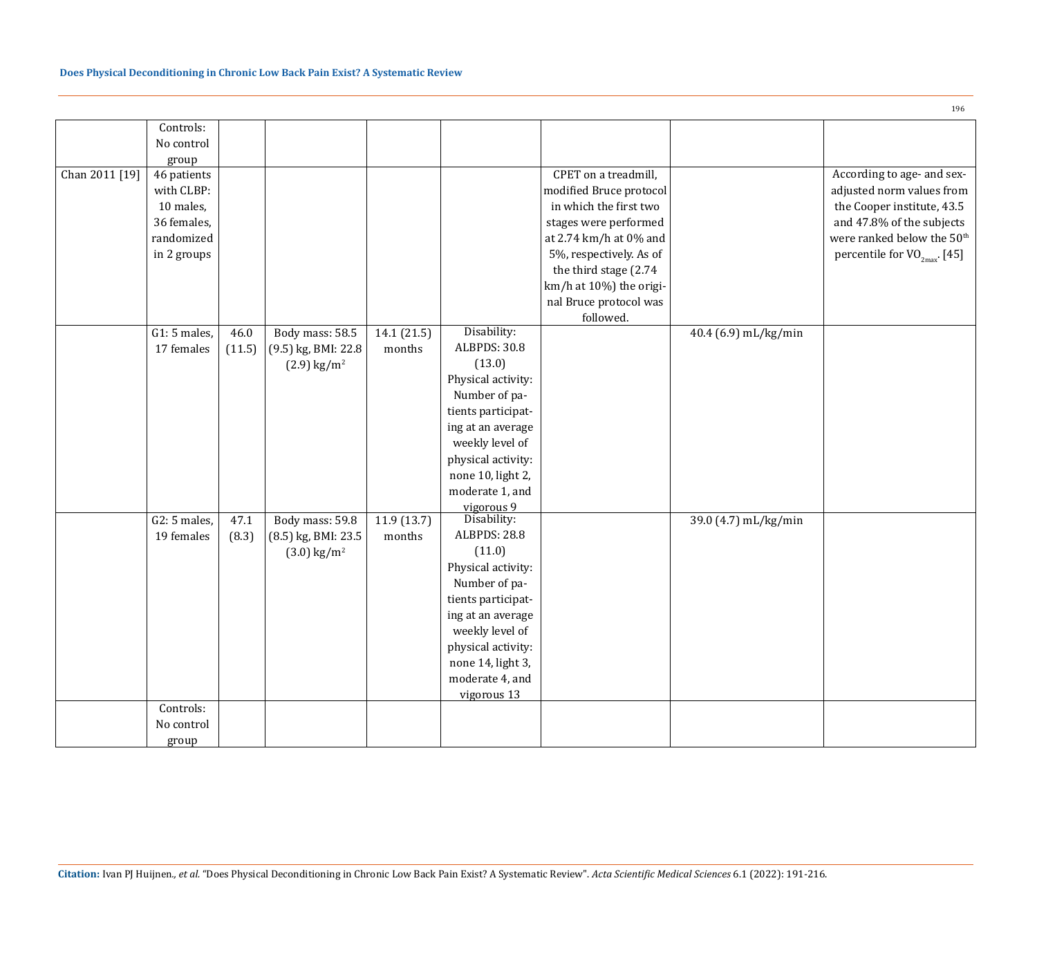|                | Controls:                  |        |                           |             |                    |                         |                      |                                        |
|----------------|----------------------------|--------|---------------------------|-------------|--------------------|-------------------------|----------------------|----------------------------------------|
|                | No control                 |        |                           |             |                    |                         |                      |                                        |
|                | group                      |        |                           |             |                    |                         |                      |                                        |
| Chan 2011 [19] | 46 patients                |        |                           |             |                    | CPET on a treadmill,    |                      | According to age- and sex-             |
|                | with CLBP:                 |        |                           |             |                    | modified Bruce protocol |                      | adjusted norm values from              |
|                | 10 males,                  |        |                           |             |                    | in which the first two  |                      | the Cooper institute, 43.5             |
|                | 36 females,                |        |                           |             |                    | stages were performed   |                      | and 47.8% of the subjects              |
|                | randomized                 |        |                           |             |                    | at 2.74 km/h at 0% and  |                      | were ranked below the 50 <sup>th</sup> |
|                | in 2 groups                |        |                           |             |                    | 5%, respectively. As of |                      | percentile for $VO_{2max}$ . [45]      |
|                |                            |        |                           |             |                    | the third stage (2.74   |                      |                                        |
|                |                            |        |                           |             |                    | km/h at 10%) the origi- |                      |                                        |
|                |                            |        |                           |             |                    | nal Bruce protocol was  |                      |                                        |
|                |                            |        |                           |             |                    | followed.               |                      |                                        |
|                | $\overline{G1}$ : 5 males, | 46.0   | Body mass: 58.5           | 14.1 (21.5) | Disability:        |                         | 40.4 (6.9) mL/kg/min |                                        |
|                | 17 females                 | (11.5) | (9.5) kg, BMI: 22.8       | months      | ALBPDS: 30.8       |                         |                      |                                        |
|                |                            |        | $(2.9)$ kg/m <sup>2</sup> |             | (13.0)             |                         |                      |                                        |
|                |                            |        |                           |             | Physical activity: |                         |                      |                                        |
|                |                            |        |                           |             |                    |                         |                      |                                        |
|                |                            |        |                           |             | Number of pa-      |                         |                      |                                        |
|                |                            |        |                           |             | tients participat- |                         |                      |                                        |
|                |                            |        |                           |             | ing at an average  |                         |                      |                                        |
|                |                            |        |                           |             | weekly level of    |                         |                      |                                        |
|                |                            |        |                           |             | physical activity: |                         |                      |                                        |
|                |                            |        |                           |             | none 10, light 2,  |                         |                      |                                        |
|                |                            |        |                           |             | moderate 1, and    |                         |                      |                                        |
|                |                            |        |                           |             | vigorous 9         |                         |                      |                                        |
|                | $G2:5$ males,              | 47.1   | Body mass: 59.8           | 11.9(13.7)  | Disability:        |                         | 39.0 (4.7) mL/kg/min |                                        |
|                | 19 females                 | (8.3)  | (8.5) kg, BMI: 23.5       | months      | ALBPDS: 28.8       |                         |                      |                                        |
|                |                            |        | $(3.0)$ kg/m <sup>2</sup> |             | (11.0)             |                         |                      |                                        |
|                |                            |        |                           |             | Physical activity: |                         |                      |                                        |
|                |                            |        |                           |             | Number of pa-      |                         |                      |                                        |
|                |                            |        |                           |             | tients participat- |                         |                      |                                        |
|                |                            |        |                           |             | ing at an average  |                         |                      |                                        |
|                |                            |        |                           |             | weekly level of    |                         |                      |                                        |
|                |                            |        |                           |             | physical activity: |                         |                      |                                        |
|                |                            |        |                           |             | none 14, light 3,  |                         |                      |                                        |
|                |                            |        |                           |             | moderate 4, and    |                         |                      |                                        |
|                |                            |        |                           |             | vigorous 13        |                         |                      |                                        |
|                | Controls:                  |        |                           |             |                    |                         |                      |                                        |
|                | No control                 |        |                           |             |                    |                         |                      |                                        |
|                | group                      |        |                           |             |                    |                         |                      |                                        |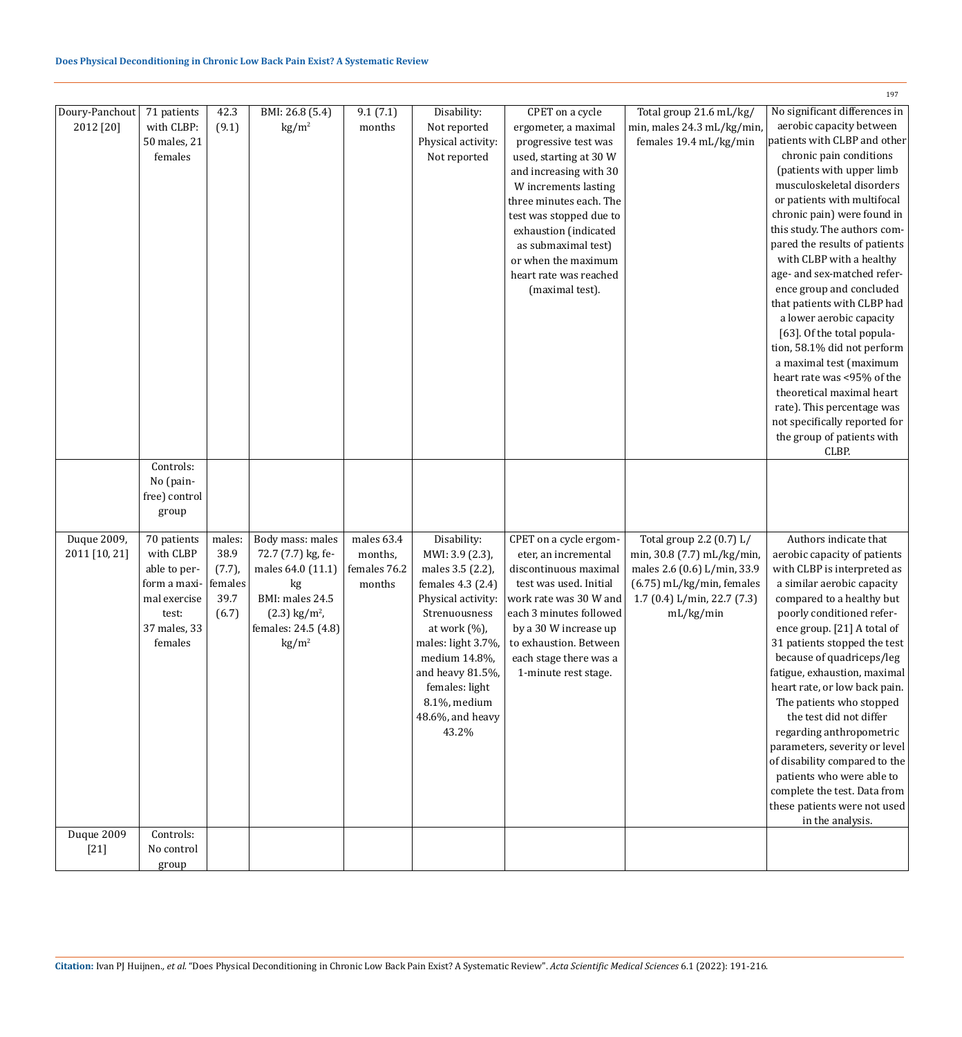|                |               |           |                             |              |                    |                         |                             | 197                           |
|----------------|---------------|-----------|-----------------------------|--------------|--------------------|-------------------------|-----------------------------|-------------------------------|
| Doury-Panchout | 71 patients   | 42.3      | BMI: 26.8 (5.4)             | 9.1(7.1)     | Disability:        | CPET on a cycle         | Total group 21.6 mL/kg/     | No significant differences in |
| 2012 [20]      | with CLBP:    | (9.1)     | $\text{kg/m}^2$             | months       | Not reported       | ergometer, a maximal    | min, males 24.3 mL/kg/min   | aerobic capacity between      |
|                | 50 males, 21  |           |                             |              | Physical activity: | progressive test was    | females 19.4 mL/kg/min      | patients with CLBP and other  |
|                | females       |           |                             |              | Not reported       | used, starting at 30 W  |                             | chronic pain conditions       |
|                |               |           |                             |              |                    | and increasing with 30  |                             | (patients with upper limb     |
|                |               |           |                             |              |                    | W increments lasting    |                             | musculoskeletal disorders     |
|                |               |           |                             |              |                    | three minutes each. The |                             | or patients with multifocal   |
|                |               |           |                             |              |                    | test was stopped due to |                             | chronic pain) were found in   |
|                |               |           |                             |              |                    | exhaustion (indicated   |                             | this study. The authors com-  |
|                |               |           |                             |              |                    | as submaximal test)     |                             | pared the results of patients |
|                |               |           |                             |              |                    | or when the maximum     |                             | with CLBP with a healthy      |
|                |               |           |                             |              |                    | heart rate was reached  |                             | age- and sex-matched refer-   |
|                |               |           |                             |              |                    | (maximal test).         |                             | ence group and concluded      |
|                |               |           |                             |              |                    |                         |                             | that patients with CLBP had   |
|                |               |           |                             |              |                    |                         |                             | a lower aerobic capacity      |
|                |               |           |                             |              |                    |                         |                             | [63]. Of the total popula-    |
|                |               |           |                             |              |                    |                         |                             | tion, 58.1% did not perform   |
|                |               |           |                             |              |                    |                         |                             | a maximal test (maximum       |
|                |               |           |                             |              |                    |                         |                             | heart rate was <95% of the    |
|                |               |           |                             |              |                    |                         |                             | theoretical maximal heart     |
|                |               |           |                             |              |                    |                         |                             | rate). This percentage was    |
|                |               |           |                             |              |                    |                         |                             | not specifically reported for |
|                |               |           |                             |              |                    |                         |                             | the group of patients with    |
|                |               |           |                             |              |                    |                         |                             | CLBP.                         |
|                | Controls:     |           |                             |              |                    |                         |                             |                               |
|                | No (pain-     |           |                             |              |                    |                         |                             |                               |
|                | free) control |           |                             |              |                    |                         |                             |                               |
|                | group         |           |                             |              |                    |                         |                             |                               |
|                |               |           |                             |              |                    |                         |                             |                               |
| Duque 2009,    | 70 patients   | males:    | Body mass: males            | males 63.4   | Disability:        | CPET on a cycle ergom-  | Total group 2.2 (0.7) L/    | Authors indicate that         |
| 2011 [10, 21]  | with CLBP     | 38.9      | 72.7 (7.7) kg, fe-          | months,      | MWI: 3.9 (2.3),    | eter, an incremental    | min, 30.8 (7.7) mL/kg/min,  | aerobic capacity of patients  |
|                | able to per-  | $(7.7)$ , | males 64.0 (11.1)           | females 76.2 | males 3.5 (2.2),   | discontinuous maximal   | males 2.6 (0.6) L/min, 33.9 | with CLBP is interpreted as   |
|                | form a maxi-  | females   | kg                          | months       | females 4.3 (2.4)  | test was used. Initial  | $(6.75)$ mL/kg/min, females | a similar aerobic capacity    |
|                | mal exercise  | 39.7      | BMI: males 24.5             |              | Physical activity: | work rate was 30 W and  | 1.7 (0.4) L/min, 22.7 (7.3) | compared to a healthy but     |
|                | test:         | (6.7)     | $(2.3)$ kg/m <sup>2</sup> , |              | Strenuousness      | each 3 minutes followed | mL/kg/min                   | poorly conditioned refer-     |
|                | 37 males, 33  |           | females: 24.5 (4.8)         |              | at work (%),       | by a 30 W increase up   |                             | ence group. [21] A total of   |
|                | females       |           | $\text{kg/m}^2$             |              | males: light 3.7%, | to exhaustion. Between  |                             | 31 patients stopped the test  |
|                |               |           |                             |              | medium 14.8%,      | each stage there was a  |                             | because of quadriceps/leg     |
|                |               |           |                             |              | and heavy 81.5%,   | 1-minute rest stage.    |                             | fatigue, exhaustion, maximal  |
|                |               |           |                             |              | females: light     |                         |                             | heart rate, or low back pain. |
|                |               |           |                             |              | 8.1%, medium       |                         |                             | The patients who stopped      |
|                |               |           |                             |              | 48.6%, and heavy   |                         |                             | the test did not differ       |
|                |               |           |                             |              | 43.2%              |                         |                             | regarding anthropometric      |
|                |               |           |                             |              |                    |                         |                             | parameters, severity or level |
|                |               |           |                             |              |                    |                         |                             | of disability compared to the |
|                |               |           |                             |              |                    |                         |                             | patients who were able to     |
|                |               |           |                             |              |                    |                         |                             | complete the test. Data from  |
|                |               |           |                             |              |                    |                         |                             | these patients were not used  |
|                |               |           |                             |              |                    |                         |                             | in the analysis.              |
| Duque 2009     | Controls:     |           |                             |              |                    |                         |                             |                               |
| $[21]$         | No control    |           |                             |              |                    |                         |                             |                               |
|                | group         |           |                             |              |                    |                         |                             |                               |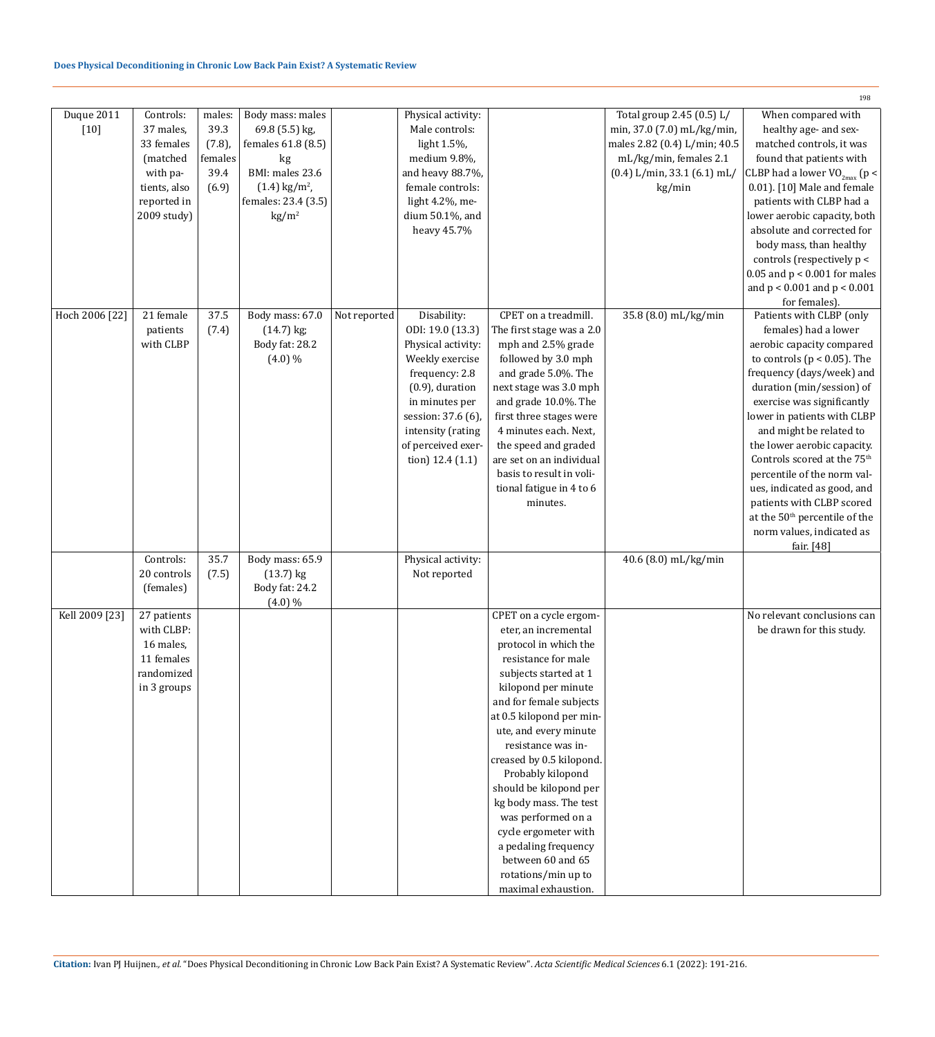|                |              |           |                             |              |                    |                                              |                                 | 198                                                        |
|----------------|--------------|-----------|-----------------------------|--------------|--------------------|----------------------------------------------|---------------------------------|------------------------------------------------------------|
| Duque 2011     | Controls:    | males:    | Body mass: males            |              | Physical activity: |                                              | Total group 2.45 (0.5) L/       | When compared with                                         |
| $[10]$         | 37 males,    | 39.3      | 69.8 (5.5) kg,              |              | Male controls:     |                                              | min, 37.0 (7.0) mL/kg/min,      | healthy age- and sex-                                      |
|                | 33 females   | $(7.8)$ , | females 61.8 (8.5)          |              | light 1.5%,        |                                              | males 2.82 (0.4) L/min; 40.5    | matched controls, it was                                   |
|                | (matched     | females   | kg                          |              | medium 9.8%,       |                                              | mL/kg/min, females 2.1          | found that patients with                                   |
|                | with pa-     | 39.4      | BMI: males 23.6             |              | and heavy 88.7%,   |                                              | $(0.4)$ L/min, 33.1 $(6.1)$ mL/ | CLBP had a lower $VO_{2max}$ (p <                          |
|                | tients, also | (6.9)     | $(1.4)$ kg/m <sup>2</sup> , |              | female controls:   |                                              | kg/min                          | 0.01). [10] Male and female                                |
|                | reported in  |           | females: 23.4 (3.5)         |              | light 4.2%, me-    |                                              |                                 | patients with CLBP had a                                   |
|                | 2009 study)  |           | $\text{kg/m}^2$             |              | dium 50.1%, and    |                                              |                                 | lower aerobic capacity, both<br>absolute and corrected for |
|                |              |           |                             |              | heavy 45.7%        |                                              |                                 | body mass, than healthy                                    |
|                |              |           |                             |              |                    |                                              |                                 | controls (respectively p <                                 |
|                |              |           |                             |              |                    |                                              |                                 | $0.05$ and $p < 0.001$ for males                           |
|                |              |           |                             |              |                    |                                              |                                 | and $p < 0.001$ and $p < 0.001$                            |
|                |              |           |                             |              |                    |                                              |                                 | for females).                                              |
| Hoch 2006 [22] | 21 female    | 37.5      | Body mass: 67.0             | Not reported | Disability:        | CPET on a treadmill.                         | 35.8 (8.0) mL/kg/min            | Patients with CLBP (only                                   |
|                | patients     | (7.4)     | $(14.7)$ kg;                |              | ODI: 19.0 (13.3)   | The first stage was a 2.0                    |                                 | females) had a lower                                       |
|                | with CLBP    |           | Body fat: 28.2              |              | Physical activity: | mph and 2.5% grade                           |                                 | aerobic capacity compared                                  |
|                |              |           | $(4.0)\%$                   |              | Weekly exercise    | followed by 3.0 mph                          |                                 | to controls ( $p < 0.05$ ). The                            |
|                |              |           |                             |              | frequency: 2.8     | and grade 5.0%. The                          |                                 | frequency (days/week) and                                  |
|                |              |           |                             |              | $(0.9)$ , duration | next stage was 3.0 mph                       |                                 | duration (min/session) of                                  |
|                |              |           |                             |              | in minutes per     | and grade 10.0%. The                         |                                 | exercise was significantly                                 |
|                |              |           |                             |              | session: 37.6 (6), | first three stages were                      |                                 | lower in patients with CLBP                                |
|                |              |           |                             |              | intensity (rating  | 4 minutes each. Next,                        |                                 | and might be related to                                    |
|                |              |           |                             |              | of perceived exer- | the speed and graded                         |                                 | the lower aerobic capacity.                                |
|                |              |           |                             |              | tion) $12.4(1.1)$  | are set on an individual                     |                                 | Controls scored at the 75 <sup>th</sup>                    |
|                |              |           |                             |              |                    | basis to result in voli-                     |                                 | percentile of the norm val-                                |
|                |              |           |                             |              |                    | tional fatigue in 4 to 6                     |                                 | ues, indicated as good, and                                |
|                |              |           |                             |              |                    | minutes.                                     |                                 | patients with CLBP scored                                  |
|                |              |           |                             |              |                    |                                              |                                 | at the 50 <sup>th</sup> percentile of the                  |
|                |              |           |                             |              |                    |                                              |                                 | norm values, indicated as                                  |
|                | Controls:    | 35.7      | Body mass: 65.9             |              | Physical activity: |                                              | 40.6 (8.0) mL/kg/min            | fair. [48]                                                 |
|                | 20 controls  | (7.5)     | $(13.7)$ kg                 |              | Not reported       |                                              |                                 |                                                            |
|                | (females)    |           | Body fat: 24.2              |              |                    |                                              |                                 |                                                            |
|                |              |           | $(4.0)\%$                   |              |                    |                                              |                                 |                                                            |
| Kell 2009 [23] | 27 patients  |           |                             |              |                    | CPET on a cycle ergom-                       |                                 | No relevant conclusions can                                |
|                | with CLBP:   |           |                             |              |                    | eter, an incremental                         |                                 | be drawn for this study.                                   |
|                | 16 males,    |           |                             |              |                    | protocol in which the                        |                                 |                                                            |
|                | 11 females   |           |                             |              |                    | resistance for male                          |                                 |                                                            |
|                | randomized   |           |                             |              |                    | subjects started at 1                        |                                 |                                                            |
|                | in 3 groups  |           |                             |              |                    | kilopond per minute                          |                                 |                                                            |
|                |              |           |                             |              |                    | and for female subjects                      |                                 |                                                            |
|                |              |           |                             |              |                    | at 0.5 kilopond per min-                     |                                 |                                                            |
|                |              |           |                             |              |                    | ute, and every minute                        |                                 |                                                            |
|                |              |           |                             |              |                    | resistance was in-                           |                                 |                                                            |
|                |              |           |                             |              |                    | creased by 0.5 kilopond.                     |                                 |                                                            |
|                |              |           |                             |              |                    | Probably kilopond                            |                                 |                                                            |
|                |              |           |                             |              |                    | should be kilopond per                       |                                 |                                                            |
|                |              |           |                             |              |                    | kg body mass. The test                       |                                 |                                                            |
|                |              |           |                             |              |                    | was performed on a                           |                                 |                                                            |
|                |              |           |                             |              |                    | cycle ergometer with<br>a pedaling frequency |                                 |                                                            |
|                |              |           |                             |              |                    | between 60 and 65                            |                                 |                                                            |
|                |              |           |                             |              |                    | rotations/min up to                          |                                 |                                                            |
|                |              |           |                             |              |                    | maximal exhaustion.                          |                                 |                                                            |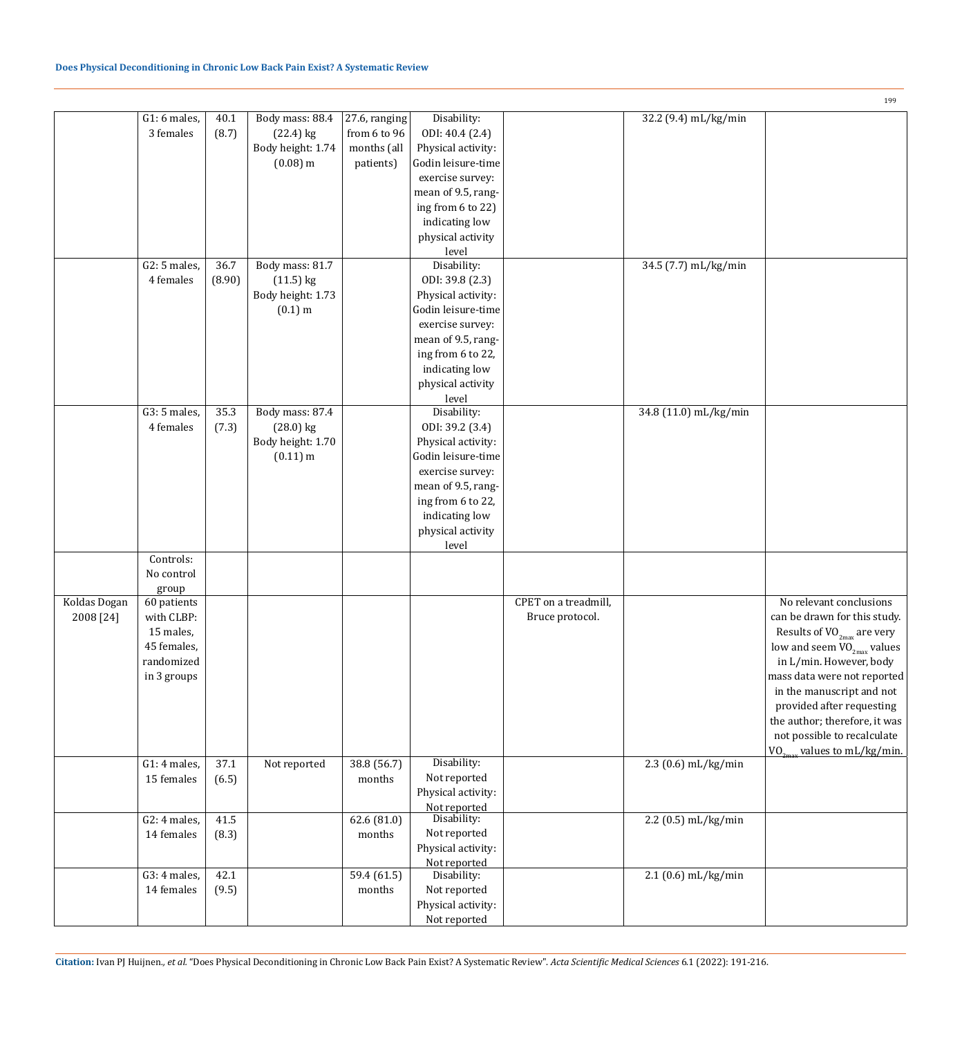|              |               |        |                   |               |                    |                      |                       | 199                                 |
|--------------|---------------|--------|-------------------|---------------|--------------------|----------------------|-----------------------|-------------------------------------|
|              | $G1:6$ males, | 40.1   | Body mass: 88.4   | 27.6, ranging | Disability:        |                      | 32.2 (9.4) mL/kg/min  |                                     |
|              | 3 females     | (8.7)  | $(22.4)$ kg       | from 6 to 96  | ODI: 40.4 (2.4)    |                      |                       |                                     |
|              |               |        | Body height: 1.74 | months (all   | Physical activity: |                      |                       |                                     |
|              |               |        | $(0.08)$ m        | patients)     | Godin leisure-time |                      |                       |                                     |
|              |               |        |                   |               | exercise survey:   |                      |                       |                                     |
|              |               |        |                   |               |                    |                      |                       |                                     |
|              |               |        |                   |               | mean of 9.5, rang- |                      |                       |                                     |
|              |               |        |                   |               | ing from 6 to 22)  |                      |                       |                                     |
|              |               |        |                   |               | indicating low     |                      |                       |                                     |
|              |               |        |                   |               | physical activity  |                      |                       |                                     |
|              |               |        |                   |               | level              |                      |                       |                                     |
|              | $G2:5$ males, | 36.7   | Body mass: 81.7   |               | Disability:        |                      | 34.5 (7.7) mL/kg/min  |                                     |
|              | 4 females     | (8.90) | $(11.5)$ kg       |               | ODI: 39.8 (2.3)    |                      |                       |                                     |
|              |               |        | Body height: 1.73 |               | Physical activity: |                      |                       |                                     |
|              |               |        | $(0.1)$ m         |               | Godin leisure-time |                      |                       |                                     |
|              |               |        |                   |               | exercise survey:   |                      |                       |                                     |
|              |               |        |                   |               |                    |                      |                       |                                     |
|              |               |        |                   |               | mean of 9.5, rang- |                      |                       |                                     |
|              |               |        |                   |               | ing from 6 to 22,  |                      |                       |                                     |
|              |               |        |                   |               | indicating low     |                      |                       |                                     |
|              |               |        |                   |               | physical activity  |                      |                       |                                     |
|              |               |        |                   |               | level              |                      |                       |                                     |
|              | $G3:5$ males, | 35.3   | Body mass: 87.4   |               | Disability:        |                      | 34.8 (11.0) mL/kg/min |                                     |
|              | 4 females     | (7.3)  | $(28.0)$ kg       |               | ODI: 39.2 (3.4)    |                      |                       |                                     |
|              |               |        | Body height: 1.70 |               | Physical activity: |                      |                       |                                     |
|              |               |        | $(0.11)$ m        |               | Godin leisure-time |                      |                       |                                     |
|              |               |        |                   |               | exercise survey:   |                      |                       |                                     |
|              |               |        |                   |               | mean of 9.5, rang- |                      |                       |                                     |
|              |               |        |                   |               |                    |                      |                       |                                     |
|              |               |        |                   |               | ing from 6 to 22,  |                      |                       |                                     |
|              |               |        |                   |               | indicating low     |                      |                       |                                     |
|              |               |        |                   |               | physical activity  |                      |                       |                                     |
|              |               |        |                   |               | level              |                      |                       |                                     |
|              | Controls:     |        |                   |               |                    |                      |                       |                                     |
|              | No control    |        |                   |               |                    |                      |                       |                                     |
|              | group         |        |                   |               |                    |                      |                       |                                     |
| Koldas Dogan | 60 patients   |        |                   |               |                    | CPET on a treadmill, |                       | No relevant conclusions             |
| 2008 [24]    | with CLBP:    |        |                   |               |                    | Bruce protocol.      |                       | can be drawn for this study.        |
|              | 15 males,     |        |                   |               |                    |                      |                       | Results of $VO_{2max}$ are very     |
|              | 45 females,   |        |                   |               |                    |                      |                       | low and seem $\rm VO_{2max}$ values |
|              | randomized    |        |                   |               |                    |                      |                       | in L/min. However, body             |
|              |               |        |                   |               |                    |                      |                       |                                     |
|              | in 3 groups   |        |                   |               |                    |                      |                       | mass data were not reported         |
|              |               |        |                   |               |                    |                      |                       | in the manuscript and not           |
|              |               |        |                   |               |                    |                      |                       | provided after requesting           |
|              |               |        |                   |               |                    |                      |                       | the author; therefore, it was       |
|              |               |        |                   |               |                    |                      |                       | not possible to recalculate         |
|              |               |        |                   |               |                    |                      |                       | $VO_{2max}$ values to mL/kg/min.    |
|              | G1: 4 males,  | 37.1   | Not reported      | 38.8 (56.7)   | Disability:        |                      | 2.3 (0.6) mL/kg/min   |                                     |
|              | 15 females    | (6.5)  |                   | months        | Not reported       |                      |                       |                                     |
|              |               |        |                   |               | Physical activity: |                      |                       |                                     |
|              |               |        |                   |               | Not reported       |                      |                       |                                     |
|              | G2: 4 males,  | 41.5   |                   | 62.6 (81.0)   | Disability:        |                      | 2.2 (0.5) mL/kg/min   |                                     |
|              | 14 females    | (8.3)  |                   | months        | Not reported       |                      |                       |                                     |
|              |               |        |                   |               | Physical activity: |                      |                       |                                     |
|              |               |        |                   |               | Not reported       |                      |                       |                                     |
|              | G3: 4 males,  | 42.1   |                   | 59.4 (61.5)   | Disability:        |                      | 2.1 (0.6) mL/kg/min   |                                     |
|              | 14 females    | (9.5)  |                   | months        | Not reported       |                      |                       |                                     |
|              |               |        |                   |               |                    |                      |                       |                                     |
|              |               |        |                   |               | Physical activity: |                      |                       |                                     |
|              |               |        |                   |               | Not reported       |                      |                       |                                     |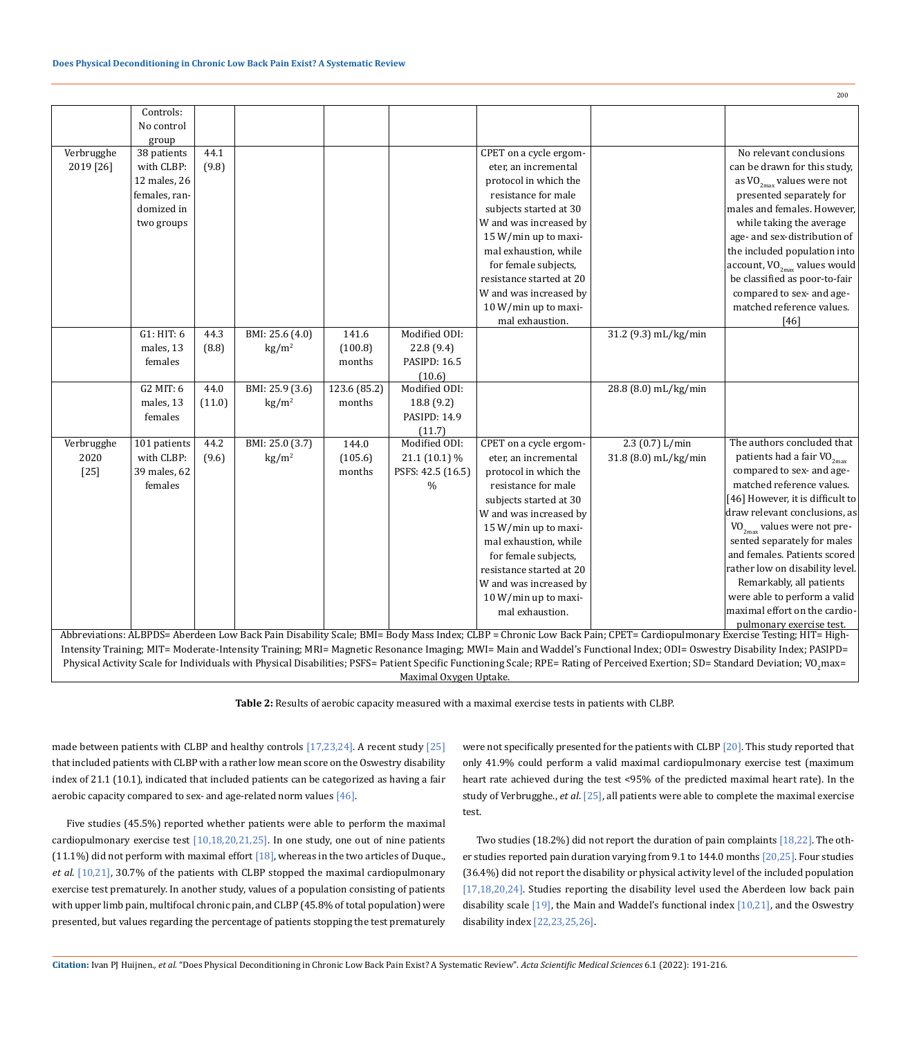|                                                                                                                                                                                               | Controls:                                                                                                                                                               |        |                 |              |                     |                          |                      |                                          |  |  |  |
|-----------------------------------------------------------------------------------------------------------------------------------------------------------------------------------------------|-------------------------------------------------------------------------------------------------------------------------------------------------------------------------|--------|-----------------|--------------|---------------------|--------------------------|----------------------|------------------------------------------|--|--|--|
|                                                                                                                                                                                               | No control                                                                                                                                                              |        |                 |              |                     |                          |                      |                                          |  |  |  |
|                                                                                                                                                                                               | group                                                                                                                                                                   |        |                 |              |                     |                          |                      |                                          |  |  |  |
| Verbrugghe                                                                                                                                                                                    | 38 patients                                                                                                                                                             | 44.1   |                 |              |                     | CPET on a cycle ergom-   |                      | No relevant conclusions                  |  |  |  |
| 2019 [26]                                                                                                                                                                                     | with CLBP:                                                                                                                                                              | (9.8)  |                 |              |                     | eter, an incremental     |                      | can be drawn for this study,             |  |  |  |
|                                                                                                                                                                                               | 12 males, 26                                                                                                                                                            |        |                 |              |                     | protocol in which the    |                      | as $\rm VO_{2max}$ values were not       |  |  |  |
|                                                                                                                                                                                               | females, ran-                                                                                                                                                           |        |                 |              |                     | resistance for male      |                      | presented separately for                 |  |  |  |
|                                                                                                                                                                                               | domized in                                                                                                                                                              |        |                 |              |                     | subjects started at 30   |                      | males and females. However,              |  |  |  |
|                                                                                                                                                                                               | two groups                                                                                                                                                              |        |                 |              |                     | W and was increased by   |                      | while taking the average                 |  |  |  |
|                                                                                                                                                                                               |                                                                                                                                                                         |        |                 |              |                     | 15 W/min up to maxi-     |                      | age- and sex-distribution of             |  |  |  |
|                                                                                                                                                                                               |                                                                                                                                                                         |        |                 |              |                     | mal exhaustion, while    |                      | the included population into             |  |  |  |
|                                                                                                                                                                                               |                                                                                                                                                                         |        |                 |              |                     | for female subjects,     |                      | account, VO <sub>2max</sub> values would |  |  |  |
|                                                                                                                                                                                               |                                                                                                                                                                         |        |                 |              |                     | resistance started at 20 |                      | be classified as poor-to-fair            |  |  |  |
|                                                                                                                                                                                               |                                                                                                                                                                         |        |                 |              |                     | W and was increased by   |                      | compared to sex- and age-                |  |  |  |
|                                                                                                                                                                                               |                                                                                                                                                                         |        |                 |              |                     | 10 W/min up to maxi-     |                      | matched reference values.                |  |  |  |
|                                                                                                                                                                                               |                                                                                                                                                                         |        |                 |              |                     | mal exhaustion.          |                      | $[46]$                                   |  |  |  |
|                                                                                                                                                                                               | G1: HIT: 6                                                                                                                                                              | 44.3   | BMI: 25.6 (4.0) | 141.6        | Modified ODI:       |                          | 31.2 (9.3) mL/kg/min |                                          |  |  |  |
|                                                                                                                                                                                               | males, 13                                                                                                                                                               | (8.8)  | $\text{kg/m}^2$ | (100.8)      | 22.8 (9.4)          |                          |                      |                                          |  |  |  |
|                                                                                                                                                                                               | females                                                                                                                                                                 |        |                 | months       | <b>PASIPD: 16.5</b> |                          |                      |                                          |  |  |  |
|                                                                                                                                                                                               |                                                                                                                                                                         |        |                 |              | (10.6)              |                          |                      |                                          |  |  |  |
|                                                                                                                                                                                               | G2 MIT: 6                                                                                                                                                               | 44.0   | BMI: 25.9 (3.6) | 123.6 (85.2) | Modified ODI:       |                          | 28.8 (8.0) mL/kg/min |                                          |  |  |  |
|                                                                                                                                                                                               | males, 13                                                                                                                                                               | (11.0) | $\text{kg/m}^2$ | months       | 18.8 (9.2)          |                          |                      |                                          |  |  |  |
|                                                                                                                                                                                               | females                                                                                                                                                                 |        |                 |              | <b>PASIPD: 14.9</b> |                          |                      |                                          |  |  |  |
|                                                                                                                                                                                               |                                                                                                                                                                         |        |                 |              | (11.7)              |                          |                      |                                          |  |  |  |
| Verbrugghe                                                                                                                                                                                    | 101 patients                                                                                                                                                            | 44.2   | BMI: 25.0 (3.7) | 144.0        | Modified ODI:       | CPET on a cycle ergom-   | 2.3 $(0.7) L/min$    | The authors concluded that               |  |  |  |
| 2020                                                                                                                                                                                          | with CLBP:                                                                                                                                                              | (9.6)  | $\text{kg/m}^2$ | (105.6)      | 21.1 (10.1) %       | eter, an incremental     | 31.8 (8.0) mL/kg/min | patients had a fair $VO_{2max}$          |  |  |  |
| $[25]$                                                                                                                                                                                        | 39 males, 62                                                                                                                                                            |        |                 | months       | PSFS: 42.5 (16.5)   | protocol in which the    |                      | compared to sex- and age-                |  |  |  |
|                                                                                                                                                                                               | females                                                                                                                                                                 |        |                 |              | $\%$                | resistance for male      |                      | matched reference values.                |  |  |  |
|                                                                                                                                                                                               |                                                                                                                                                                         |        |                 |              |                     | subjects started at 30   |                      | [46] However, it is difficult to         |  |  |  |
|                                                                                                                                                                                               |                                                                                                                                                                         |        |                 |              |                     | W and was increased by   |                      | draw relevant conclusions, as            |  |  |  |
|                                                                                                                                                                                               |                                                                                                                                                                         |        |                 |              |                     | 15 W/min up to maxi-     |                      | $VO_{2max}$ values were not pre-         |  |  |  |
|                                                                                                                                                                                               |                                                                                                                                                                         |        |                 |              |                     | mal exhaustion, while    |                      | sented separately for males              |  |  |  |
|                                                                                                                                                                                               |                                                                                                                                                                         |        |                 |              |                     | for female subjects,     |                      | and females. Patients scored             |  |  |  |
|                                                                                                                                                                                               |                                                                                                                                                                         |        |                 |              |                     | resistance started at 20 |                      | rather low on disability level.          |  |  |  |
|                                                                                                                                                                                               |                                                                                                                                                                         |        |                 |              |                     | W and was increased by   |                      | Remarkably, all patients                 |  |  |  |
|                                                                                                                                                                                               |                                                                                                                                                                         |        |                 |              |                     | 10 W/min up to maxi-     |                      | were able to perform a valid             |  |  |  |
|                                                                                                                                                                                               |                                                                                                                                                                         |        |                 |              |                     | mal exhaustion.          |                      | maximal effort on the cardio-            |  |  |  |
|                                                                                                                                                                                               | pulmonary exercise test.                                                                                                                                                |        |                 |              |                     |                          |                      |                                          |  |  |  |
| Abbreviations: ALBPDS= Aberdeen Low Back Pain Disability Scale; BMI= Body Mass Index; CLBP = Chronic Low Back Pain; CPET= Cardiopulmonary Exercise Testing; HIT= High-                        |                                                                                                                                                                         |        |                 |              |                     |                          |                      |                                          |  |  |  |
|                                                                                                                                                                                               | Intensity Training; MIT= Moderate-Intensity Training; MRI= Magnetic Resonance Imaging; MWI= Main and Waddel's Functional Index; ODI= Oswestry Disability Index; PASIPD= |        |                 |              |                     |                          |                      |                                          |  |  |  |
| Physical Activity Scale for Individuals with Physical Disabilities; PSFS= Patient Specific Functioning Scale; RPE= Rating of Perceived Exertion; SD= Standard Deviation; VO <sub>2</sub> max= |                                                                                                                                                                         |        |                 |              |                     |                          |                      |                                          |  |  |  |
|                                                                                                                                                                                               | Maximal Oxygen Uptake.                                                                                                                                                  |        |                 |              |                     |                          |                      |                                          |  |  |  |

**Table 2:** Results of aerobic capacity measured with a maximal exercise tests in patients with CLBP.

made between patients with CLBP and healthy controls [17,23,24]. A recent study [25] that included patients with CLBP with a rather low mean score on the Oswestry disability index of 21.1 (10.1), indicated that included patients can be categorized as having a fair aerobic capacity compared to sex- and age-related norm values [46].

Five studies (45.5%) reported whether patients were able to perform the maximal cardiopulmonary exercise test  $[10,18,20,21,25]$ . In one study, one out of nine patients (11.1%) did not perform with maximal effort  $[18]$ , whereas in the two articles of Duque., *et al*. [10,21], 30.7% of the patients with CLBP stopped the maximal cardiopulmonary exercise test prematurely. In another study, values of a population consisting of patients with upper limb pain, multifocal chronic pain, and CLBP (45.8% of total population) were presented, but values regarding the percentage of patients stopping the test prematurely

were not specifically presented for the patients with CLBP [20]. This study reported that only 41.9% could perform a valid maximal cardiopulmonary exercise test (maximum heart rate achieved during the test <95% of the predicted maximal heart rate). In the study of Verbrugghe., *et al*. [25], all patients were able to complete the maximal exercise test.

Two studies (18.2%) did not report the duration of pain complaints [18,22]. The other studies reported pain duration varying from 9.1 to 144.0 months [20,25]. Four studies (36.4%) did not report the disability or physical activity level of the included population [17,18,20,24]. Studies reporting the disability level used the Aberdeen low back pain disability scale  $[19]$ , the Main and Waddel's functional index  $[10,21]$ , and the Oswestry disability index [22,23,25,26].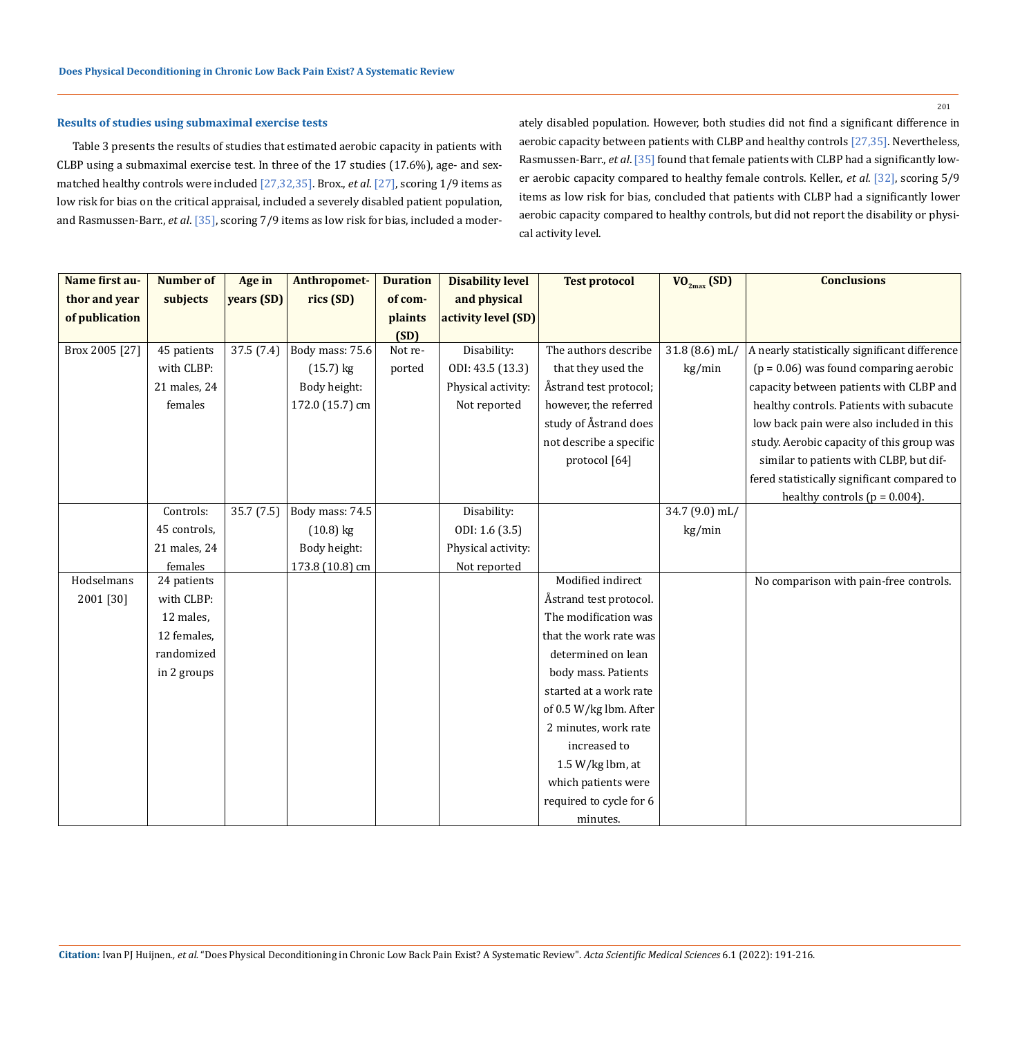# **Results of studies using submaximal exercise tests**

Table 3 presents the results of studies that estimated aerobic capacity in patients with CLBP using a submaximal exercise test. In three of the 17 studies (17.6%), age- and sexmatched healthy controls were included [27,32,35]. Brox., *et al*. [27], scoring 1/9 items as low risk for bias on the critical appraisal, included a severely disabled patient population, and Rasmussen-Barr., *et al*. [35], scoring 7/9 items as low risk for bias, included a moderately disabled population. However, both studies did not find a significant difference in aerobic capacity between patients with CLBP and healthy controls [27,35]. Nevertheless, Rasmussen-Barr., *et al*. [35] found that female patients with CLBP had a significantly lower aerobic capacity compared to healthy female controls. Keller., *et al*. [32], scoring 5/9 items as low risk for bias, concluded that patients with CLBP had a significantly lower aerobic capacity compared to healthy controls, but did not report the disability or physical activity level.

| Name first au- | <b>Number of</b> | Age in     | Anthropomet-    | <b>Duration</b> | <b>Disability level</b> | <b>Test protocol</b>    | $VO_{2max}$ (SD) | <b>Conclusions</b>                            |
|----------------|------------------|------------|-----------------|-----------------|-------------------------|-------------------------|------------------|-----------------------------------------------|
| thor and year  | subjects         | years (SD) | rics (SD)       | of com-         | and physical            |                         |                  |                                               |
| of publication |                  |            |                 | plaints         | activity level (SD)     |                         |                  |                                               |
|                |                  |            |                 | (SD)            |                         |                         |                  |                                               |
| Brox 2005 [27] | 45 patients      | 37.5(7.4)  | Body mass: 75.6 | Not re-         | Disability:             | The authors describe    | $31.8(8.6)$ mL/  | A nearly statistically significant difference |
|                | with CLBP:       |            | $(15.7)$ kg     | ported          | ODI: 43.5 (13.3)        | that they used the      | kg/min           | $(p = 0.06)$ was found comparing aerobic      |
|                | 21 males, 24     |            | Body height:    |                 | Physical activity:      | Åstrand test protocol;  |                  | capacity between patients with CLBP and       |
|                | females          |            | 172.0 (15.7) cm |                 | Not reported            | however, the referred   |                  | healthy controls. Patients with subacute      |
|                |                  |            |                 |                 |                         | study of Åstrand does   |                  | low back pain were also included in this      |
|                |                  |            |                 |                 |                         | not describe a specific |                  | study. Aerobic capacity of this group was     |
|                |                  |            |                 |                 |                         | protocol [64]           |                  | similar to patients with CLBP, but dif-       |
|                |                  |            |                 |                 |                         |                         |                  | fered statistically significant compared to   |
|                |                  |            |                 |                 |                         |                         |                  | healthy controls ( $p = 0.004$ ).             |
|                | Controls:        | 35.7 (7.5) | Body mass: 74.5 |                 | Disability:             |                         | 34.7 (9.0) mL/   |                                               |
|                | 45 controls,     |            | $(10.8)$ kg     |                 | ODI: 1.6 (3.5)          |                         | kg/min           |                                               |
|                | 21 males, 24     |            | Body height:    |                 | Physical activity:      |                         |                  |                                               |
|                | females          |            | 173.8 (10.8) cm |                 | Not reported            |                         |                  |                                               |
| Hodselmans     | 24 patients      |            |                 |                 |                         | Modified indirect       |                  | No comparison with pain-free controls.        |
| 2001 [30]      | with CLBP:       |            |                 |                 |                         | Åstrand test protocol.  |                  |                                               |
|                | 12 males,        |            |                 |                 |                         | The modification was    |                  |                                               |
|                | 12 females,      |            |                 |                 |                         | that the work rate was  |                  |                                               |
|                | randomized       |            |                 |                 |                         | determined on lean      |                  |                                               |
|                | in 2 groups      |            |                 |                 |                         | body mass. Patients     |                  |                                               |
|                |                  |            |                 |                 |                         | started at a work rate  |                  |                                               |
|                |                  |            |                 |                 |                         | of 0.5 W/kg lbm. After  |                  |                                               |
|                |                  |            |                 |                 |                         | 2 minutes, work rate    |                  |                                               |
|                |                  |            |                 |                 |                         | increased to            |                  |                                               |
|                |                  |            |                 |                 |                         | 1.5 $W/kg$ lbm, at      |                  |                                               |
|                |                  |            |                 |                 |                         | which patients were     |                  |                                               |
|                |                  |            |                 |                 |                         | required to cycle for 6 |                  |                                               |
|                |                  |            |                 |                 |                         | minutes.                |                  |                                               |

**Citation:** Ivan PJ Huijnen*., et al.* "Does Physical Deconditioning in Chronic Low Back Pain Exist? A Systematic Review". *Acta Scientific Medical Sciences* 6.1 (2022): 191-216.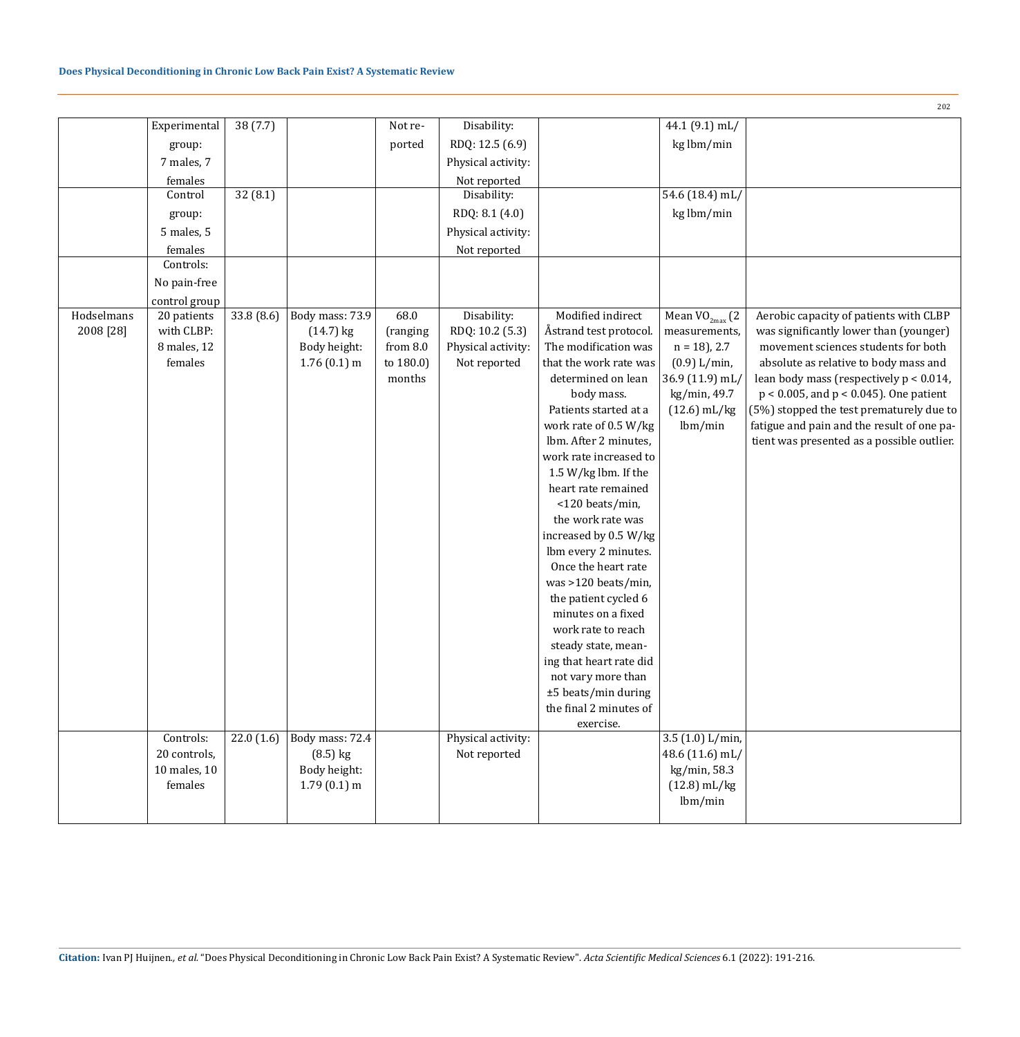|            |                        |            |                               |                         |                                    |                                                |                                | 202                                                                          |
|------------|------------------------|------------|-------------------------------|-------------------------|------------------------------------|------------------------------------------------|--------------------------------|------------------------------------------------------------------------------|
|            | Experimental           | 38(7.7)    |                               | Not re-                 | Disability:                        |                                                | 44.1 (9.1) mL/                 |                                                                              |
|            | group:                 |            |                               | ported                  | RDQ: 12.5 (6.9)                    |                                                | kg lbm/min                     |                                                                              |
|            | 7 males, 7             |            |                               |                         | Physical activity:                 |                                                |                                |                                                                              |
|            | females                |            |                               |                         | Not reported                       |                                                |                                |                                                                              |
|            | Control                | 32(8.1)    |                               |                         | Disability:                        |                                                | 54.6 (18.4) mL/                |                                                                              |
|            | group:                 |            |                               |                         | RDQ: 8.1 (4.0)                     |                                                | kg lbm/min                     |                                                                              |
|            | 5 males, 5             |            |                               |                         | Physical activity:                 |                                                |                                |                                                                              |
|            | females                |            |                               |                         | Not reported                       |                                                |                                |                                                                              |
|            | Controls:              |            |                               |                         |                                    |                                                |                                |                                                                              |
|            | No pain-free           |            |                               |                         |                                    |                                                |                                |                                                                              |
|            | control group          |            |                               |                         |                                    |                                                |                                |                                                                              |
| Hodselmans | 20 patients            | 33.8 (8.6) | Body mass: 73.9               | 68.0                    | Disability:                        | Modified indirect                              | Mean $VO_{2max}$ (2            | Aerobic capacity of patients with CLBP                                       |
| 2008 [28]  | with CLBP:             |            | $(14.7)$ kg                   | (ranging                | RDQ: 10.2 (5.3)                    | Åstrand test protocol.                         | measurements,                  | was significantly lower than (younger)                                       |
|            | 8 males, 12<br>females |            | Body height:<br>$1.76(0.1)$ m | from $8.0$<br>to 180.0) | Physical activity:<br>Not reported | The modification was<br>that the work rate was | $n = 18$ , 2.7<br>(0.9) L/min, | movement sciences students for both<br>absolute as relative to body mass and |
|            |                        |            |                               | months                  |                                    | determined on lean                             | 36.9 (11.9) mL/                | lean body mass (respectively $p < 0.014$ ,                                   |
|            |                        |            |                               |                         |                                    | body mass.                                     | kg/min, 49.7                   | $p < 0.005$ , and $p < 0.045$ ). One patient                                 |
|            |                        |            |                               |                         |                                    | Patients started at a                          | $(12.6)$ mL/kg                 | (5%) stopped the test prematurely due to                                     |
|            |                        |            |                               |                         |                                    | work rate of 0.5 W/kg                          | lbm/min                        | fatigue and pain and the result of one pa-                                   |
|            |                        |            |                               |                         |                                    | lbm. After 2 minutes,                          |                                | tient was presented as a possible outlier.                                   |
|            |                        |            |                               |                         |                                    | work rate increased to                         |                                |                                                                              |
|            |                        |            |                               |                         |                                    | 1.5 W/kg lbm. If the                           |                                |                                                                              |
|            |                        |            |                               |                         |                                    | heart rate remained                            |                                |                                                                              |
|            |                        |            |                               |                         |                                    | <120 beats/min,<br>the work rate was           |                                |                                                                              |
|            |                        |            |                               |                         |                                    | increased by 0.5 W/kg                          |                                |                                                                              |
|            |                        |            |                               |                         |                                    | lbm every 2 minutes.                           |                                |                                                                              |
|            |                        |            |                               |                         |                                    | Once the heart rate                            |                                |                                                                              |
|            |                        |            |                               |                         |                                    | was >120 beats/min,                            |                                |                                                                              |
|            |                        |            |                               |                         |                                    | the patient cycled 6                           |                                |                                                                              |
|            |                        |            |                               |                         |                                    | minutes on a fixed                             |                                |                                                                              |
|            |                        |            |                               |                         |                                    | work rate to reach                             |                                |                                                                              |
|            |                        |            |                               |                         |                                    | steady state, mean-                            |                                |                                                                              |
|            |                        |            |                               |                         |                                    | ing that heart rate did                        |                                |                                                                              |
|            |                        |            |                               |                         |                                    | not vary more than                             |                                |                                                                              |
|            |                        |            |                               |                         |                                    | ±5 beats/min during<br>the final 2 minutes of  |                                |                                                                              |
|            |                        |            |                               |                         |                                    | exercise.                                      |                                |                                                                              |
|            | Controls:              | 22.0(1.6)  | Body mass: 72.4               |                         | Physical activity:                 |                                                | 3.5 $(1.0)$ L/min,             |                                                                              |
|            | 20 controls,           |            | $(8.5)$ kg                    |                         | Not reported                       |                                                | 48.6 (11.6) mL/                |                                                                              |
|            | 10 males, 10           |            | Body height:                  |                         |                                    |                                                | kg/min, 58.3                   |                                                                              |
|            | females                |            | $1.79(0.1)$ m                 |                         |                                    |                                                | $(12.8)$ mL/kg                 |                                                                              |
|            |                        |            |                               |                         |                                    |                                                | lbm/min                        |                                                                              |
|            |                        |            |                               |                         |                                    |                                                |                                |                                                                              |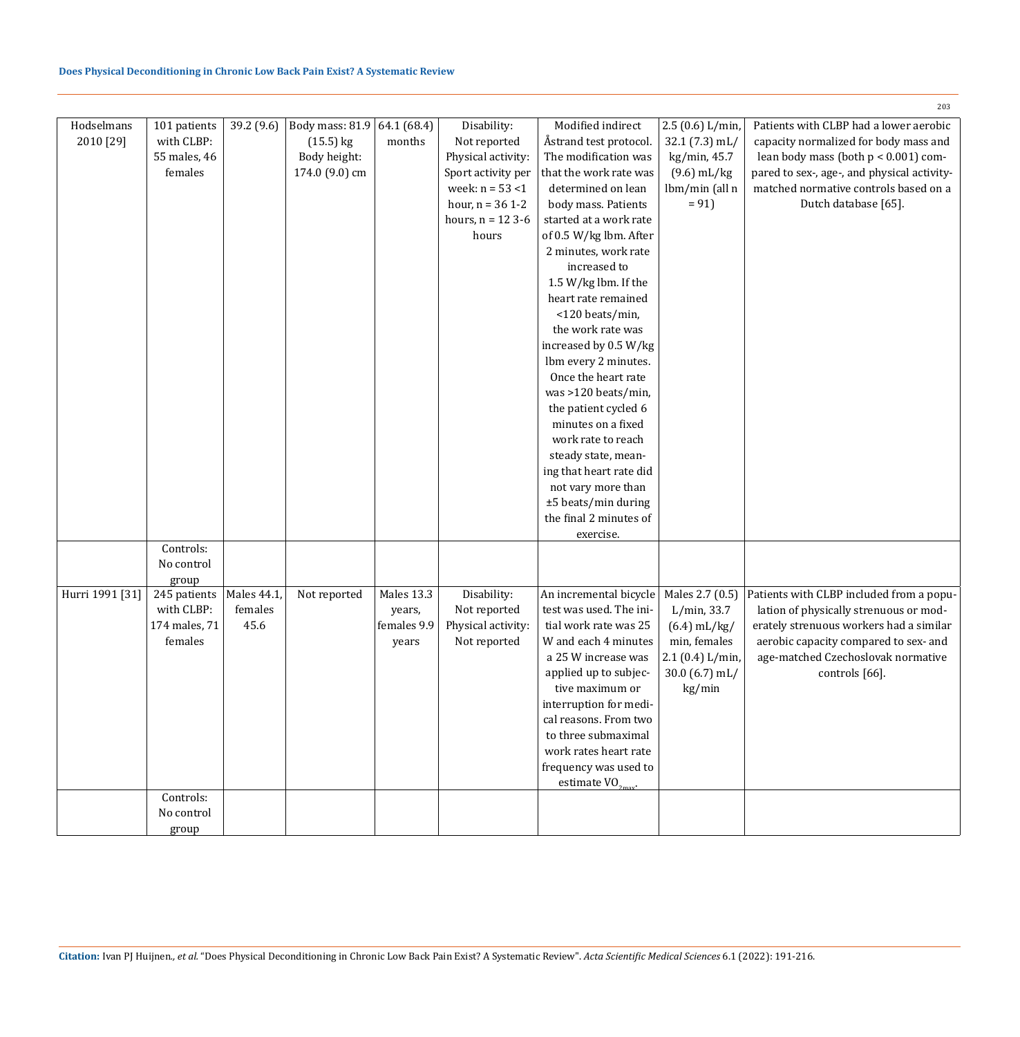|                 |                         |             |                 |             |                     |                                      |                 | 203                                         |
|-----------------|-------------------------|-------------|-----------------|-------------|---------------------|--------------------------------------|-----------------|---------------------------------------------|
| Hodselmans      | 101 patients            | 39.2 (9.6)  | Body mass: 81.9 | 64.1 (68.4) | Disability:         | Modified indirect                    | 2.5(0.6) L/min, | Patients with CLBP had a lower aerobic      |
| 2010 [29]       | with CLBP:              |             | $(15.5)$ kg     | months      | Not reported        | Åstrand test protocol.               | $32.1(7.3)$ mL/ | capacity normalized for body mass and       |
|                 | 55 males, 46            |             | Body height:    |             | Physical activity:  | The modification was                 | kg/min, 45.7    | lean body mass (both $p < 0.001$ ) com-     |
|                 | females                 |             | 174.0 (9.0) cm  |             | Sport activity per  | that the work rate was               | $(9.6)$ mL/kg   | pared to sex-, age-, and physical activity- |
|                 |                         |             |                 |             | week: $n = 53 < 1$  | determined on lean                   | lbm/min (all n  | matched normative controls based on a       |
|                 |                         |             |                 |             | hour, $n = 36$ 1-2  | body mass. Patients                  | $= 91$          | Dutch database [65].                        |
|                 |                         |             |                 |             | hours, $n = 12$ 3-6 | started at a work rate               |                 |                                             |
|                 |                         |             |                 |             | hours               | of 0.5 W/kg lbm. After               |                 |                                             |
|                 |                         |             |                 |             |                     | 2 minutes, work rate                 |                 |                                             |
|                 |                         |             |                 |             |                     | increased to                         |                 |                                             |
|                 |                         |             |                 |             |                     | 1.5 W/kg lbm. If the                 |                 |                                             |
|                 |                         |             |                 |             |                     | heart rate remained                  |                 |                                             |
|                 |                         |             |                 |             |                     | <120 beats/min,<br>the work rate was |                 |                                             |
|                 |                         |             |                 |             |                     | increased by 0.5 W/kg                |                 |                                             |
|                 |                         |             |                 |             |                     | lbm every 2 minutes.                 |                 |                                             |
|                 |                         |             |                 |             |                     | Once the heart rate                  |                 |                                             |
|                 |                         |             |                 |             |                     | was >120 beats/min,                  |                 |                                             |
|                 |                         |             |                 |             |                     | the patient cycled 6                 |                 |                                             |
|                 |                         |             |                 |             |                     | minutes on a fixed                   |                 |                                             |
|                 |                         |             |                 |             |                     | work rate to reach                   |                 |                                             |
|                 |                         |             |                 |             |                     | steady state, mean-                  |                 |                                             |
|                 |                         |             |                 |             |                     | ing that heart rate did              |                 |                                             |
|                 |                         |             |                 |             |                     | not vary more than                   |                 |                                             |
|                 |                         |             |                 |             |                     | ±5 beats/min during                  |                 |                                             |
|                 |                         |             |                 |             |                     | the final 2 minutes of               |                 |                                             |
|                 |                         |             |                 |             |                     | exercise.                            |                 |                                             |
|                 | Controls:<br>No control |             |                 |             |                     |                                      |                 |                                             |
|                 | group                   |             |                 |             |                     |                                      |                 |                                             |
| Hurri 1991 [31] | 245 patients            | Males 44.1, | Not reported    | Males 13.3  | Disability:         | An incremental bicycle               | Males 2.7 (0.5) | Patients with CLBP included from a popu-    |
|                 | with CLBP:              | females     |                 | years,      | Not reported        | test was used. The ini-              | $L/min$ , 33.7  | lation of physically strenuous or mod-      |
|                 | 174 males, 71           | 45.6        |                 | females 9.9 | Physical activity:  | tial work rate was 25                | $(6.4)$ mL/kg/  | erately strenuous workers had a similar     |
|                 | females                 |             |                 | years       | Not reported        | W and each 4 minutes                 | min, females    | aerobic capacity compared to sex- and       |
|                 |                         |             |                 |             |                     | a 25 W increase was                  | 2.1(0.4) L/min, | age-matched Czechoslovak normative          |
|                 |                         |             |                 |             |                     | applied up to subjec-                | $30.0(6.7)$ mL/ | controls [66].                              |
|                 |                         |             |                 |             |                     | tive maximum or                      | kg/min          |                                             |
|                 |                         |             |                 |             |                     | interruption for medi-               |                 |                                             |
|                 |                         |             |                 |             |                     | cal reasons. From two                |                 |                                             |
|                 |                         |             |                 |             |                     | to three submaximal                  |                 |                                             |
|                 |                         |             |                 |             |                     | work rates heart rate                |                 |                                             |
|                 |                         |             |                 |             |                     | frequency was used to                |                 |                                             |
|                 | Controls:               |             |                 |             |                     | estimate $VO_{2\text{max}}$ .        |                 |                                             |
|                 | No control              |             |                 |             |                     |                                      |                 |                                             |
|                 | group                   |             |                 |             |                     |                                      |                 |                                             |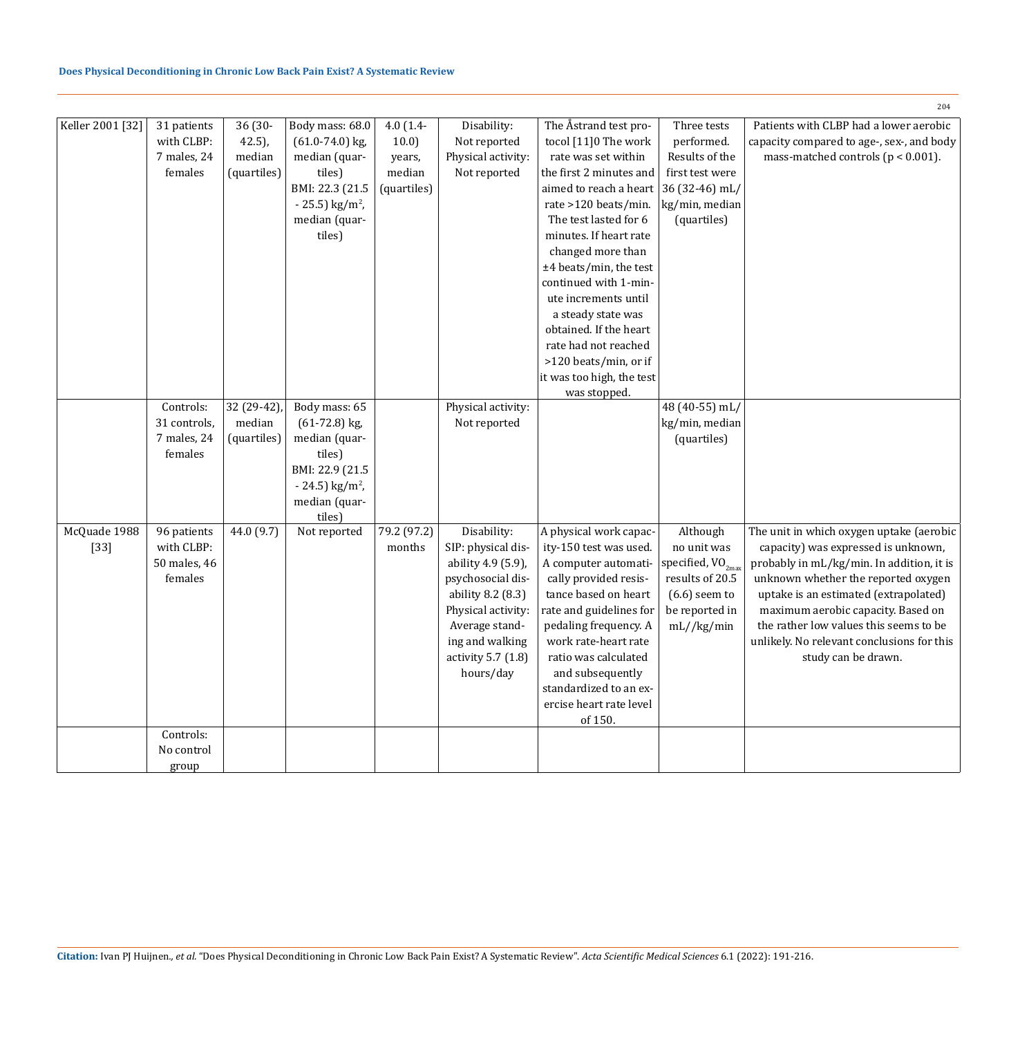# **Does Physical Deconditioning in Chronic Low Back Pain Exist? A Systematic Review**

|                        |                                                                   |                                               |                                                                                                                                                  |                                                       |                                                                                                                                                                                                 |                                                                                                                                                                                                                                                                                                                   |                                                                                                                         | 204                                                                                                                                                                                                                                                                                                                                                               |
|------------------------|-------------------------------------------------------------------|-----------------------------------------------|--------------------------------------------------------------------------------------------------------------------------------------------------|-------------------------------------------------------|-------------------------------------------------------------------------------------------------------------------------------------------------------------------------------------------------|-------------------------------------------------------------------------------------------------------------------------------------------------------------------------------------------------------------------------------------------------------------------------------------------------------------------|-------------------------------------------------------------------------------------------------------------------------|-------------------------------------------------------------------------------------------------------------------------------------------------------------------------------------------------------------------------------------------------------------------------------------------------------------------------------------------------------------------|
| Keller 2001 [32]       | 31 patients<br>with CLBP:<br>7 males, 24<br>females               | 36 (30-<br>$42.5$ ),<br>median<br>(quartiles) | Body mass: 68.0<br>$(61.0 - 74.0)$ kg,<br>median (quar-<br>tiles)<br>BMI: 22.3 (21.5<br>$-25.5$ ) kg/m <sup>2</sup> ,<br>median (quar-<br>tiles) | $4.0(1.4-$<br>10.0<br>years,<br>median<br>(quartiles) | Disability:<br>Not reported<br>Physical activity:<br>Not reported                                                                                                                               | The Åstrand test pro-<br>tocol [11]0 The work<br>rate was set within<br>the first 2 minutes and<br>aimed to reach a heart<br>rate >120 beats/min.<br>The test lasted for 6<br>minutes. If heart rate<br>changed more than<br>±4 beats/min, the test                                                               | Three tests<br>performed.<br>Results of the<br>first test were<br>36 (32-46) mL/<br>kg/min, median<br>(quartiles)       | Patients with CLBP had a lower aerobic<br>capacity compared to age-, sex-, and body<br>mass-matched controls ( $p < 0.001$ ).                                                                                                                                                                                                                                     |
|                        |                                                                   |                                               |                                                                                                                                                  |                                                       |                                                                                                                                                                                                 | continued with 1-min-<br>ute increments until<br>a steady state was<br>obtained. If the heart<br>rate had not reached<br>>120 beats/min, or if<br>it was too high, the test<br>was stopped.                                                                                                                       |                                                                                                                         |                                                                                                                                                                                                                                                                                                                                                                   |
|                        | Controls:                                                         | 32 (29-42)                                    | Body mass: 65                                                                                                                                    |                                                       | Physical activity:                                                                                                                                                                              |                                                                                                                                                                                                                                                                                                                   | 48 (40-55) mL/                                                                                                          |                                                                                                                                                                                                                                                                                                                                                                   |
|                        | 31 controls,<br>7 males, 24                                       | median<br>(quartiles)                         | $(61-72.8)$ kg,<br>median (quar-                                                                                                                 |                                                       | Not reported                                                                                                                                                                                    |                                                                                                                                                                                                                                                                                                                   | kg/min, median<br>(quartiles)                                                                                           |                                                                                                                                                                                                                                                                                                                                                                   |
|                        | females                                                           |                                               | tiles)<br>BMI: 22.9 (21.5<br>$-24.5$ ) kg/m <sup>2</sup> ,<br>median (quar-<br>tiles)                                                            |                                                       |                                                                                                                                                                                                 |                                                                                                                                                                                                                                                                                                                   |                                                                                                                         |                                                                                                                                                                                                                                                                                                                                                                   |
| McQuade 1988<br>$[33]$ | 96 patients<br>with CLBP:<br>50 males, 46<br>females<br>Controls: | 44.0 (9.7)                                    | Not reported                                                                                                                                     | 79.2 (97.2)<br>months                                 | Disability:<br>SIP: physical dis-<br>ability 4.9 (5.9),<br>psychosocial dis-<br>ability 8.2 (8.3)<br>Physical activity:<br>Average stand-<br>ing and walking<br>activity 5.7 (1.8)<br>hours/day | A physical work capac-<br>ity-150 test was used.<br>A computer automati-<br>cally provided resis-<br>tance based on heart<br>rate and guidelines for<br>pedaling frequency. A<br>work rate-heart rate<br>ratio was calculated<br>and subsequently<br>standardized to an ex-<br>ercise heart rate level<br>of 150. | Although<br>no unit was<br>specified, $VO_{2max}$<br>results of 20.5<br>$(6.6)$ seem to<br>be reported in<br>mL//kg/min | The unit in which oxygen uptake (aerobic<br>capacity) was expressed is unknown,<br>probably in mL/kg/min. In addition, it is<br>unknown whether the reported oxygen<br>uptake is an estimated (extrapolated)<br>maximum aerobic capacity. Based on<br>the rather low values this seems to be<br>unlikely. No relevant conclusions for this<br>study can be drawn. |
|                        | No control                                                        |                                               |                                                                                                                                                  |                                                       |                                                                                                                                                                                                 |                                                                                                                                                                                                                                                                                                                   |                                                                                                                         |                                                                                                                                                                                                                                                                                                                                                                   |
|                        | group                                                             |                                               |                                                                                                                                                  |                                                       |                                                                                                                                                                                                 |                                                                                                                                                                                                                                                                                                                   |                                                                                                                         |                                                                                                                                                                                                                                                                                                                                                                   |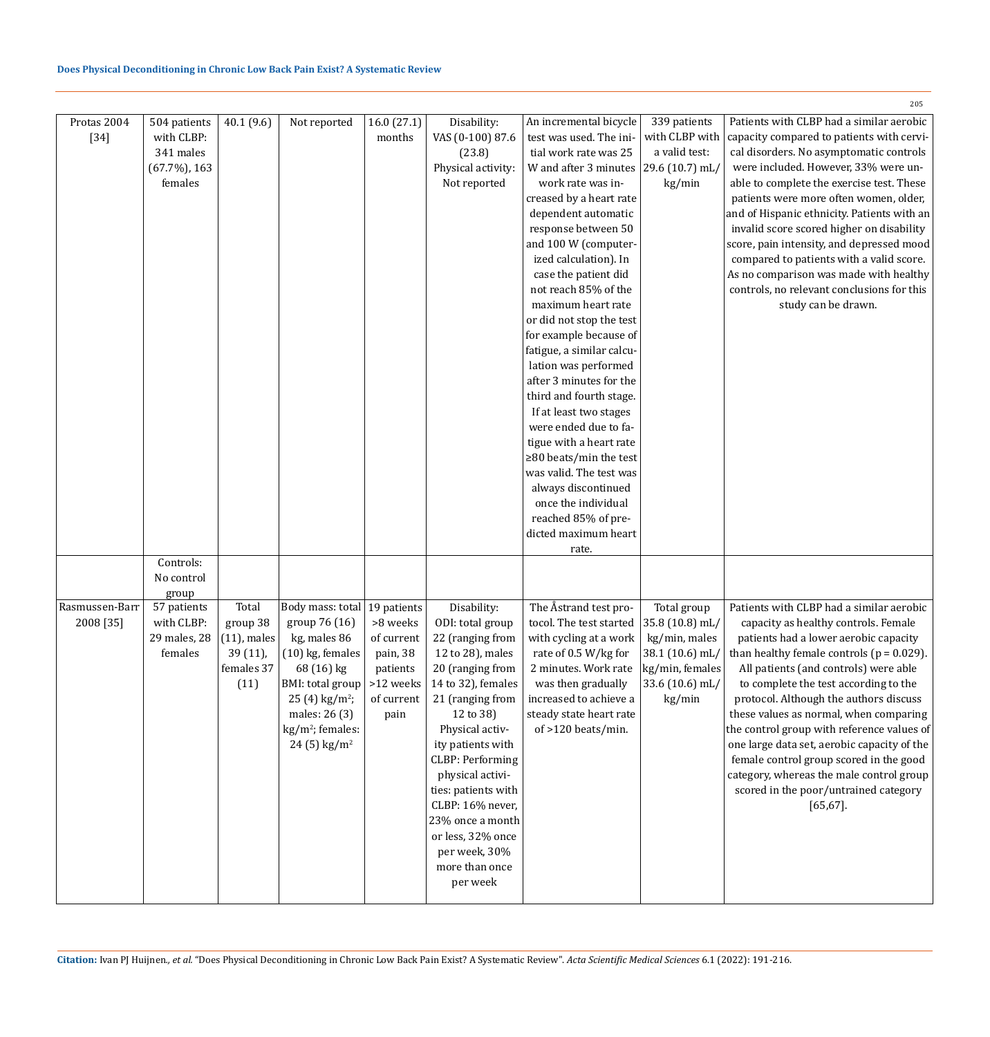| Protas 2004<br>$[34]$ | 504 patients<br>with CLBP:<br>341 males<br>$(67.7\%)$ , 163<br>females | 40.1 (9.6)     | Not reported                                 | 16.0(27.1)<br>months | Disability:<br>VAS (0-100) 87.6<br>(23.8)<br>Physical activity:<br>Not reported | An incremental bicycle<br>test was used. The ini-<br>tial work rate was 25<br>W and after 3 minutes $(29.6 (10.7)$ mL/<br>work rate was in-<br>creased by a heart rate<br>dependent automatic<br>response between 50<br>and 100 W (computer-<br>ized calculation). In<br>case the patient did<br>not reach 85% of the<br>maximum heart rate<br>or did not stop the test<br>for example because of<br>fatigue, a similar calcu-<br>lation was performed<br>after 3 minutes for the<br>third and fourth stage.<br>If at least two stages<br>were ended due to fa-<br>tigue with a heart rate<br>$\geq$ 80 beats/min the test<br>was valid. The test was<br>always discontinued<br>once the individual<br>reached 85% of pre-<br>dicted maximum heart | 339 patients<br>with CLBP with<br>a valid test:<br>kg/min | Patients with CLBP had a similar aerobic<br>capacity compared to patients with cervi-<br>cal disorders. No asymptomatic controls<br>were included. However, 33% were un-<br>able to complete the exercise test. These<br>patients were more often women, older,<br>and of Hispanic ethnicity. Patients with an<br>invalid score scored higher on disability<br>score, pain intensity, and depressed mood<br>compared to patients with a valid score.<br>As no comparison was made with healthy<br>controls, no relevant conclusions for this<br>study can be drawn. |
|-----------------------|------------------------------------------------------------------------|----------------|----------------------------------------------|----------------------|---------------------------------------------------------------------------------|----------------------------------------------------------------------------------------------------------------------------------------------------------------------------------------------------------------------------------------------------------------------------------------------------------------------------------------------------------------------------------------------------------------------------------------------------------------------------------------------------------------------------------------------------------------------------------------------------------------------------------------------------------------------------------------------------------------------------------------------------|-----------------------------------------------------------|---------------------------------------------------------------------------------------------------------------------------------------------------------------------------------------------------------------------------------------------------------------------------------------------------------------------------------------------------------------------------------------------------------------------------------------------------------------------------------------------------------------------------------------------------------------------|
|                       |                                                                        |                |                                              |                      |                                                                                 | rate.                                                                                                                                                                                                                                                                                                                                                                                                                                                                                                                                                                                                                                                                                                                                              |                                                           |                                                                                                                                                                                                                                                                                                                                                                                                                                                                                                                                                                     |
|                       | Controls:<br>No control                                                |                |                                              |                      |                                                                                 |                                                                                                                                                                                                                                                                                                                                                                                                                                                                                                                                                                                                                                                                                                                                                    |                                                           |                                                                                                                                                                                                                                                                                                                                                                                                                                                                                                                                                                     |
|                       | group                                                                  |                |                                              |                      |                                                                                 |                                                                                                                                                                                                                                                                                                                                                                                                                                                                                                                                                                                                                                                                                                                                                    |                                                           |                                                                                                                                                                                                                                                                                                                                                                                                                                                                                                                                                                     |
| Rasmussen-Barr        | 57 patients                                                            | Total          | Body mass: total   19 patients               |                      | Disability:                                                                     | The Åstrand test pro-                                                                                                                                                                                                                                                                                                                                                                                                                                                                                                                                                                                                                                                                                                                              | Total group                                               | Patients with CLBP had a similar aerobic                                                                                                                                                                                                                                                                                                                                                                                                                                                                                                                            |
| 2008 [35]             | with CLBP:                                                             | group 38       | group 76 (16)                                | >8 weeks             | ODI: total group                                                                | tocol. The test started                                                                                                                                                                                                                                                                                                                                                                                                                                                                                                                                                                                                                                                                                                                            | 35.8 (10.8) mL/                                           | capacity as healthy controls. Female                                                                                                                                                                                                                                                                                                                                                                                                                                                                                                                                |
|                       | 29 males, 28                                                           | $(11)$ , males | kg, males 86                                 | of current           | 22 (ranging from                                                                | with cycling at a work                                                                                                                                                                                                                                                                                                                                                                                                                                                                                                                                                                                                                                                                                                                             | kg/min, males                                             | patients had a lower aerobic capacity                                                                                                                                                                                                                                                                                                                                                                                                                                                                                                                               |
|                       | females                                                                | 39 (11),       | $(10)$ kg, females                           | pain, 38             | 12 to 28), males                                                                | rate of 0.5 W/kg for                                                                                                                                                                                                                                                                                                                                                                                                                                                                                                                                                                                                                                                                                                                               | 38.1 (10.6) mL/                                           | than healthy female controls ( $p = 0.029$ ).                                                                                                                                                                                                                                                                                                                                                                                                                                                                                                                       |
|                       |                                                                        | females 37     | 68 (16) kg                                   | patients             | 20 (ranging from                                                                | 2 minutes. Work rate                                                                                                                                                                                                                                                                                                                                                                                                                                                                                                                                                                                                                                                                                                                               | kg/min, females                                           | All patients (and controls) were able                                                                                                                                                                                                                                                                                                                                                                                                                                                                                                                               |
|                       |                                                                        | (11)           | BMI: total group                             | >12 weeks            | 14 to 32), females                                                              | was then gradually                                                                                                                                                                                                                                                                                                                                                                                                                                                                                                                                                                                                                                                                                                                                 | 33.6 (10.6) mL/                                           | to complete the test according to the                                                                                                                                                                                                                                                                                                                                                                                                                                                                                                                               |
|                       |                                                                        |                | $25(4)$ kg/m <sup>2</sup> ;<br>males: 26 (3) | of current<br>pain   | 21 (ranging from<br>12 to 38)                                                   | increased to achieve a<br>steady state heart rate                                                                                                                                                                                                                                                                                                                                                                                                                                                                                                                                                                                                                                                                                                  | kg/min                                                    | protocol. Although the authors discuss<br>these values as normal, when comparing                                                                                                                                                                                                                                                                                                                                                                                                                                                                                    |
|                       |                                                                        |                | $kg/m^2$ ; females:                          |                      | Physical activ-                                                                 | of >120 beats/min.                                                                                                                                                                                                                                                                                                                                                                                                                                                                                                                                                                                                                                                                                                                                 |                                                           | the control group with reference values of                                                                                                                                                                                                                                                                                                                                                                                                                                                                                                                          |
|                       |                                                                        |                | $24(5)$ kg/m <sup>2</sup>                    |                      | ity patients with                                                               |                                                                                                                                                                                                                                                                                                                                                                                                                                                                                                                                                                                                                                                                                                                                                    |                                                           | one large data set, aerobic capacity of the                                                                                                                                                                                                                                                                                                                                                                                                                                                                                                                         |
|                       |                                                                        |                |                                              |                      | <b>CLBP: Performing</b>                                                         |                                                                                                                                                                                                                                                                                                                                                                                                                                                                                                                                                                                                                                                                                                                                                    |                                                           | female control group scored in the good                                                                                                                                                                                                                                                                                                                                                                                                                                                                                                                             |
|                       |                                                                        |                |                                              |                      | physical activi-<br>ties: patients with                                         |                                                                                                                                                                                                                                                                                                                                                                                                                                                                                                                                                                                                                                                                                                                                                    |                                                           | category, whereas the male control group<br>scored in the poor/untrained category                                                                                                                                                                                                                                                                                                                                                                                                                                                                                   |
|                       |                                                                        |                |                                              |                      | CLBP: 16% never,                                                                |                                                                                                                                                                                                                                                                                                                                                                                                                                                                                                                                                                                                                                                                                                                                                    |                                                           | $[65, 67]$ .                                                                                                                                                                                                                                                                                                                                                                                                                                                                                                                                                        |
|                       |                                                                        |                |                                              |                      | 23% once a month                                                                |                                                                                                                                                                                                                                                                                                                                                                                                                                                                                                                                                                                                                                                                                                                                                    |                                                           |                                                                                                                                                                                                                                                                                                                                                                                                                                                                                                                                                                     |
|                       |                                                                        |                |                                              |                      | or less, 32% once                                                               |                                                                                                                                                                                                                                                                                                                                                                                                                                                                                                                                                                                                                                                                                                                                                    |                                                           |                                                                                                                                                                                                                                                                                                                                                                                                                                                                                                                                                                     |
|                       |                                                                        |                |                                              |                      | per week, 30%                                                                   |                                                                                                                                                                                                                                                                                                                                                                                                                                                                                                                                                                                                                                                                                                                                                    |                                                           |                                                                                                                                                                                                                                                                                                                                                                                                                                                                                                                                                                     |
|                       |                                                                        |                |                                              |                      | more than once                                                                  |                                                                                                                                                                                                                                                                                                                                                                                                                                                                                                                                                                                                                                                                                                                                                    |                                                           |                                                                                                                                                                                                                                                                                                                                                                                                                                                                                                                                                                     |
|                       |                                                                        |                |                                              |                      | per week                                                                        |                                                                                                                                                                                                                                                                                                                                                                                                                                                                                                                                                                                                                                                                                                                                                    |                                                           |                                                                                                                                                                                                                                                                                                                                                                                                                                                                                                                                                                     |
|                       |                                                                        |                |                                              |                      |                                                                                 |                                                                                                                                                                                                                                                                                                                                                                                                                                                                                                                                                                                                                                                                                                                                                    |                                                           |                                                                                                                                                                                                                                                                                                                                                                                                                                                                                                                                                                     |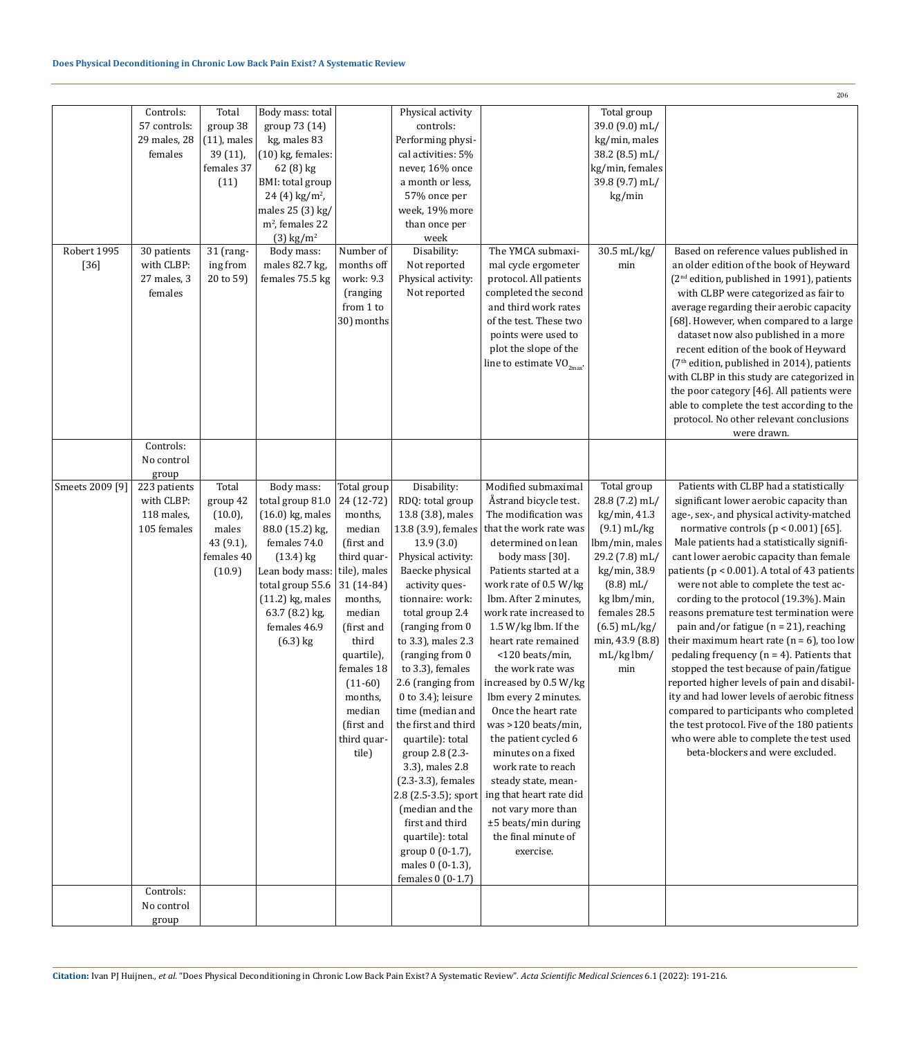|                 |                                                                                                      |                                                                                    |                                                                                                                                                                                                                         |                                                                                                                                                                                                                                                           |                                                                                                                                                                                                                                                                                                                                                                                                                                                                                                                                                                                                    |                                                                                                                                                                                                                                                                                                                                                                                                                                                                                                                                                                                                                                           |                                                                                                                                                                                                                              | 206                                                                                                                                                                                                                                                                                                                                                                                                                                                                                                                                                                                                                                                                                                                                                                                                                                                                                                                     |
|-----------------|------------------------------------------------------------------------------------------------------|------------------------------------------------------------------------------------|-------------------------------------------------------------------------------------------------------------------------------------------------------------------------------------------------------------------------|-----------------------------------------------------------------------------------------------------------------------------------------------------------------------------------------------------------------------------------------------------------|----------------------------------------------------------------------------------------------------------------------------------------------------------------------------------------------------------------------------------------------------------------------------------------------------------------------------------------------------------------------------------------------------------------------------------------------------------------------------------------------------------------------------------------------------------------------------------------------------|-------------------------------------------------------------------------------------------------------------------------------------------------------------------------------------------------------------------------------------------------------------------------------------------------------------------------------------------------------------------------------------------------------------------------------------------------------------------------------------------------------------------------------------------------------------------------------------------------------------------------------------------|------------------------------------------------------------------------------------------------------------------------------------------------------------------------------------------------------------------------------|-------------------------------------------------------------------------------------------------------------------------------------------------------------------------------------------------------------------------------------------------------------------------------------------------------------------------------------------------------------------------------------------------------------------------------------------------------------------------------------------------------------------------------------------------------------------------------------------------------------------------------------------------------------------------------------------------------------------------------------------------------------------------------------------------------------------------------------------------------------------------------------------------------------------------|
| Robert 1995     | Controls:<br>57 controls:<br>29 males, 28<br>females<br>30 patients                                  | Total<br>group 38<br>$(11)$ , males<br>39 (11),<br>females 37<br>(11)<br>31 (rang- | Body mass: total<br>group 73 (14)<br>kg, males 83<br>$(10)$ kg, females:<br>62 (8) kg<br>BMI: total group<br>24 (4) $\text{kg/m}^2$ ,<br>males 25 (3) kg/<br>$m2$ , females 22<br>$(3)$ kg/m <sup>2</sup><br>Body mass: | Number of                                                                                                                                                                                                                                                 | Physical activity<br>controls:<br>Performing physi-<br>cal activities: 5%<br>never, 16% once<br>a month or less,<br>57% once per<br>week, 19% more<br>than once per<br>week<br>Disability:                                                                                                                                                                                                                                                                                                                                                                                                         | The YMCA submaxi-                                                                                                                                                                                                                                                                                                                                                                                                                                                                                                                                                                                                                         | Total group<br>39.0 (9.0) mL/<br>kg/min, males<br>38.2 (8.5) mL/<br>kg/min, females<br>39.8 (9.7) mL/<br>kg/min<br>30.5 mL/kg/                                                                                               | Based on reference values published in                                                                                                                                                                                                                                                                                                                                                                                                                                                                                                                                                                                                                                                                                                                                                                                                                                                                                  |
| $[36]$          | with CLBP:<br>27 males, 3<br>females<br>Controls:                                                    | ing from<br>20 to 59)                                                              | males 82.7 kg,<br>females 75.5 kg                                                                                                                                                                                       | months off<br>work: 9.3<br>(ranging<br>from 1 to<br>30) months                                                                                                                                                                                            | Not reported<br>Physical activity:<br>Not reported                                                                                                                                                                                                                                                                                                                                                                                                                                                                                                                                                 | mal cycle ergometer<br>protocol. All patients<br>completed the second<br>and third work rates<br>of the test. These two<br>points were used to<br>plot the slope of the<br>line to estimate $VO_{2\text{max}}$ .                                                                                                                                                                                                                                                                                                                                                                                                                          | min                                                                                                                                                                                                                          | an older edition of the book of Heyward<br>(2 <sup>nd</sup> edition, published in 1991), patients<br>with CLBP were categorized as fair to<br>average regarding their aerobic capacity<br>[68]. However, when compared to a large<br>dataset now also published in a more<br>recent edition of the book of Heyward<br>(7 <sup>th</sup> edition, published in 2014), patients<br>with CLBP in this study are categorized in<br>the poor category [46]. All patients were<br>able to complete the test according to the<br>protocol. No other relevant conclusions<br>were drawn.                                                                                                                                                                                                                                                                                                                                         |
|                 | No control                                                                                           |                                                                                    |                                                                                                                                                                                                                         |                                                                                                                                                                                                                                                           |                                                                                                                                                                                                                                                                                                                                                                                                                                                                                                                                                                                                    |                                                                                                                                                                                                                                                                                                                                                                                                                                                                                                                                                                                                                                           |                                                                                                                                                                                                                              |                                                                                                                                                                                                                                                                                                                                                                                                                                                                                                                                                                                                                                                                                                                                                                                                                                                                                                                         |
| Smeets 2009 [9] | group<br>223 patients<br>with CLBP:<br>118 males,<br>105 females<br>Controls:<br>No control<br>group | Total<br>group 42<br>$(10.0)$ ,<br>males<br>43 (9.1),<br>females 40<br>(10.9)      | Body mass:<br>total group 81.0<br>$(16.0)$ kg, males<br>88.0 (15.2) kg,<br>females 74.0<br>$(13.4)$ kg<br>Lean body mass:<br>total group 55.6<br>$(11.2)$ kg, males<br>63.7 (8.2) kg,<br>females 46.9<br>$(6.3)$ kg     | Total group<br>24 (12-72)<br>months,<br>median<br>(first and<br>third quar-<br>tile), males<br>31 (14-84)<br>months,<br>median<br>(first and<br>third<br>quartile),<br>females 18<br>$(11-60)$<br>months,<br>median<br>(first and<br>third quar-<br>tile) | Disability:<br>RDQ: total group<br>13.8 (3.8), males<br>13.8 (3.9), females<br>13.9(3.0)<br>Physical activity:<br>Baecke physical<br>activity ques-<br>tionnaire: work:<br>total group 2.4<br>(ranging from 0<br>to 3.3), males 2.3<br>(ranging from 0)<br>to 3.3), females<br>2.6 (ranging from<br>$0$ to 3.4); leisure<br>time (median and<br>the first and third<br>quartile): total<br>group 2.8 (2.3-<br>3.3), males 2.8<br>(2.3-3.3), females<br>2.8 (2.5-3.5); sport<br>(median and the<br>first and third<br>quartile): total<br>group 0 (0-1.7),<br>males 0 (0-1.3),<br>females 0 (0-1.7) | Modified submaximal<br>Åstrand bicycle test.<br>The modification was<br>that the work rate was<br>determined on lean<br>body mass [30].<br>Patients started at a<br>work rate of 0.5 W/kg<br>lbm. After 2 minutes,<br>work rate increased to<br>1.5 W/kg lbm. If the<br>heart rate remained<br><120 beats/min,<br>the work rate was<br>increased by 0.5 W/kg<br>Ibm every 2 minutes.<br>Once the heart rate<br>was >120 beats/min,<br>the patient cycled 6<br>minutes on a fixed<br>work rate to reach<br>steady state, mean-<br>ing that heart rate did<br>not vary more than<br>±5 beats/min during<br>the final minute of<br>exercise. | Total group<br>28.8 (7.2) mL/<br>kg/min, 41.3<br>$(9.1)$ mL/kg<br>lbm/min, males<br>29.2 (7.8) mL/<br>kg/min, 38.9<br>$(8.8)$ mL/<br>kg lbm/min,<br>females 28.5<br>$(6.5)$ mL/kg/<br>min, 43.9 (8.8)<br>$mL/kg$ lbm/<br>min | Patients with CLBP had a statistically<br>significant lower aerobic capacity than<br>age-, sex-, and physical activity-matched<br>normative controls ( $p < 0.001$ ) [65].<br>Male patients had a statistically signifi-<br>cant lower aerobic capacity than female<br>patients ( $p < 0.001$ ). A total of 43 patients<br>were not able to complete the test ac-<br>cording to the protocol (19.3%). Main<br>reasons premature test termination were<br>pain and/or fatigue ( $n = 21$ ), reaching<br>their maximum heart rate ( $n = 6$ ), too low<br>pedaling frequency ( $n = 4$ ). Patients that<br>stopped the test because of pain/fatigue<br>reported higher levels of pain and disabil-<br>ity and had lower levels of aerobic fitness<br>compared to participants who completed<br>the test protocol. Five of the 180 patients<br>who were able to complete the test used<br>beta-blockers and were excluded. |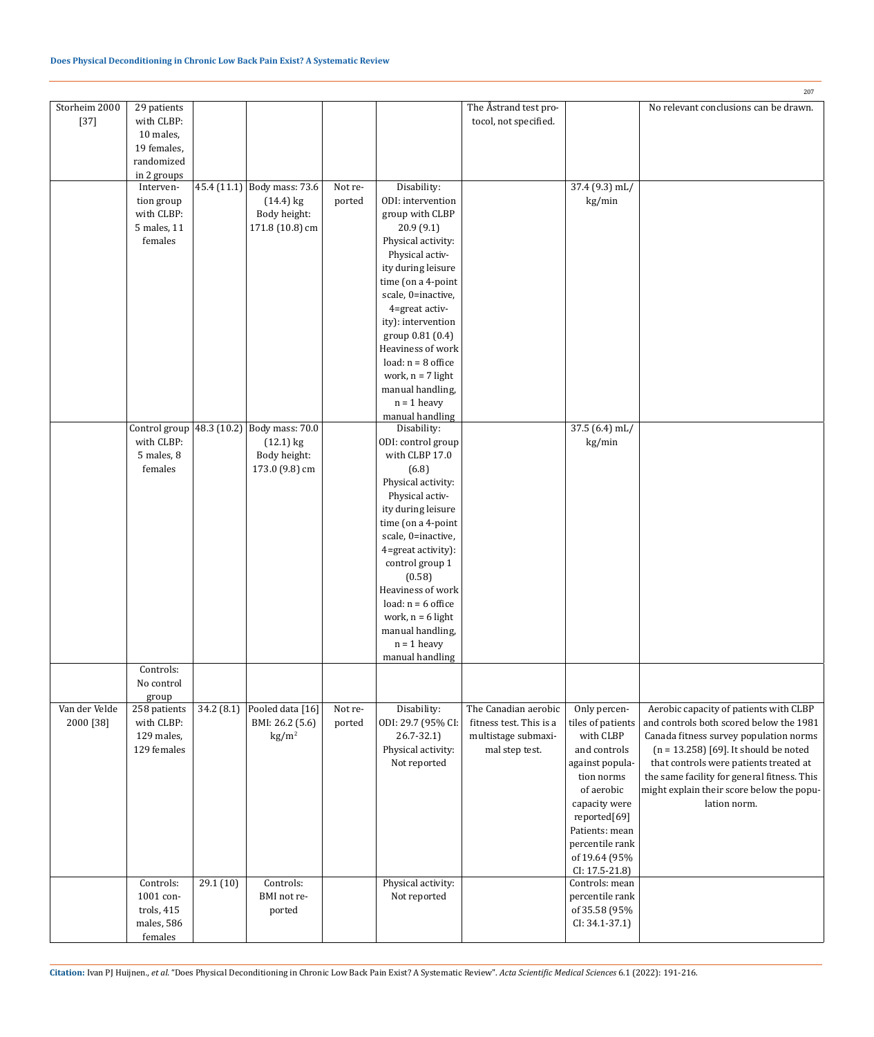|                            |                                                                                             |           |                                                                                              |                   |                                                                                                                                                                                                                                                                                                                                                                     |                                                                                          |                                                                                                                                                                                                                        | 207                                                                                                                                                                                                                                                                                                                          |
|----------------------------|---------------------------------------------------------------------------------------------|-----------|----------------------------------------------------------------------------------------------|-------------------|---------------------------------------------------------------------------------------------------------------------------------------------------------------------------------------------------------------------------------------------------------------------------------------------------------------------------------------------------------------------|------------------------------------------------------------------------------------------|------------------------------------------------------------------------------------------------------------------------------------------------------------------------------------------------------------------------|------------------------------------------------------------------------------------------------------------------------------------------------------------------------------------------------------------------------------------------------------------------------------------------------------------------------------|
| Storheim 2000<br>$[37]$    | 29 patients<br>with CLBP:<br>10 males,<br>19 females,<br>randomized<br>in 2 groups          |           |                                                                                              |                   |                                                                                                                                                                                                                                                                                                                                                                     | The Åstrand test pro-<br>tocol, not specified.                                           |                                                                                                                                                                                                                        | No relevant conclusions can be drawn.                                                                                                                                                                                                                                                                                        |
|                            | Interven-<br>tion group<br>with CLBP:<br>5 males, 11<br>females                             |           | 45.4 $(11.1)$ Body mass: 73.6<br>$(14.4)$ kg<br>Body height:<br>171.8 (10.8) cm              | Not re-<br>ported | Disability:<br>ODI: intervention<br>group with CLBP<br>20.9(9.1)<br>Physical activity:<br>Physical activ-<br>ity during leisure<br>time (on a 4-point<br>scale, 0=inactive,<br>4=great activ-<br>ity): intervention<br>group 0.81 (0.4)<br>Heaviness of work<br>load: $n = 8$ office<br>work, $n = 7$ light<br>manual handling,<br>$n = 1$ heavy<br>manual handling |                                                                                          | 37.4 (9.3) mL/<br>kg/min                                                                                                                                                                                               |                                                                                                                                                                                                                                                                                                                              |
|                            | with CLBP:<br>5 males, 8<br>females                                                         |           | Control group $48.3$ (10.2) Body mass: 70.0<br>$(12.1)$ kg<br>Body height:<br>173.0 (9.8) cm |                   | Disability:<br>ODI: control group<br>with CLBP 17.0<br>(6.8)<br>Physical activity:<br>Physical activ-<br>ity during leisure<br>time (on a 4-point<br>scale, 0=inactive,<br>4=great activity):<br>control group 1<br>(0.58)<br>Heaviness of work<br>load: $n = 6$ office<br>work, $n = 6$ light<br>manual handling,<br>$n = 1$ heavy<br>manual handling              |                                                                                          | $37.5(6.4)$ mL/<br>kg/min                                                                                                                                                                                              |                                                                                                                                                                                                                                                                                                                              |
| Van der Velde<br>2000 [38] | Controls:<br>No control<br>group<br>258 patients<br>with CLBP:<br>129 males,<br>129 females | 34.2(8.1) | Pooled data [16]<br>BMI: 26.2 (5.6)<br>$\text{kg/m}^2$                                       | Not re-<br>ported | Disability:<br>ODI: 29.7 (95% CI:<br>$26.7 - 32.1$<br>Physical activity:<br>Not reported                                                                                                                                                                                                                                                                            | The Canadian aerobic<br>fitness test. This is a<br>multistage submaxi-<br>mal step test. | Only percen-<br>tiles of patients<br>with CLBP<br>and controls<br>against popula-<br>tion norms<br>of aerobic<br>capacity were<br>reported[69]<br>Patients: mean<br>percentile rank<br>of 19.64 (95%<br>CI: 17.5-21.8) | Aerobic capacity of patients with CLBP<br>and controls both scored below the 1981<br>Canada fitness survey population norms<br>$(n = 13.258)$ [69]. It should be noted<br>that controls were patients treated at<br>the same facility for general fitness. This<br>might explain their score below the popu-<br>lation norm. |
|                            | Controls:<br>1001 con-<br>trols, 415<br>males, 586<br>females                               | 29.1 (10) | Controls:<br>BMI not re-<br>ported                                                           |                   | Physical activity:<br>Not reported                                                                                                                                                                                                                                                                                                                                  |                                                                                          | Controls: mean<br>percentile rank<br>of 35.58 (95%<br>$CI: 34.1 - 37.1$                                                                                                                                                |                                                                                                                                                                                                                                                                                                                              |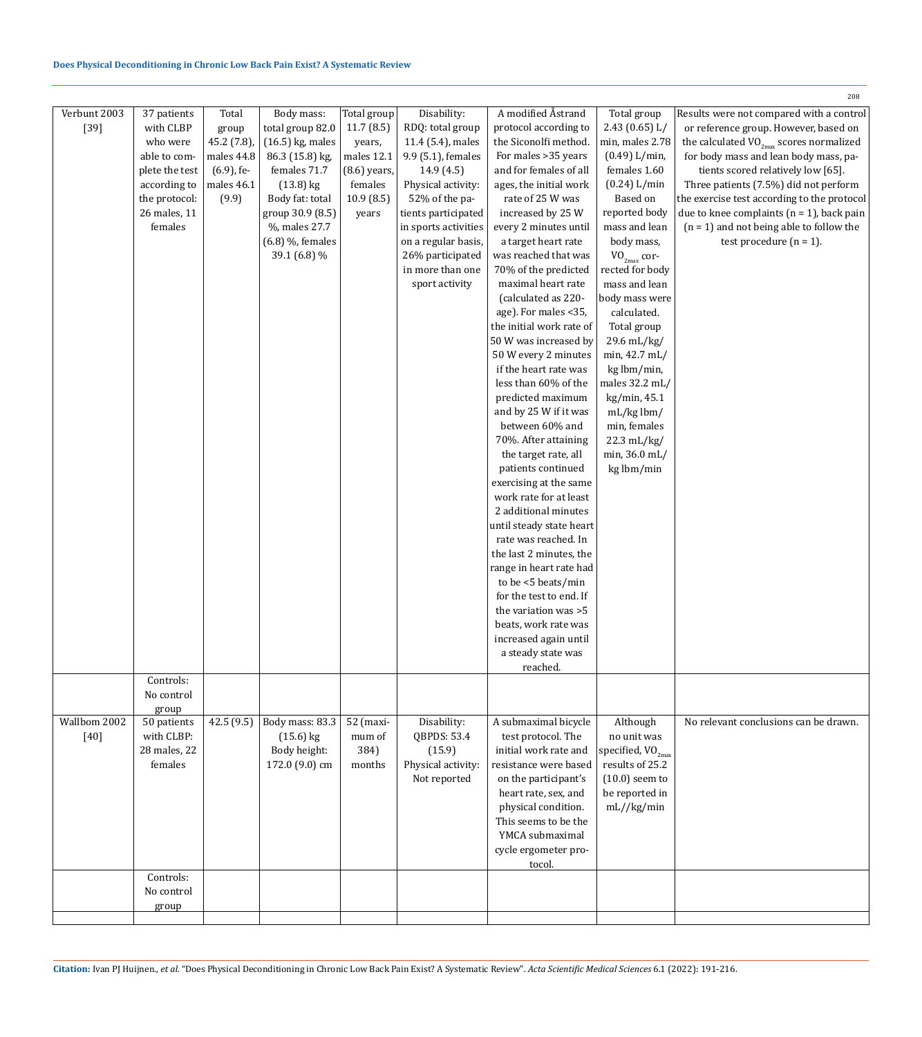# **Does Physical Deconditioning in Chronic Low Back Pain Exist? A Systematic Review**

|              |                |               |                    |                |                      |                          |                        | 208                                           |
|--------------|----------------|---------------|--------------------|----------------|----------------------|--------------------------|------------------------|-----------------------------------------------|
| Verbunt 2003 | 37 patients    | Total         | Body mass:         | Total group    | Disability:          | A modified Åstrand       | Total group            | Results were not compared with a control      |
| $[39]$       | with CLBP      | group         | total group 82.0   | 11.7(8.5)      | RDQ: total group     | protocol according to    | 2.43(0.65) L/          | or reference group. However, based on         |
|              | who were       | 45.2 (7.8),   | $(16.5)$ kg, males | years,         | 11.4 (5.4), males    | the Siconolfi method.    | min, males 2.78        | the calculated $VO_{2max}$ scores normalized  |
|              | able to com-   | males 44.8    | 86.3 (15.8) kg,    | males 12.1     | 9.9 (5.1), females   | For males > 35 years     | (0.49) L/min,          | for body mass and lean body mass, pa-         |
|              | plete the test | $(6.9)$ , fe- | females 71.7       | $(8.6)$ years, | 14.9(4.5)            | and for females of all   | females 1.60           | tients scored relatively low [65].            |
|              | according to   | males 46.1    | $(13.8)$ kg        | females        | Physical activity:   | ages, the initial work   | (0.24) L/min           | Three patients (7.5%) did not perform         |
|              | the protocol:  | (9.9)         | Body fat: total    | 10.9(8.5)      | 52% of the pa-       | rate of 25 W was         | Based on               | the exercise test according to the protocol   |
|              | 26 males, 11   |               | group 30.9 (8.5)   | years          | tients participated  | increased by 25 W        | reported body          | due to knee complaints ( $n = 1$ ), back pain |
|              | females        |               | %, males 27.7      |                |                      | every 2 minutes until    | mass and lean          | $(n = 1)$ and not being able to follow the    |
|              |                |               |                    |                | in sports activities |                          |                        |                                               |
|              |                |               | $(6.8)$ %, females |                | on a regular basis,  | a target heart rate      | body mass,             | test procedure $(n = 1)$ .                    |
|              |                |               | 39.1 (6.8) %       |                | 26% participated     | was reached that was     | $VO_{2max}$ cor-       |                                               |
|              |                |               |                    |                | in more than one     | 70% of the predicted     | rected for body        |                                               |
|              |                |               |                    |                | sport activity       | maximal heart rate       | mass and lean          |                                               |
|              |                |               |                    |                |                      | (calculated as 220-      | body mass were         |                                               |
|              |                |               |                    |                |                      | age). For males <35,     | calculated.            |                                               |
|              |                |               |                    |                |                      | the initial work rate of | Total group            |                                               |
|              |                |               |                    |                |                      | 50 W was increased by    | 29.6 mL/kg/            |                                               |
|              |                |               |                    |                |                      | 50 W every 2 minutes     | min, 42.7 mL/          |                                               |
|              |                |               |                    |                |                      | if the heart rate was    | kg lbm/min,            |                                               |
|              |                |               |                    |                |                      | less than 60% of the     | males 32.2 mL/         |                                               |
|              |                |               |                    |                |                      | predicted maximum        | kg/min, 45.1           |                                               |
|              |                |               |                    |                |                      | and by 25 W if it was    | $mL/kg$ lbm/           |                                               |
|              |                |               |                    |                |                      |                          |                        |                                               |
|              |                |               |                    |                |                      | between 60% and          | min, females           |                                               |
|              |                |               |                    |                |                      | 70%. After attaining     | 22.3 mL/kg/            |                                               |
|              |                |               |                    |                |                      | the target rate, all     | min, 36.0 mL/          |                                               |
|              |                |               |                    |                |                      | patients continued       | kg lbm/min             |                                               |
|              |                |               |                    |                |                      | exercising at the same   |                        |                                               |
|              |                |               |                    |                |                      | work rate for at least   |                        |                                               |
|              |                |               |                    |                |                      | 2 additional minutes     |                        |                                               |
|              |                |               |                    |                |                      | until steady state heart |                        |                                               |
|              |                |               |                    |                |                      | rate was reached. In     |                        |                                               |
|              |                |               |                    |                |                      | the last 2 minutes, the  |                        |                                               |
|              |                |               |                    |                |                      | range in heart rate had  |                        |                                               |
|              |                |               |                    |                |                      | to be <5 beats/min       |                        |                                               |
|              |                |               |                    |                |                      | for the test to end. If  |                        |                                               |
|              |                |               |                    |                |                      | the variation was >5     |                        |                                               |
|              |                |               |                    |                |                      |                          |                        |                                               |
|              |                |               |                    |                |                      | beats, work rate was     |                        |                                               |
|              |                |               |                    |                |                      | increased again until    |                        |                                               |
|              |                |               |                    |                |                      | a steady state was       |                        |                                               |
|              |                |               |                    |                |                      | reached.                 |                        |                                               |
|              | Controls:      |               |                    |                |                      |                          |                        |                                               |
|              | No control     |               |                    |                |                      |                          |                        |                                               |
|              | group          |               |                    |                |                      |                          |                        |                                               |
| Wallbom 2002 | 50 patients    | 42.5 (9.5)    | Body mass: 83.3    | 52 (maxi-      | Disability:          | A submaximal bicycle     | Although               | No relevant conclusions can be drawn.         |
| $[40]$       | with CLBP:     |               | $(15.6)$ kg        | mum of         | QBPDS: 53.4          | test protocol. The       | no unit was            |                                               |
|              | 28 males, 22   |               | Body height:       | 384)           | (15.9)               | initial work rate and    | specified, $VO_{2max}$ |                                               |
|              | females        |               | 172.0 (9.0) cm     | months         | Physical activity:   | resistance were based    | results of 25.2        |                                               |
|              |                |               |                    |                | Not reported         | on the participant's     | $(10.0)$ seem to       |                                               |
|              |                |               |                    |                |                      | heart rate, sex, and     | be reported in         |                                               |
|              |                |               |                    |                |                      | physical condition.      | mL//kg/min             |                                               |
|              |                |               |                    |                |                      | This seems to be the     |                        |                                               |
|              |                |               |                    |                |                      | YMCA submaximal          |                        |                                               |
|              |                |               |                    |                |                      |                          |                        |                                               |
|              |                |               |                    |                |                      | cycle ergometer pro-     |                        |                                               |
|              |                |               |                    |                |                      | tocol.                   |                        |                                               |
|              | Controls:      |               |                    |                |                      |                          |                        |                                               |
|              | No control     |               |                    |                |                      |                          |                        |                                               |
|              | group          |               |                    |                |                      |                          |                        |                                               |
|              |                |               |                    |                |                      |                          |                        |                                               |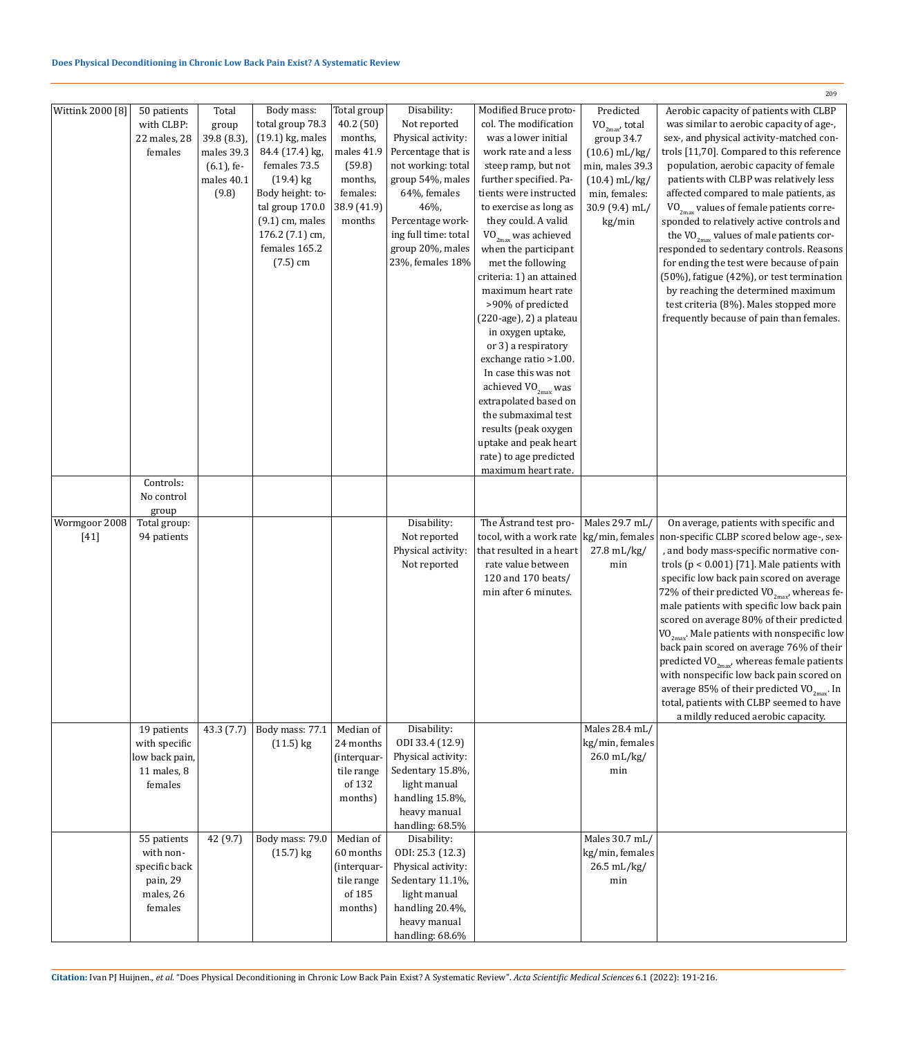# **Does Physical Deconditioning in Chronic Low Back Pain Exist? A Systematic Review**

| Wittink 2000 [8]        | 50 patients<br>with CLBP:<br>22 males, 28<br>females                          | Total<br>group<br>39.8 (8.3),<br>males 39.3<br>$(6.1)$ , fe-<br>males 40.1<br>(9.8) | Body mass:<br>total group 78.3<br>$(19.1)$ kg, males<br>84.4 (17.4) kg,<br>females 73.5<br>$(19.4)$ kg<br>Body height: to-<br>tal group 170.0<br>$(9.1)$ cm, males<br>176.2 (7.1) cm,<br>females 165.2<br>$(7.5)$ cm | Total group<br>40.2 (50)<br>months,<br>males 41.9<br>(59.8)<br>months,<br>females:<br>38.9 (41.9)<br>months | Disability:<br>Not reported<br>Physical activity:<br>Percentage that is<br>not working: total<br>group 54%, males<br>64%, females<br>46%,<br>Percentage work-<br>ing full time: total<br>group 20%, males<br>23%, females 18% | Modified Bruce proto-<br>col. The modification<br>was a lower initial<br>work rate and a less<br>steep ramp, but not<br>further specified. Pa-<br>tients were instructed<br>to exercise as long as<br>they could. A valid<br>$\mbox{\rm VO}_{\mbox{\tiny 2max}}$ was achieved<br>when the participant<br>met the following<br>criteria: 1) an attained<br>maximum heart rate<br>>90% of predicted<br>$(220 \text{-age})$ , 2) a plateau<br>in oxygen uptake,<br>or 3) a respiratory<br>exchange ratio >1.00.<br>In case this was not<br>achieved $\mbox{VO}_{\mbox{\tiny 2max}}$ was<br>extrapolated based on<br>the submaximal test<br>results (peak oxygen<br>uptake and peak heart<br>rate) to age predicted | Predicted<br>$VO_{2max}$ , total<br>group 34.7<br>$(10.6)$ mL/kg/<br>min, males 39.3<br>$(10.4)$ mL/kg/<br>min, females:<br>30.9 (9.4) mL/<br>kg/min | 209<br>Aerobic capacity of patients with CLBP<br>was similar to aerobic capacity of age-,<br>sex-, and physical activity-matched con-<br>trols [11,70]. Compared to this reference<br>population, aerobic capacity of female<br>patients with CLBP was relatively less<br>affected compared to male patients, as<br>$VO_{2max}$ values of female patients corre-<br>sponded to relatively active controls and<br>the VO <sub>2max</sub> values of male patients cor-<br>responded to sedentary controls. Reasons<br>for ending the test were because of pain<br>(50%), fatigue (42%), or test termination<br>by reaching the determined maximum<br>test criteria (8%). Males stopped more<br>frequently because of pain than females. |
|-------------------------|-------------------------------------------------------------------------------|-------------------------------------------------------------------------------------|----------------------------------------------------------------------------------------------------------------------------------------------------------------------------------------------------------------------|-------------------------------------------------------------------------------------------------------------|-------------------------------------------------------------------------------------------------------------------------------------------------------------------------------------------------------------------------------|-----------------------------------------------------------------------------------------------------------------------------------------------------------------------------------------------------------------------------------------------------------------------------------------------------------------------------------------------------------------------------------------------------------------------------------------------------------------------------------------------------------------------------------------------------------------------------------------------------------------------------------------------------------------------------------------------------------------|------------------------------------------------------------------------------------------------------------------------------------------------------|---------------------------------------------------------------------------------------------------------------------------------------------------------------------------------------------------------------------------------------------------------------------------------------------------------------------------------------------------------------------------------------------------------------------------------------------------------------------------------------------------------------------------------------------------------------------------------------------------------------------------------------------------------------------------------------------------------------------------------------|
|                         |                                                                               |                                                                                     |                                                                                                                                                                                                                      |                                                                                                             |                                                                                                                                                                                                                               | maximum heart rate.                                                                                                                                                                                                                                                                                                                                                                                                                                                                                                                                                                                                                                                                                             |                                                                                                                                                      |                                                                                                                                                                                                                                                                                                                                                                                                                                                                                                                                                                                                                                                                                                                                       |
|                         | Controls:<br>No control<br>group                                              |                                                                                     |                                                                                                                                                                                                                      |                                                                                                             |                                                                                                                                                                                                                               |                                                                                                                                                                                                                                                                                                                                                                                                                                                                                                                                                                                                                                                                                                                 |                                                                                                                                                      |                                                                                                                                                                                                                                                                                                                                                                                                                                                                                                                                                                                                                                                                                                                                       |
| Wormgoor 2008<br>$[41]$ | Total group:<br>94 patients                                                   |                                                                                     |                                                                                                                                                                                                                      |                                                                                                             | Disability:<br>Not reported<br>Physical activity:<br>Not reported                                                                                                                                                             | The Åstrand test pro-<br>tocol, with a work rate<br>that resulted in a heart<br>rate value between<br>120 and 170 beats/<br>min after 6 minutes.                                                                                                                                                                                                                                                                                                                                                                                                                                                                                                                                                                | Males 29.7 mL/<br>kg/min, females<br>27.8 mL/kg/<br>min                                                                                              | On average, patients with specific and<br>non-specific CLBP scored below age-, sex-<br>, and body mass-specific normative con-<br>trols ( $p < 0.001$ ) [71]. Male patients with<br>specific low back pain scored on average<br>72% of their predicted $VO_{2max}$ , whereas fe-<br>male patients with specific low back pain<br>scored on average 80% of their predicted<br>$VO_{2max}$ . Male patients with nonspecific low<br>back pain scored on average 76% of their<br>predicted VO $_{2\rm max}$ whereas female patients<br>with nonspecific low back pain scored on<br>average 85% of their predicted VO <sub>2max</sub> . In<br>total, patients with CLBP seemed to have<br>a mildly reduced aerobic capacity.               |
|                         | 19 patients<br>with specific<br>low back pain,<br>11 males, 8<br>females      | 43.3 (7.7)                                                                          | Body mass: 77.1<br>$(11.5)$ kg                                                                                                                                                                                       | Median of<br>24 months<br>(interquar-<br>tile range<br>of 132<br>months)                                    | Disability:<br>ODI 33.4 (12.9)<br>Physical activity:<br>Sedentary 15.8%,<br>light manual<br>handling 15.8%,<br>heavy manual<br>handling: 68.5%                                                                                |                                                                                                                                                                                                                                                                                                                                                                                                                                                                                                                                                                                                                                                                                                                 | Males 28.4 mL/<br>kg/min, females<br>26.0 mL/kg/<br>min                                                                                              |                                                                                                                                                                                                                                                                                                                                                                                                                                                                                                                                                                                                                                                                                                                                       |
|                         | 55 patients<br>with non-<br>specific back<br>pain, 29<br>males, 26<br>females | 42 (9.7)                                                                            | Body mass: 79.0<br>$(15.7)$ kg                                                                                                                                                                                       | Median of<br>60 months<br>(interquar-<br>tile range<br>of 185<br>months)                                    | Disability:<br>ODI: 25.3 (12.3)<br>Physical activity:<br>Sedentary 11.1%,<br>light manual<br>handling 20.4%,<br>heavy manual<br>handling: 68.6%                                                                               |                                                                                                                                                                                                                                                                                                                                                                                                                                                                                                                                                                                                                                                                                                                 | Males 30.7 mL/<br>kg/min, females<br>26.5 mL/kg/<br>min                                                                                              |                                                                                                                                                                                                                                                                                                                                                                                                                                                                                                                                                                                                                                                                                                                                       |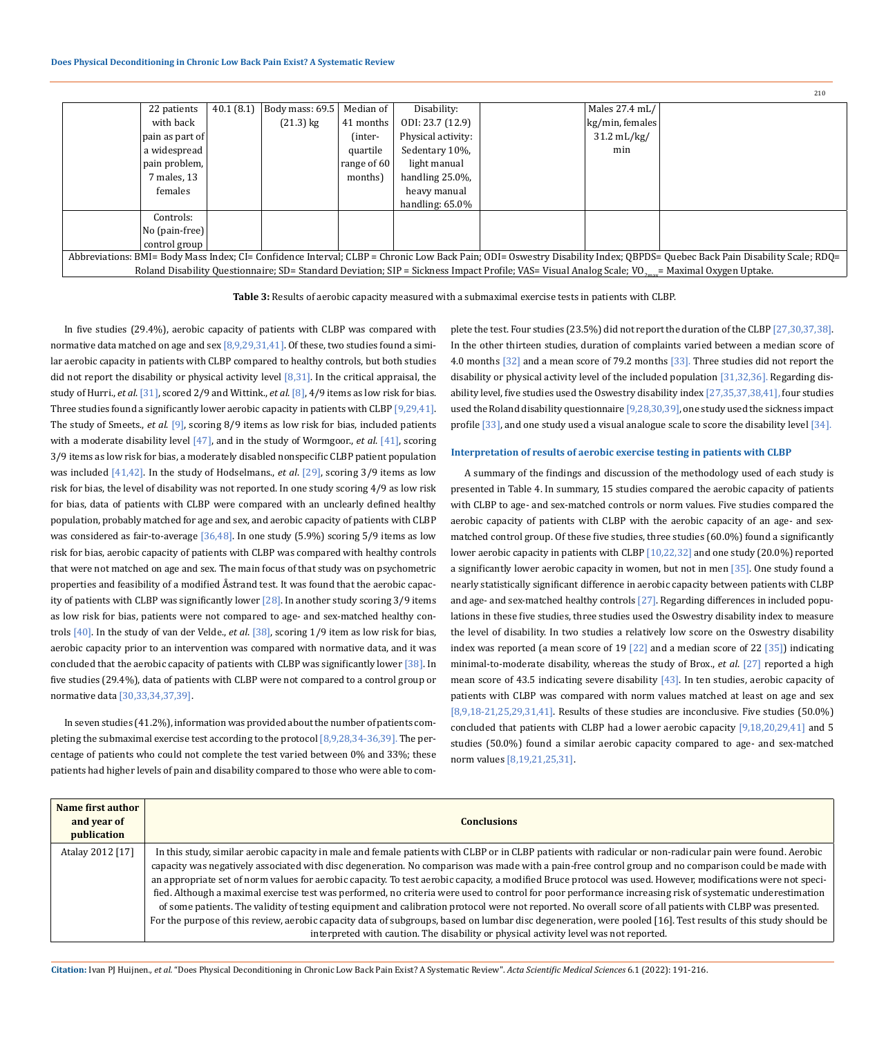| 22 patients                                                                                                                                                                | 40.1(8.1) | Body mass: 69.5 | Median of   | Disability:        |  | Males 27.4 mL/       |  |  |
|----------------------------------------------------------------------------------------------------------------------------------------------------------------------------|-----------|-----------------|-------------|--------------------|--|----------------------|--|--|
| with back                                                                                                                                                                  |           | $(21.3)$ kg     | 41 months   | ODI: 23.7 (12.9)   |  | $kg/min$ , females   |  |  |
| pain as part of                                                                                                                                                            |           |                 | (inter-     | Physical activity: |  | $31.2 \text{ mL/kg}$ |  |  |
| a widespread                                                                                                                                                               |           |                 | quartile    | Sedentary 10%,     |  | min                  |  |  |
| pain problem,                                                                                                                                                              |           |                 | range of 60 | light manual       |  |                      |  |  |
| 7 males, 13                                                                                                                                                                |           |                 | months)     | handling 25.0%,    |  |                      |  |  |
| females                                                                                                                                                                    |           |                 |             | heavy manual       |  |                      |  |  |
|                                                                                                                                                                            |           |                 |             | handling: $65.0\%$ |  |                      |  |  |
| Controls:                                                                                                                                                                  |           |                 |             |                    |  |                      |  |  |
| $\sqrt{N}$ (pain-free)                                                                                                                                                     |           |                 |             |                    |  |                      |  |  |
| control group                                                                                                                                                              |           |                 |             |                    |  |                      |  |  |
| Abbreviations: BMI= Body Mass Index; CI= Confidence Interval; CLBP = Chronic Low Back Pain; ODI= Oswestry Disability Index; QBPDS= Quebec Back Pain Disability Scale; RDQ= |           |                 |             |                    |  |                      |  |  |
| Roland Disability Questionnaire; SD= Standard Deviation; SIP = Sickness Impact Profile; VAS= Visual Analog Scale; VO <sub>2mn</sub> = Maximal Oxygen Uptake.               |           |                 |             |                    |  |                      |  |  |
|                                                                                                                                                                            |           |                 |             |                    |  |                      |  |  |

**Table 3:** Results of aerobic capacity measured with a submaximal exercise tests in patients with CLBP.

In five studies (29.4%), aerobic capacity of patients with CLBP was compared with normative data matched on age and sex [8,9,29,31,41]. Of these, two studies found a similar aerobic capacity in patients with CLBP compared to healthy controls, but both studies did not report the disability or physical activity level  $[8,31]$ . In the critical appraisal, the study of Hurri., *et al*. [31], scored 2/9 and Wittink., *et al*. [8], 4/9 items as low risk for bias. Three studies found a significantly lower aerobic capacity in patients with CLBP [9,29,41]. The study of Smeets., *et al*. [9], scoring 8/9 items as low risk for bias, included patients with a moderate disability level [47], and in the study of Wormgoor., *et al*. [41], scoring 3/9 items as low risk for bias, a moderately disabled nonspecific CLBP patient population was included [41,42]. In the study of Hodselmans., *et al*. [29], scoring 3/9 items as low risk for bias, the level of disability was not reported. In one study scoring 4/9 as low risk for bias, data of patients with CLBP were compared with an unclearly defined healthy population, probably matched for age and sex, and aerobic capacity of patients with CLBP was considered as fair-to-average  $[36,48]$ . In one study  $(5.9\%)$  scoring  $5/9$  items as low risk for bias, aerobic capacity of patients with CLBP was compared with healthy controls that were not matched on age and sex. The main focus of that study was on psychometric properties and feasibility of a modified Åstrand test. It was found that the aerobic capacity of patients with CLBP was significantly lower  $[28]$ . In another study scoring 3/9 items as low risk for bias, patients were not compared to age- and sex-matched healthy controls [40]. In the study of van der Velde., *et al*. [38], scoring 1/9 item as low risk for bias, aerobic capacity prior to an intervention was compared with normative data, and it was concluded that the aerobic capacity of patients with CLBP was significantly lower [38]. In five studies (29.4%), data of patients with CLBP were not compared to a control group or normative data [30,33,34,37,39].

In seven studies (41.2%), information was provided about the number of patients completing the submaximal exercise test according to the protocol [8,9,28,34-36,39]. The percentage of patients who could not complete the test varied between 0% and 33%; these patients had higher levels of pain and disability compared to those who were able to complete the test. Four studies (23.5%) did not report the duration of the CLBP [27,30,37,38]. In the other thirteen studies, duration of complaints varied between a median score of 4.0 months [32] and a mean score of 79.2 months [33]. Three studies did not report the disability or physical activity level of the included population [31,32,36]. Regarding disability level, five studies used the Oswestry disability index [27,35,37,38,41], four studies used the Roland disability questionnaire [9,28,30,39], one study used the sickness impact profile [33], and one study used a visual analogue scale to score the disability level [34].

 $210$ 

# **Interpretation of results of aerobic exercise testing in patients with CLBP**

A summary of the findings and discussion of the methodology used of each study is presented in Table 4. In summary, 15 studies compared the aerobic capacity of patients with CLBP to age- and sex-matched controls or norm values. Five studies compared the aerobic capacity of patients with CLBP with the aerobic capacity of an age- and sexmatched control group. Of these five studies, three studies (60.0%) found a significantly lower aerobic capacity in patients with CLBP [10,22,32] and one study (20.0%) reported a significantly lower aerobic capacity in women, but not in men [35]. One study found a nearly statistically significant difference in aerobic capacity between patients with CLBP and age- and sex-matched healthy controls [27]. Regarding differences in included populations in these five studies, three studies used the Oswestry disability index to measure the level of disability. In two studies a relatively low score on the Oswestry disability index was reported (a mean score of 19 [22] and a median score of 22 [35]) indicating minimal-to-moderate disability, whereas the study of Brox., *et al*. [27] reported a high mean score of 43.5 indicating severe disability  $[43]$ . In ten studies, aerobic capacity of patients with CLBP was compared with norm values matched at least on age and sex [8,9,18-21,25,29,31,41]. Results of these studies are inconclusive. Five studies (50.0%) concluded that patients with CLBP had a lower aerobic capacity  $[9,18,20,29,41]$  and 5 studies (50.0%) found a similar aerobic capacity compared to age- and sex-matched norm values [8,19,21,25,31].

| Name first author<br>and year of<br>publication | <b>Conclusions</b>                                                                                                                                                                                                                                                                                                                                                                                                                                                                                                                                                                                                                                                                                                                                                                                                                                                                                                                                                                                                                                                      |
|-------------------------------------------------|-------------------------------------------------------------------------------------------------------------------------------------------------------------------------------------------------------------------------------------------------------------------------------------------------------------------------------------------------------------------------------------------------------------------------------------------------------------------------------------------------------------------------------------------------------------------------------------------------------------------------------------------------------------------------------------------------------------------------------------------------------------------------------------------------------------------------------------------------------------------------------------------------------------------------------------------------------------------------------------------------------------------------------------------------------------------------|
| Atalay 2012 [17]                                | In this study, similar aerobic capacity in male and female patients with CLBP or in CLBP patients with radicular or non-radicular pain were found. Aerobic<br>capacity was negatively associated with disc degeneration. No comparison was made with a pain-free control group and no comparison could be made with<br>an appropriate set of norm values for aerobic capacity. To test aerobic capacity, a modified Bruce protocol was used. However, modifications were not speci-<br>fied. Although a maximal exercise test was performed, no criteria were used to control for poor performance increasing risk of systematic underestimation<br>of some patients. The validity of testing equipment and calibration protocol were not reported. No overall score of all patients with CLBP was presented.<br>For the purpose of this review, aerobic capacity data of subgroups, based on lumbar disc degeneration, were pooled [16]. Test results of this study should be<br>interpreted with caution. The disability or physical activity level was not reported. |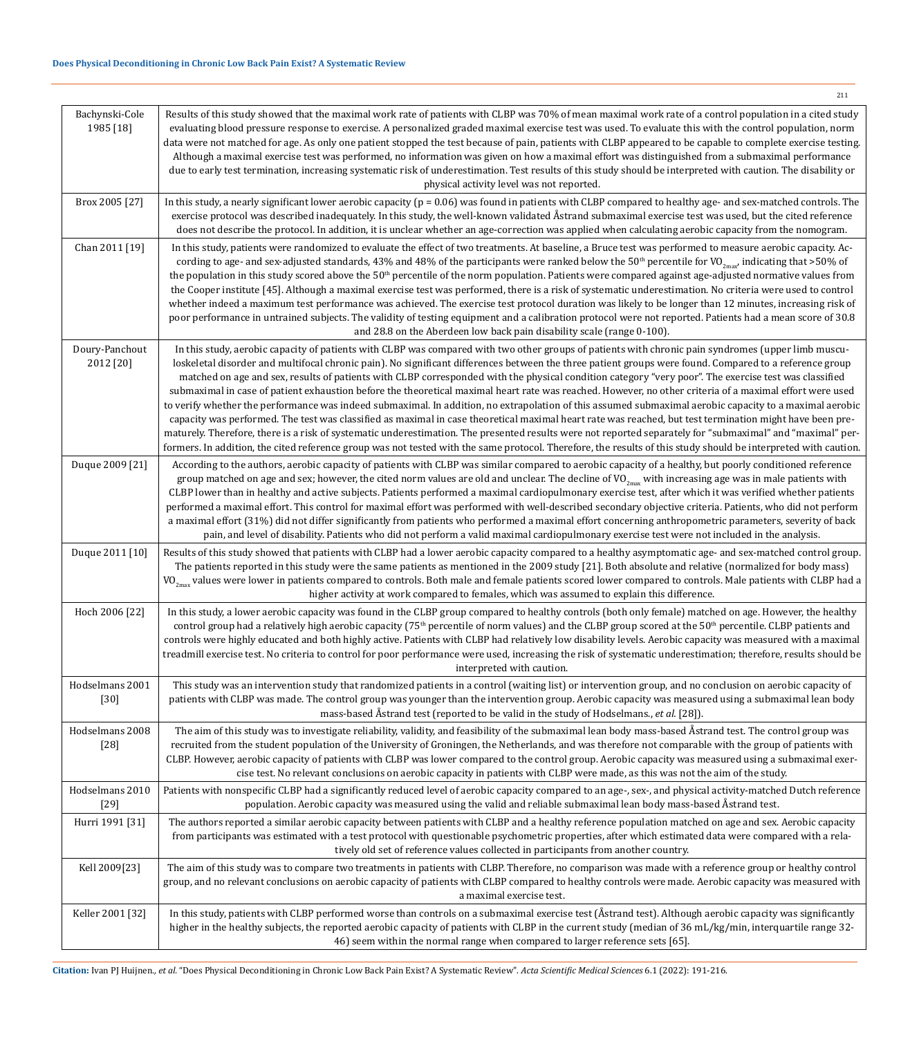| Bachynski-Cole<br>1985 [18] | Results of this study showed that the maximal work rate of patients with CLBP was 70% of mean maximal work rate of a control population in a cited study<br>evaluating blood pressure response to exercise. A personalized graded maximal exercise test was used. To evaluate this with the control population, norm<br>data were not matched for age. As only one patient stopped the test because of pain, patients with CLBP appeared to be capable to complete exercise testing.<br>Although a maximal exercise test was performed, no information was given on how a maximal effort was distinguished from a submaximal performance<br>due to early test termination, increasing systematic risk of underestimation. Test results of this study should be interpreted with caution. The disability or<br>physical activity level was not reported.                                                                                                                                                                                                                                                                                                                                                                                                                                     |
|-----------------------------|---------------------------------------------------------------------------------------------------------------------------------------------------------------------------------------------------------------------------------------------------------------------------------------------------------------------------------------------------------------------------------------------------------------------------------------------------------------------------------------------------------------------------------------------------------------------------------------------------------------------------------------------------------------------------------------------------------------------------------------------------------------------------------------------------------------------------------------------------------------------------------------------------------------------------------------------------------------------------------------------------------------------------------------------------------------------------------------------------------------------------------------------------------------------------------------------------------------------------------------------------------------------------------------------|
| Brox 2005 [27]              | In this study, a nearly significant lower aerobic capacity ( $p = 0.06$ ) was found in patients with CLBP compared to healthy age- and sex-matched controls. The<br>exercise protocol was described inadequately. In this study, the well-known validated Åstrand submaximal exercise test was used, but the cited reference<br>does not describe the protocol. In addition, it is unclear whether an age-correction was applied when calculating aerobic capacity from the nomogram.                                                                                                                                                                                                                                                                                                                                                                                                                                                                                                                                                                                                                                                                                                                                                                                                       |
| Chan 2011 [19]              | In this study, patients were randomized to evaluate the effect of two treatments. At baseline, a Bruce test was performed to measure aerobic capacity. Ac-<br>cording to age- and sex-adjusted standards, 43% and 48% of the participants were ranked below the 50 <sup>th</sup> percentile for VO <sub>2max</sub> , indicating that >50% of<br>the population in this study scored above the 50 <sup>th</sup> percentile of the norm population. Patients were compared against age-adjusted normative values from<br>the Cooper institute [45]. Although a maximal exercise test was performed, there is a risk of systematic underestimation. No criteria were used to control<br>whether indeed a maximum test performance was achieved. The exercise test protocol duration was likely to be longer than 12 minutes, increasing risk of<br>poor performance in untrained subjects. The validity of testing equipment and a calibration protocol were not reported. Patients had a mean score of 30.8<br>and 28.8 on the Aberdeen low back pain disability scale (range 0-100).                                                                                                                                                                                                         |
| Doury-Panchout<br>2012 [20] | In this study, aerobic capacity of patients with CLBP was compared with two other groups of patients with chronic pain syndromes (upper limb muscu-<br>loskeletal disorder and multifocal chronic pain). No significant differences between the three patient groups were found. Compared to a reference group<br>matched on age and sex, results of patients with CLBP corresponded with the physical condition category "very poor". The exercise test was classified<br>submaximal in case of patient exhaustion before the theoretical maximal heart rate was reached. However, no other criteria of a maximal effort were used<br>to verify whether the performance was indeed submaximal. In addition, no extrapolation of this assumed submaximal aerobic capacity to a maximal aerobic<br>capacity was performed. The test was classified as maximal in case theoretical maximal heart rate was reached, but test termination might have been pre-<br>maturely. Therefore, there is a risk of systematic underestimation. The presented results were not reported separately for "submaximal" and "maximal" per-<br>formers. In addition, the cited reference group was not tested with the same protocol. Therefore, the results of this study should be interpreted with caution. |
| Duque 2009 [21]             | According to the authors, aerobic capacity of patients with CLBP was similar compared to aerobic capacity of a healthy, but poorly conditioned reference<br>group matched on age and sex; however, the cited norm values are old and unclear. The decline of VO <sub>2max</sub> with increasing age was in male patients with<br>CLBP lower than in healthy and active subjects. Patients performed a maximal cardiopulmonary exercise test, after which it was verified whether patients<br>performed a maximal effort. This control for maximal effort was performed with well-described secondary objective criteria. Patients, who did not perform<br>a maximal effort (31%) did not differ significantly from patients who performed a maximal effort concerning anthropometric parameters, severity of back<br>pain, and level of disability. Patients who did not perform a valid maximal cardiopulmonary exercise test were not included in the analysis.                                                                                                                                                                                                                                                                                                                           |
| Duque 2011 [10]             | Results of this study showed that patients with CLBP had a lower aerobic capacity compared to a healthy asymptomatic age- and sex-matched control group.<br>The patients reported in this study were the same patients as mentioned in the 2009 study [21]. Both absolute and relative (normalized for body mass)<br>$VO_{2max}$ values were lower in patients compared to controls. Both male and female patients scored lower compared to controls. Male patients with CLBP had a<br>higher activity at work compared to females, which was assumed to explain this difference.                                                                                                                                                                                                                                                                                                                                                                                                                                                                                                                                                                                                                                                                                                           |
| Hoch 2006 [22]              | In this study, a lower aerobic capacity was found in the CLBP group compared to healthy controls (both only female) matched on age. However, the healthy<br>control group had a relatively high aerobic capacity (75 <sup>th</sup> percentile of norm values) and the CLBP group scored at the 50 <sup>th</sup> percentile. CLBP patients and<br>controls were highly educated and both highly active. Patients with CLBP had relatively low disability levels. Aerobic capacity was measured with a maximal<br>treadmill exercise test. No criteria to control for poor performance were used, increasing the risk of systematic underestimation; therefore, results should be<br>interpreted with caution.                                                                                                                                                                                                                                                                                                                                                                                                                                                                                                                                                                                |
| Hodselmans 2001<br>$[30]$   | This study was an intervention study that randomized patients in a control (waiting list) or intervention group, and no conclusion on aerobic capacity of<br>patients with CLBP was made. The control group was younger than the intervention group. Aerobic capacity was measured using a submaximal lean body<br>mass-based Åstrand test (reported to be valid in the study of Hodselmans., et al. [28]).                                                                                                                                                                                                                                                                                                                                                                                                                                                                                                                                                                                                                                                                                                                                                                                                                                                                                 |
| Hodselmans 2008<br>$[28]$   | The aim of this study was to investigate reliability, validity, and feasibility of the submaximal lean body mass-based Åstrand test. The control group was<br>recruited from the student population of the University of Groningen, the Netherlands, and was therefore not comparable with the group of patients with<br>CLBP. However, aerobic capacity of patients with CLBP was lower compared to the control group. Aerobic capacity was measured using a submaximal exer-<br>cise test. No relevant conclusions on aerobic capacity in patients with CLBP were made, as this was not the aim of the study.                                                                                                                                                                                                                                                                                                                                                                                                                                                                                                                                                                                                                                                                             |
| Hodselmans 2010<br>$[29]$   | Patients with nonspecific CLBP had a significantly reduced level of aerobic capacity compared to an age-, sex-, and physical activity-matched Dutch reference<br>population. Aerobic capacity was measured using the valid and reliable submaximal lean body mass-based Åstrand test.                                                                                                                                                                                                                                                                                                                                                                                                                                                                                                                                                                                                                                                                                                                                                                                                                                                                                                                                                                                                       |
| Hurri 1991 [31]             | The authors reported a similar aerobic capacity between patients with CLBP and a healthy reference population matched on age and sex. Aerobic capacity<br>from participants was estimated with a test protocol with questionable psychometric properties, after which estimated data were compared with a rela-<br>tively old set of reference values collected in participants from another country.                                                                                                                                                                                                                                                                                                                                                                                                                                                                                                                                                                                                                                                                                                                                                                                                                                                                                       |
| Kell 2009[23]               | The aim of this study was to compare two treatments in patients with CLBP. Therefore, no comparison was made with a reference group or healthy control<br>group, and no relevant conclusions on aerobic capacity of patients with CLBP compared to healthy controls were made. Aerobic capacity was measured with<br>a maximal exercise test.                                                                                                                                                                                                                                                                                                                                                                                                                                                                                                                                                                                                                                                                                                                                                                                                                                                                                                                                               |
| Keller 2001 [32]            | In this study, patients with CLBP performed worse than controls on a submaximal exercise test (Astrand test). Although aerobic capacity was significantly<br>higher in the healthy subjects, the reported aerobic capacity of patients with CLBP in the current study (median of 36 mL/kg/min, interquartile range 32-<br>46) seem within the normal range when compared to larger reference sets [65].                                                                                                                                                                                                                                                                                                                                                                                                                                                                                                                                                                                                                                                                                                                                                                                                                                                                                     |

**Citation:** Ivan PJ Huijnen*., et al.* "Does Physical Deconditioning in Chronic Low Back Pain Exist? A Systematic Review". *Acta Scientific Medical Sciences* 6.1 (2022): 191-216.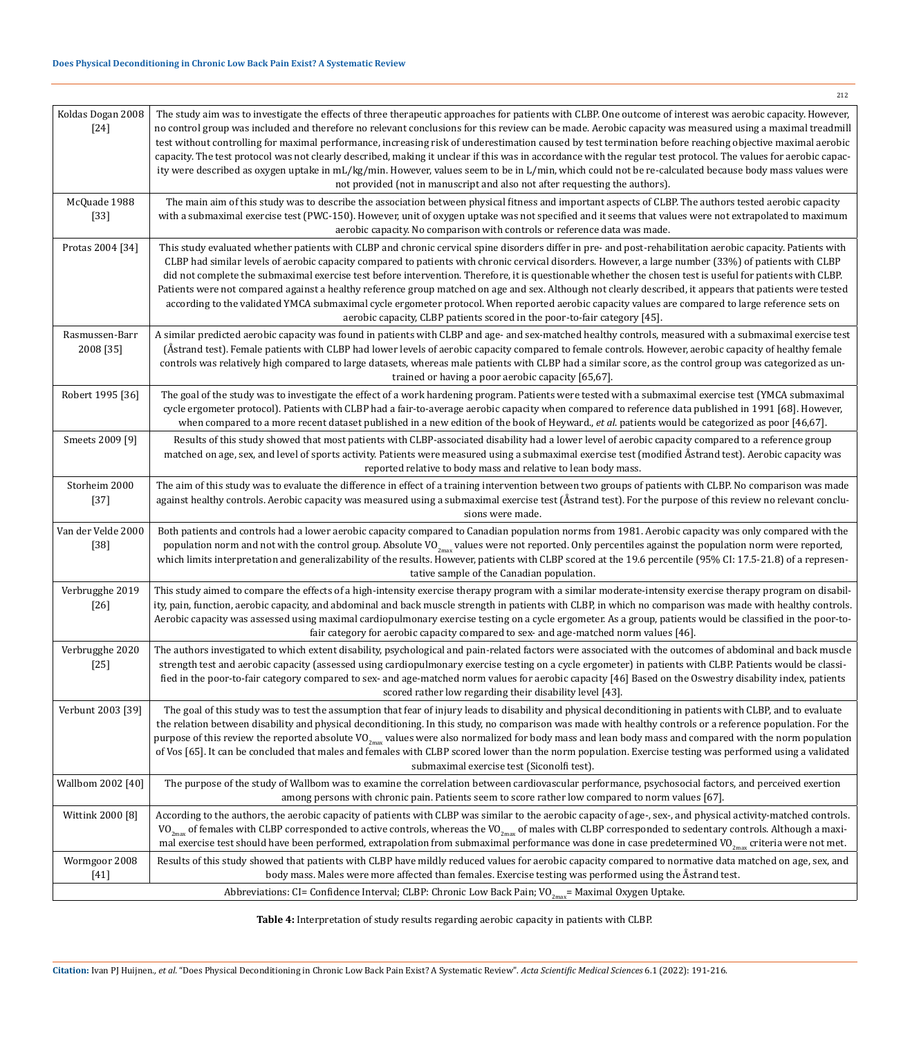| Koldas Dogan 2008<br>$[24]$  | The study aim was to investigate the effects of three therapeutic approaches for patients with CLBP. One outcome of interest was aerobic capacity. However,<br>no control group was included and therefore no relevant conclusions for this review can be made. Aerobic capacity was measured using a maximal treadmill<br>test without controlling for maximal performance, increasing risk of underestimation caused by test termination before reaching objective maximal aerobic<br>capacity. The test protocol was not clearly described, making it unclear if this was in accordance with the regular test protocol. The values for aerobic capac-<br>ity were described as oxygen uptake in mL/kg/min. However, values seem to be in L/min, which could not be re-calculated because body mass values were<br>not provided (not in manuscript and also not after requesting the authors). |
|------------------------------|--------------------------------------------------------------------------------------------------------------------------------------------------------------------------------------------------------------------------------------------------------------------------------------------------------------------------------------------------------------------------------------------------------------------------------------------------------------------------------------------------------------------------------------------------------------------------------------------------------------------------------------------------------------------------------------------------------------------------------------------------------------------------------------------------------------------------------------------------------------------------------------------------|
| McQuade 1988<br>$[33]$       | The main aim of this study was to describe the association between physical fitness and important aspects of CLBP. The authors tested aerobic capacity<br>with a submaximal exercise test (PWC-150). However, unit of oxygen uptake was not specified and it seems that values were not extrapolated to maximum<br>aerobic capacity. No comparison with controls or reference data was made.                                                                                                                                                                                                                                                                                                                                                                                                                                                                                                     |
| Protas 2004 [34]             | This study evaluated whether patients with CLBP and chronic cervical spine disorders differ in pre- and post-rehabilitation aerobic capacity. Patients with<br>CLBP had similar levels of aerobic capacity compared to patients with chronic cervical disorders. However, a large number (33%) of patients with CLBP<br>did not complete the submaximal exercise test before intervention. Therefore, it is questionable whether the chosen test is useful for patients with CLBP.<br>Patients were not compared against a healthy reference group matched on age and sex. Although not clearly described, it appears that patients were tested<br>according to the validated YMCA submaximal cycle ergometer protocol. When reported aerobic capacity values are compared to large reference sets on<br>aerobic capacity, CLBP patients scored in the poor-to-fair category [45].               |
| Rasmussen-Barr<br>2008 [35]  | A similar predicted aerobic capacity was found in patients with CLBP and age- and sex-matched healthy controls, measured with a submaximal exercise test<br>(Åstrand test). Female patients with CLBP had lower levels of aerobic capacity compared to female controls. However, aerobic capacity of healthy female<br>controls was relatively high compared to large datasets, whereas male patients with CLBP had a similar score, as the control group was categorized as un-<br>trained or having a poor aerobic capacity [65,67].                                                                                                                                                                                                                                                                                                                                                           |
| Robert 1995 [36]             | The goal of the study was to investigate the effect of a work hardening program. Patients were tested with a submaximal exercise test (YMCA submaximal<br>cycle ergometer protocol). Patients with CLBP had a fair-to-average aerobic capacity when compared to reference data published in 1991 [68]. However,<br>when compared to a more recent dataset published in a new edition of the book of Heyward., et al. patients would be categorized as poor [46,67].                                                                                                                                                                                                                                                                                                                                                                                                                              |
| Smeets 2009 [9]              | Results of this study showed that most patients with CLBP-associated disability had a lower level of aerobic capacity compared to a reference group<br>matched on age, sex, and level of sports activity. Patients were measured using a submaximal exercise test (modified Åstrand test). Aerobic capacity was<br>reported relative to body mass and relative to lean body mass.                                                                                                                                                                                                                                                                                                                                                                                                                                                                                                                |
| Storheim 2000<br>$[37]$      | The aim of this study was to evaluate the difference in effect of a training intervention between two groups of patients with CLBP. No comparison was made<br>against healthy controls. Aerobic capacity was measured using a submaximal exercise test (Åstrand test). For the purpose of this review no relevant conclu-<br>sions were made.                                                                                                                                                                                                                                                                                                                                                                                                                                                                                                                                                    |
| Van der Velde 2000<br>$[38]$ | Both patients and controls had a lower aerobic capacity compared to Canadian population norms from 1981. Aerobic capacity was only compared with the<br>population norm and not with the control group. Absolute VO <sub>2max</sub> values were not reported. Only percentiles against the population norm were reported,<br>which limits interpretation and generalizability of the results. However, patients with CLBP scored at the 19.6 percentile (95% CI: 17.5-21.8) of a represen-<br>tative sample of the Canadian population.                                                                                                                                                                                                                                                                                                                                                          |
| Verbrugghe 2019<br>$[26]$    | This study aimed to compare the effects of a high-intensity exercise therapy program with a similar moderate-intensity exercise therapy program on disabil-<br>ity, pain, function, aerobic capacity, and abdominal and back muscle strength in patients with CLBP, in which no comparison was made with healthy controls.<br>Aerobic capacity was assessed using maximal cardiopulmonary exercise testing on a cycle ergometer. As a group, patients would be classified in the poor-to-<br>fair category for aerobic capacity compared to sex- and age-matched norm values [46].                                                                                                                                                                                                                                                                                                               |
| Verbrugghe 2020<br>$[25]$    | The authors investigated to which extent disability, psychological and pain-related factors were associated with the outcomes of abdominal and back muscle<br>strength test and aerobic capacity (assessed using cardiopulmonary exercise testing on a cycle ergometer) in patients with CLBP. Patients would be classi-<br>fied in the poor-to-fair category compared to sex- and age-matched norm values for aerobic capacity [46] Based on the Oswestry disability index, patients<br>scored rather low regarding their disability level [43].                                                                                                                                                                                                                                                                                                                                                |
| Verbunt 2003 [39]            | The goal of this study was to test the assumption that fear of injury leads to disability and physical deconditioning in patients with CLBP, and to evaluate<br>the relation between disability and physical deconditioning. In this study, no comparison was made with healthy controls or a reference population. For the<br>purpose of this review the reported absolute VO <sub>2max</sub> values were also normalized for body mass and lean body mass and compared with the norm population<br>of Vos [65]. It can be concluded that males and females with CLBP scored lower than the norm population. Exercise testing was performed using a validated<br>submaximal exercise test (Siconolfi test).                                                                                                                                                                                     |
| Wallbom 2002 [40]            | The purpose of the study of Wallbom was to examine the correlation between cardiovascular performance, psychosocial factors, and perceived exertion<br>among persons with chronic pain. Patients seem to score rather low compared to norm values [67].                                                                                                                                                                                                                                                                                                                                                                                                                                                                                                                                                                                                                                          |
| Wittink 2000 [8]             | According to the authors, the aerobic capacity of patients with CLBP was similar to the aerobic capacity of age-, sex-, and physical activity-matched controls.<br>VO <sub>2max</sub> of females with CLBP corresponded to active controls, whereas the VO <sub>2max</sub> of males with CLBP corresponded to sedentary controls. Although a maxi-<br>mal exercise test should have been performed, extrapolation from submaximal performance was done in case predetermined VO <sub>2max</sub> criteria were not met.                                                                                                                                                                                                                                                                                                                                                                           |
| Wormgoor 2008<br>$[41]$      | Results of this study showed that patients with CLBP have mildly reduced values for aerobic capacity compared to normative data matched on age, sex, and<br>body mass. Males were more affected than females. Exercise testing was performed using the Åstrand test.                                                                                                                                                                                                                                                                                                                                                                                                                                                                                                                                                                                                                             |
|                              | Abbreviations: CI= Confidence Interval; CLBP: Chronic Low Back Pain; VO <sub>2max</sub> = Maximal Oxygen Uptake.                                                                                                                                                                                                                                                                                                                                                                                                                                                                                                                                                                                                                                                                                                                                                                                 |

**Table 4:** Interpretation of study results regarding aerobic capacity in patients with CLBP.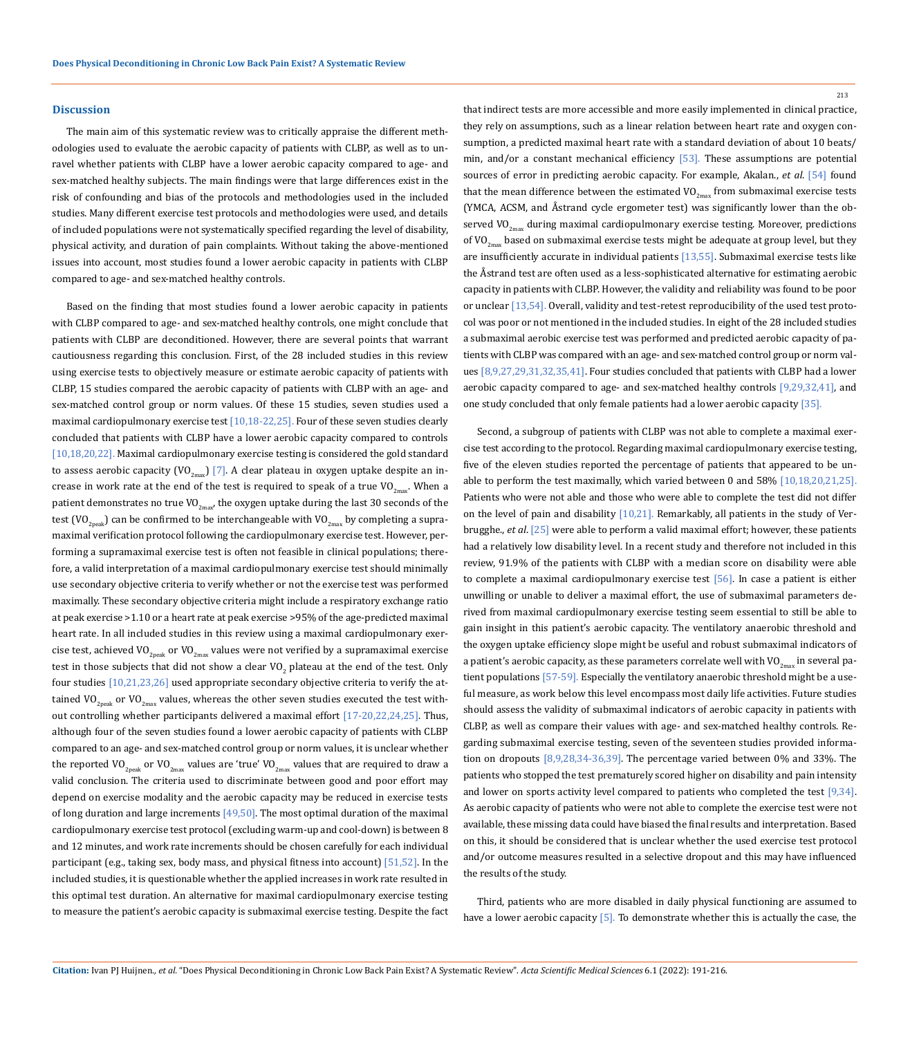### **Discussion**

The main aim of this systematic review was to critically appraise the different methodologies used to evaluate the aerobic capacity of patients with CLBP, as well as to unravel whether patients with CLBP have a lower aerobic capacity compared to age- and sex-matched healthy subjects. The main findings were that large differences exist in the risk of confounding and bias of the protocols and methodologies used in the included studies. Many different exercise test protocols and methodologies were used, and details of included populations were not systematically specified regarding the level of disability, physical activity, and duration of pain complaints. Without taking the above-mentioned issues into account, most studies found a lower aerobic capacity in patients with CLBP compared to age- and sex-matched healthy controls.

Based on the finding that most studies found a lower aerobic capacity in patients with CLBP compared to age- and sex-matched healthy controls, one might conclude that patients with CLBP are deconditioned. However, there are several points that warrant cautiousness regarding this conclusion. First, of the 28 included studies in this review using exercise tests to objectively measure or estimate aerobic capacity of patients with CLBP, 15 studies compared the aerobic capacity of patients with CLBP with an age- and sex-matched control group or norm values. Of these 15 studies, seven studies used a maximal cardiopulmonary exercise test [10,18-22,25]. Four of these seven studies clearly concluded that patients with CLBP have a lower aerobic capacity compared to controls [10,18,20,22]. Maximal cardiopulmonary exercise testing is considered the gold standard to assess aerobic capacity (VO<sub>2max</sub>) [7]. A clear plateau in oxygen uptake despite an increase in work rate at the end of the test is required to speak of a true  $VO_{2mav}$ . When a patient demonstrates no true VO<sub>2may</sub>, the oxygen uptake during the last 30 seconds of the test (VO<sub>2neak</sub>) can be confirmed to be interchangeable with VO<sub>2max</sub> by completing a supramaximal verification protocol following the cardiopulmonary exercise test. However, performing a supramaximal exercise test is often not feasible in clinical populations; therefore, a valid interpretation of a maximal cardiopulmonary exercise test should minimally use secondary objective criteria to verify whether or not the exercise test was performed maximally. These secondary objective criteria might include a respiratory exchange ratio at peak exercise >1.10 or a heart rate at peak exercise >95% of the age-predicted maximal heart rate. In all included studies in this review using a maximal cardiopulmonary exercise test, achieved VO<sub>2neak</sub> or VO<sub>2max</sub> values were not verified by a supramaximal exercise test in those subjects that did not show a clear VO<sub>2</sub> plateau at the end of the test. Only four studies [10,21,23,26] used appropriate secondary objective criteria to verify the attained VO<sub>2peak</sub> or VO<sub>2max</sub> values, whereas the other seven studies executed the test without controlling whether participants delivered a maximal effort [17-20,22,24,25]. Thus, although four of the seven studies found a lower aerobic capacity of patients with CLBP compared to an age- and sex-matched control group or norm values, it is unclear whether the reported VO<sub>2peak</sub> or VO<sub>2max</sub> values are 'true' VO<sub>2max</sub> values that are required to draw a valid conclusion. The criteria used to discriminate between good and poor effort may depend on exercise modality and the aerobic capacity may be reduced in exercise tests of long duration and large increments  $[49,50]$ . The most optimal duration of the maximal cardiopulmonary exercise test protocol (excluding warm-up and cool-down) is between 8 and 12 minutes, and work rate increments should be chosen carefully for each individual participant (e.g., taking sex, body mass, and physical fitness into account) [51,52]. In the included studies, it is questionable whether the applied increases in work rate resulted in this optimal test duration. An alternative for maximal cardiopulmonary exercise testing to measure the patient's aerobic capacity is submaximal exercise testing. Despite the fact

that indirect tests are more accessible and more easily implemented in clinical practice, they rely on assumptions, such as a linear relation between heart rate and oxygen consumption, a predicted maximal heart rate with a standard deviation of about 10 beats/ min, and/or a constant mechanical efficiency  $[53]$ . These assumptions are potential sources of error in predicting aerobic capacity. For example, Akalan., *et al*. [54] found that the mean difference between the estimated  $VO_{2m}$  from submaximal exercise tests (YMCA, ACSM, and Åstrand cycle ergometer test) was significantly lower than the observed VO<sub>2max</sub> during maximal cardiopulmonary exercise testing. Moreover, predictions of VO<sub>2max</sub> based on submaximal exercise tests might be adequate at group level, but they are insufficiently accurate in individual patients [13,55]. Submaximal exercise tests like the Åstrand test are often used as a less-sophisticated alternative for estimating aerobic capacity in patients with CLBP. However, the validity and reliability was found to be poor or unclear [13,54]. Overall, validity and test-retest reproducibility of the used test protocol was poor or not mentioned in the included studies. In eight of the 28 included studies a submaximal aerobic exercise test was performed and predicted aerobic capacity of patients with CLBP was compared with an age- and sex-matched control group or norm values [8,9,27,29,31,32,35,41]. Four studies concluded that patients with CLBP had a lower aerobic capacity compared to age- and sex-matched healthy controls [9,29,32,41], and one study concluded that only female patients had a lower aerobic capacity [35].

Second, a subgroup of patients with CLBP was not able to complete a maximal exercise test according to the protocol. Regarding maximal cardiopulmonary exercise testing, five of the eleven studies reported the percentage of patients that appeared to be unable to perform the test maximally, which varied between 0 and 58% [10,18,20,21,25]. Patients who were not able and those who were able to complete the test did not differ on the level of pain and disability  $[10,21]$ . Remarkably, all patients in the study of Verbrugghe., *et al*. [25] were able to perform a valid maximal effort; however, these patients had a relatively low disability level. In a recent study and therefore not included in this review, 91.9% of the patients with CLBP with a median score on disability were able to complete a maximal cardiopulmonary exercise test [56]. In case a patient is either unwilling or unable to deliver a maximal effort, the use of submaximal parameters derived from maximal cardiopulmonary exercise testing seem essential to still be able to gain insight in this patient's aerobic capacity. The ventilatory anaerobic threshold and the oxygen uptake efficiency slope might be useful and robust submaximal indicators of a patient's aerobic capacity, as these parameters correlate well with  $VO_{2mx}$  in several patient populations [57-59]. Especially the ventilatory anaerobic threshold might be a useful measure, as work below this level encompass most daily life activities. Future studies should assess the validity of submaximal indicators of aerobic capacity in patients with CLBP, as well as compare their values with age- and sex-matched healthy controls. Regarding submaximal exercise testing, seven of the seventeen studies provided information on dropouts [8,9,28,34-36,39]. The percentage varied between 0% and 33%. The patients who stopped the test prematurely scored higher on disability and pain intensity and lower on sports activity level compared to patients who completed the test [9,34]. As aerobic capacity of patients who were not able to complete the exercise test were not available, these missing data could have biased the final results and interpretation. Based on this, it should be considered that is unclear whether the used exercise test protocol and/or outcome measures resulted in a selective dropout and this may have influenced the results of the study.

Third, patients who are more disabled in daily physical functioning are assumed to have a lower aerobic capacity [5]. To demonstrate whether this is actually the case, the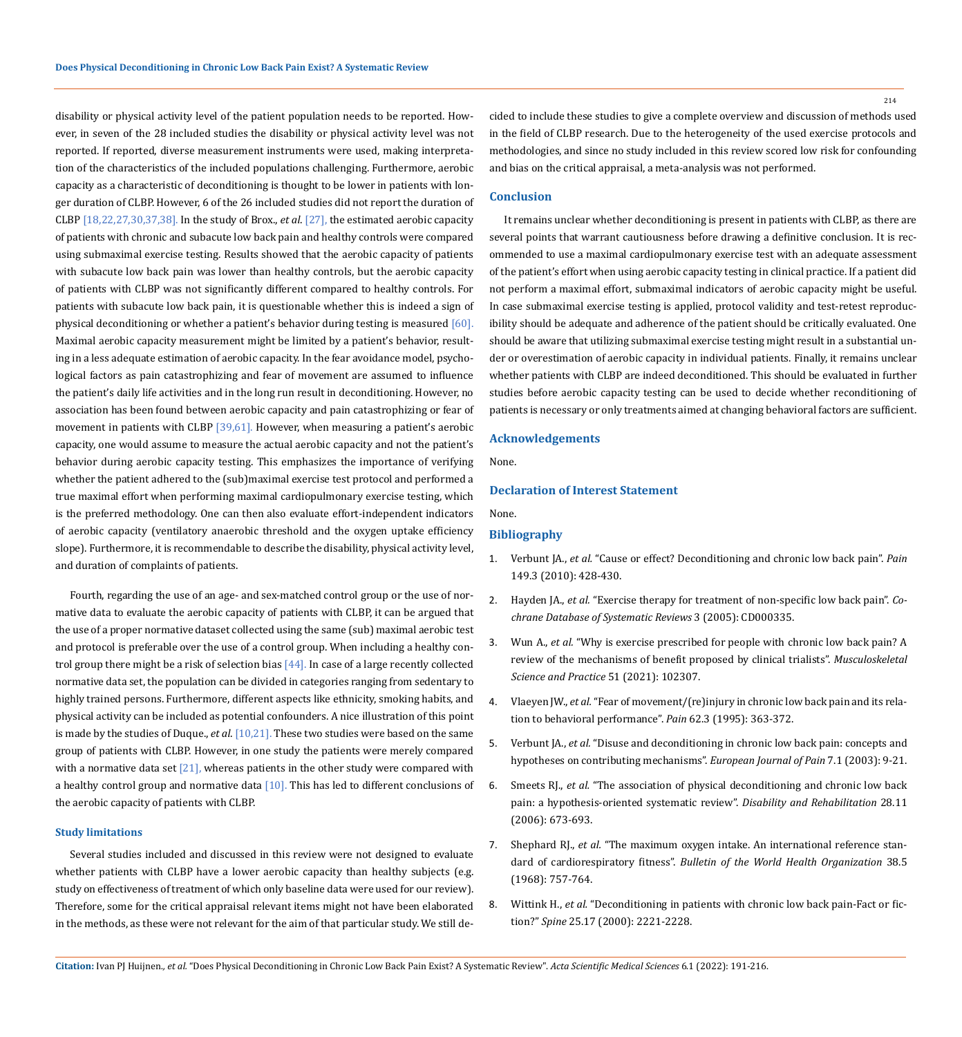disability or physical activity level of the patient population needs to be reported. However, in seven of the 28 included studies the disability or physical activity level was not reported. If reported, diverse measurement instruments were used, making interpretation of the characteristics of the included populations challenging. Furthermore, aerobic capacity as a characteristic of deconditioning is thought to be lower in patients with longer duration of CLBP. However, 6 of the 26 included studies did not report the duration of CLBP [18,22,27,30,37,38]. In the study of Brox., *et al*. [27], the estimated aerobic capacity of patients with chronic and subacute low back pain and healthy controls were compared using submaximal exercise testing. Results showed that the aerobic capacity of patients with subacute low back pain was lower than healthy controls, but the aerobic capacity of patients with CLBP was not significantly different compared to healthy controls. For patients with subacute low back pain, it is questionable whether this is indeed a sign of physical deconditioning or whether a patient's behavior during testing is measured [60]. Maximal aerobic capacity measurement might be limited by a patient's behavior, resulting in a less adequate estimation of aerobic capacity. In the fear avoidance model, psychological factors as pain catastrophizing and fear of movement are assumed to influence the patient's daily life activities and in the long run result in deconditioning. However, no association has been found between aerobic capacity and pain catastrophizing or fear of movement in patients with CLBP [39,61]. However, when measuring a patient's aerobic capacity, one would assume to measure the actual aerobic capacity and not the patient's behavior during aerobic capacity testing. This emphasizes the importance of verifying whether the patient adhered to the (sub)maximal exercise test protocol and performed a true maximal effort when performing maximal cardiopulmonary exercise testing, which is the preferred methodology. One can then also evaluate effort-independent indicators of aerobic capacity (ventilatory anaerobic threshold and the oxygen uptake efficiency slope). Furthermore, it is recommendable to describe the disability, physical activity level, and duration of complaints of patients.

Fourth, regarding the use of an age- and sex-matched control group or the use of normative data to evaluate the aerobic capacity of patients with CLBP, it can be argued that the use of a proper normative dataset collected using the same (sub) maximal aerobic test and protocol is preferable over the use of a control group. When including a healthy control group there might be a risk of selection bias  $[44]$ . In case of a large recently collected normative data set, the population can be divided in categories ranging from sedentary to highly trained persons. Furthermore, different aspects like ethnicity, smoking habits, and physical activity can be included as potential confounders. A nice illustration of this point is made by the studies of Duque., *et al*. [10,21]. These two studies were based on the same group of patients with CLBP. However, in one study the patients were merely compared with a normative data set  $[21]$ , whereas patients in the other study were compared with a healthy control group and normative data  $[10]$ . This has led to different conclusions of the aerobic capacity of patients with CLBP.

#### **Study limitations**

Several studies included and discussed in this review were not designed to evaluate whether patients with CLBP have a lower aerobic capacity than healthy subjects (e.g. study on effectiveness of treatment of which only baseline data were used for our review). Therefore, some for the critical appraisal relevant items might not have been elaborated in the methods, as these were not relevant for the aim of that particular study. We still de-

cided to include these studies to give a complete overview and discussion of methods used in the field of CLBP research. Due to the heterogeneity of the used exercise protocols and methodologies, and since no study included in this review scored low risk for confounding and bias on the critical appraisal, a meta-analysis was not performed.

### **Conclusion**

It remains unclear whether deconditioning is present in patients with CLBP, as there are several points that warrant cautiousness before drawing a definitive conclusion. It is recommended to use a maximal cardiopulmonary exercise test with an adequate assessment of the patient's effort when using aerobic capacity testing in clinical practice. If a patient did not perform a maximal effort, submaximal indicators of aerobic capacity might be useful. In case submaximal exercise testing is applied, protocol validity and test-retest reproducibility should be adequate and adherence of the patient should be critically evaluated. One should be aware that utilizing submaximal exercise testing might result in a substantial under or overestimation of aerobic capacity in individual patients. Finally, it remains unclear whether patients with CLBP are indeed deconditioned. This should be evaluated in further studies before aerobic capacity testing can be used to decide whether reconditioning of patients is necessary or only treatments aimed at changing behavioral factors are sufficient.

### **Acknowledgements**

None.

### **Declaration of Interest Statement**

None.

# **Bibliography**

- 1. Verbunt JA., *et al.* ["Cause or effect? Deconditioning and chronic low back pain".](https://pubmed.ncbi.nlm.nih.gov/20153582/) *Pain* [149.3 \(2010\): 428-430.](https://pubmed.ncbi.nlm.nih.gov/20153582/)
- 2. Hayden JA., *et al.* ["Exercise therapy for treatment of non-specific low back pain".](https://pubmed.ncbi.nlm.nih.gov/16034851/) *Co[chrane Database of Systematic Reviews](https://pubmed.ncbi.nlm.nih.gov/16034851/)* 3 (2005): CD000335.
- 3. Wun A., *et al.* ["Why is exercise prescribed for people with chronic low back pain? A](https://pubmed.ncbi.nlm.nih.gov/33254007/) [review of the mechanisms of benefit proposed by clinical trialists".](https://pubmed.ncbi.nlm.nih.gov/33254007/) *Musculoskeletal [Science and Practice](https://pubmed.ncbi.nlm.nih.gov/33254007/)* 51 (2021): 102307.
- 4. Vlaeyen JW., *et al.* ["Fear of movement/\(re\)injury in chronic low back pain and its rela](https://pubmed.ncbi.nlm.nih.gov/8657437/)[tion to behavioral performance".](https://pubmed.ncbi.nlm.nih.gov/8657437/) *Pain* 62.3 (1995): 363-372.
- 5. Verbunt JA., *et al.* ["Disuse and deconditioning in chronic low back pain: concepts and](https://pubmed.ncbi.nlm.nih.gov/12527313/) [hypotheses on contributing mechanisms".](https://pubmed.ncbi.nlm.nih.gov/12527313/) *European Journal of Pain* 7.1 (2003): 9-21.
- 6. Smeets RJ., *et al.* ["The association of physical deconditioning and chronic low back](https://pubmed.ncbi.nlm.nih.gov/16809211/) [pain: a hypothesis-oriented systematic review".](https://pubmed.ncbi.nlm.nih.gov/16809211/) *Disability and Rehabilitation* 28.11 [\(2006\): 673-693.](https://pubmed.ncbi.nlm.nih.gov/16809211/)
- 7. Shephard RJ., *et al.* ["The maximum oxygen intake. An international reference stan](https://pubmed.ncbi.nlm.nih.gov/5303329/)dard of cardiorespiratory fitness". *[Bulletin of the World Health Organization](https://pubmed.ncbi.nlm.nih.gov/5303329/)* 38.5 [\(1968\): 757-764.](https://pubmed.ncbi.nlm.nih.gov/5303329/)
- 8. Wittink H., *et al.* ["Deconditioning in patients with chronic low back pain-Fact or fic](https://pubmed.ncbi.nlm.nih.gov/10973406/)tion?" *Spine* [25.17 \(2000\): 2221-2228.](https://pubmed.ncbi.nlm.nih.gov/10973406/)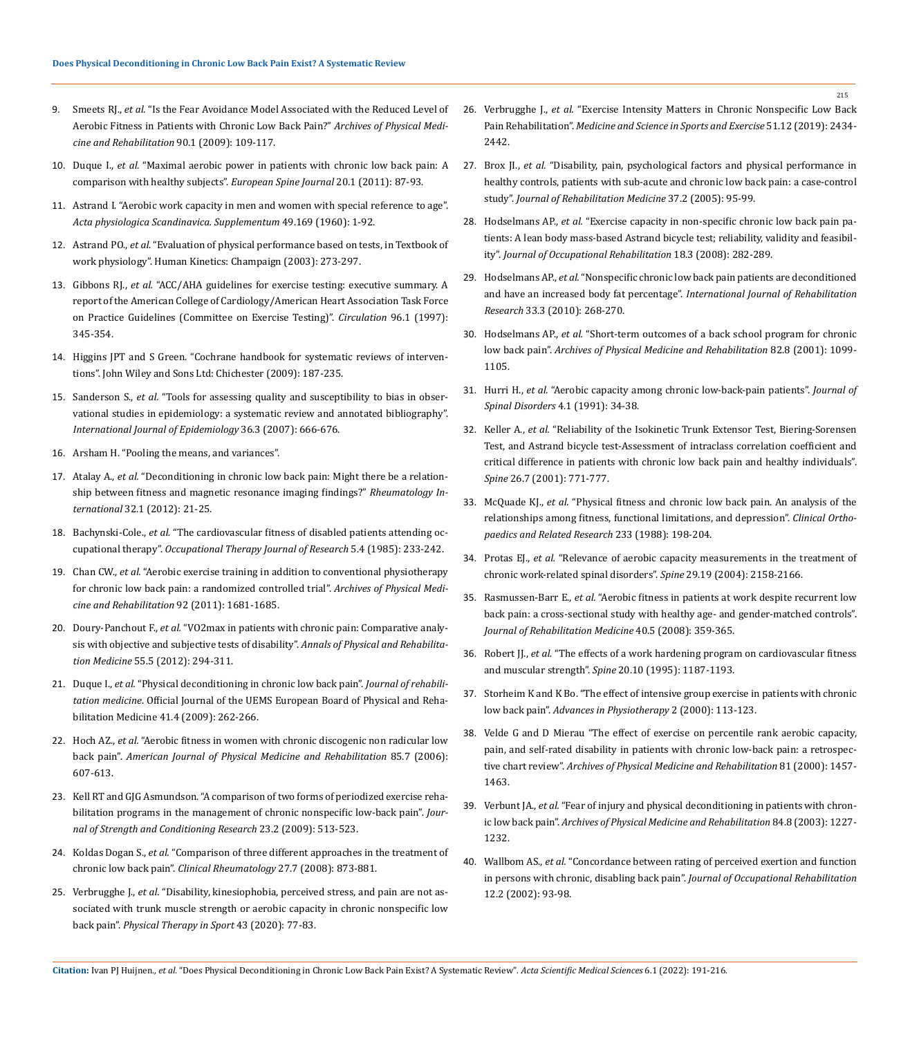- 9. Smeets RJ., *et al.* ["Is the Fear Avoidance Model Associated with the Reduced Level of](https://pubmed.ncbi.nlm.nih.gov/19154837/)  [Aerobic Fitness in Patients with Chronic Low Back Pain?"](https://pubmed.ncbi.nlm.nih.gov/19154837/) *Archives of Physical Medicine [and Rehabilitation](https://pubmed.ncbi.nlm.nih.gov/19154837/)* 90.1 (2009): 109-117.
- 10. Duque I., *et al.* ["Maximal aerobic power in patients with chronic low back pain: A](https://pubmed.ncbi.nlm.nih.gov/20803223/)  [comparison with healthy subjects".](https://pubmed.ncbi.nlm.nih.gov/20803223/) *European Spine Journal* 20.1 (2011): 87-93.
- 11. [Astrand I. "Aerobic work capacity in men and women with special reference to age".](https://pubmed.ncbi.nlm.nih.gov/13794892/)  *[Acta physiologica Scandinavica. Supplementum](https://pubmed.ncbi.nlm.nih.gov/13794892/)* 49.169 (1960): 1-92.
- 12. Astrand PO., *et al.* "Evaluation of physical performance based on tests, in Textbook of work physiology". Human Kinetics: Champaign (2003): 273-297.
- 13. Gibbons RJ., *et al.* ["ACC/AHA guidelines for exercise testing: executive summary. A](https://pubmed.ncbi.nlm.nih.gov/9236456/)  [report of the American College of Cardiology/American Heart Association Task Force](https://pubmed.ncbi.nlm.nih.gov/9236456/)  [on Practice Guidelines \(Committee on Exercise Testing\)".](https://pubmed.ncbi.nlm.nih.gov/9236456/) *Circulation* 96.1 (1997): [345-354.](https://pubmed.ncbi.nlm.nih.gov/9236456/)
- 14. Higgins JPT and S Green. "Cochrane handbook for systematic reviews of interventions". John Wiley and Sons Ltd: Chichester (2009): 187-235.
- 15. Sanderson S., *et al.* ["Tools for assessing quality and susceptibility to bias in obser](https://pubmed.ncbi.nlm.nih.gov/17470488/)[vational studies in epidemiology: a systematic review and annotated bibliography".](https://pubmed.ncbi.nlm.nih.gov/17470488/)  *[International Journal of Epidemiology](https://pubmed.ncbi.nlm.nih.gov/17470488/)* 36.3 (2007): 666-676.
- 16. [Arsham H. "Pooling the means, and variances".](https://home.ubalt.edu/ntsbarsh/business-stat/otherapplets/Pooled.htm)
- 17. Atalay A., *et al.* ["Deconditioning in chronic low back pain: Might there be a relation](https://pubmed.ncbi.nlm.nih.gov/20658241/)[ship between fitness and magnetic resonance imaging findings?"](https://pubmed.ncbi.nlm.nih.gov/20658241/) *Rheumatology International* [32.1 \(2012\): 21-25.](https://pubmed.ncbi.nlm.nih.gov/20658241/)
- 18. Bachynski-Cole., *et al.* ["The cardiovascular fitness of disabled patients attending oc](https://journals.sagepub.com/doi/abs/10.1177/153944928500500404?journalCode=otja)cupational therapy". *[Occupational Therapy Journal of Research](https://journals.sagepub.com/doi/abs/10.1177/153944928500500404?journalCode=otja)* 5.4 (1985): 233-242.
- 19. Chan CW., *et al.* ["Aerobic exercise training in addition to conventional physiotherapy](https://pubmed.ncbi.nlm.nih.gov/21839983/)  [for chronic low back pain: a randomized controlled trial".](https://pubmed.ncbi.nlm.nih.gov/21839983/) *Archives of Physical Medi[cine and Rehabilitation](https://pubmed.ncbi.nlm.nih.gov/21839983/)* 92 (2011): 1681-1685.
- 20. Doury-Panchout F., *et al.* ["VO2max in patients with chronic pain: Comparative analy](https://www.sciencedirect.com/science/article/pii/S1877065712000620)[sis with objective and subjective tests of disability".](https://www.sciencedirect.com/science/article/pii/S1877065712000620) *Annals of Physical and Rehabilitation Medicine* [55.5 \(2012\): 294-311.](https://www.sciencedirect.com/science/article/pii/S1877065712000620)
- 21. Duque I., *et al.* ["Physical deconditioning in chronic low back pain".](https://pubmed.ncbi.nlm.nih.gov/19247546/) *Journal of rehabilitation medicine*[. Official Journal of the UEMS European Board of Physical and Reha](https://pubmed.ncbi.nlm.nih.gov/19247546/)[bilitation Medicine 41.4 \(2009\): 262-266.](https://pubmed.ncbi.nlm.nih.gov/19247546/)
- 22. Hoch AZ., *et al.* ["Aerobic fitness in women with chronic discogenic non radicular low](https://pubmed.ncbi.nlm.nih.gov/16788392/)  back pain". *[American Journal of Physical Medicine and Rehabilitation](https://pubmed.ncbi.nlm.nih.gov/16788392/)* 85.7 (2006): [607-613.](https://pubmed.ncbi.nlm.nih.gov/16788392/)
- 23. [Kell RT and GJG Asmundson. "A comparison of two forms of periodized exercise reha](https://pubmed.ncbi.nlm.nih.gov/19209082/)[bilitation programs in the management of chronic nonspecific low-back pain".](https://pubmed.ncbi.nlm.nih.gov/19209082/) *Jour[nal of Strength and Conditioning Research](https://pubmed.ncbi.nlm.nih.gov/19209082/)* 23.2 (2009): 513-523.
- 24. Koldas Dogan S., *et al.* ["Comparison of three different approaches in the treatment of](https://pubmed.ncbi.nlm.nih.gov/18188660/)  chronic low back pain". *[Clinical Rheumatology](https://pubmed.ncbi.nlm.nih.gov/18188660/)* 27.7 (2008): 873-881.
- 25. Verbrugghe J., *et al.* ["Disability, kinesiophobia, perceived stress, and pain are not as](https://pubmed.ncbi.nlm.nih.gov/32126515/)[sociated with trunk muscle strength or aerobic capacity in chronic nonspecific low](https://pubmed.ncbi.nlm.nih.gov/32126515/)  back pain". *[Physical Therapy in Sport](https://pubmed.ncbi.nlm.nih.gov/32126515/)* 43 (2020): 77-83.
- 26. Verbrugghe J., *et al.* ["Exercise Intensity Matters in Chronic Nonspecific Low Back](https://pubmed.ncbi.nlm.nih.gov/31269004/)  Pain Rehabilitation". *[Medicine and Science in Sports and Exercise](https://pubmed.ncbi.nlm.nih.gov/31269004/)* 51.12 (2019): 2434- [2442.](https://pubmed.ncbi.nlm.nih.gov/31269004/)
- 27. Brox JI., *et al.* ["Disability, pain, psychological factors and physical performance in](https://pubmed.ncbi.nlm.nih.gov/15788344/)  [healthy controls, patients with sub-acute and chronic low back pain: a case-control](https://pubmed.ncbi.nlm.nih.gov/15788344/)  study". *[Journal of Rehabilitation Medicine](https://pubmed.ncbi.nlm.nih.gov/15788344/)* 37.2 (2005): 95-99.
- 28. Hodselmans AP., *et al.* ["Exercise capacity in non-specific chronic low back pain pa](https://pubmed.ncbi.nlm.nih.gov/18626754/)[tients: A lean body mass-based Astrand bicycle test; reliability, validity and feasibil](https://pubmed.ncbi.nlm.nih.gov/18626754/)ity". *[Journal of Occupational Rehabilitation](https://pubmed.ncbi.nlm.nih.gov/18626754/)* 18.3 (2008): 282-289.
- 29. Hodselmans AP., *et al.* ["Nonspecific chronic low back pain patients are deconditioned](https://pubmed.ncbi.nlm.nih.gov/20101188/)  and have an increased body fat percentage". *[International Journal of Rehabilitation](https://pubmed.ncbi.nlm.nih.gov/20101188/)  Research* [33.3 \(2010\): 268-270.](https://pubmed.ncbi.nlm.nih.gov/20101188/)
- 30. Hodselmans AP., *et al.* ["Short-term outcomes of a back school program for chronic](https://pubmed.ncbi.nlm.nih.gov/11494190/)  low back pain". *[Archives of Physical Medicine and Rehabilitation](https://pubmed.ncbi.nlm.nih.gov/11494190/)* 82.8 (2001): 1099- [1105.](https://pubmed.ncbi.nlm.nih.gov/11494190/)
- 31. Hurri H., *et al.* ["Aerobic capacity among chronic low-back-pain patients".](https://pubmed.ncbi.nlm.nih.gov/1839667/) *Journal of [Spinal Disorders](https://pubmed.ncbi.nlm.nih.gov/1839667/)* 4.1 (1991): 34-38.
- 32. Keller A., *et al.* ["Reliability of the Isokinetic Trunk Extensor Test, Biering-Sorensen](https://pubmed.ncbi.nlm.nih.gov/11295899/)  [Test, and Astrand bicycle test-Assessment of intraclass correlation coefficient and](https://pubmed.ncbi.nlm.nih.gov/11295899/)  [critical difference in patients with chronic low back pain and healthy individuals".](https://pubmed.ncbi.nlm.nih.gov/11295899/)  *Spine* [26.7 \(2001\): 771-777.](https://pubmed.ncbi.nlm.nih.gov/11295899/)
- 33. McQuade KJ., *et al.* ["Physical fitness and chronic low back pain. An analysis of the](https://pubmed.ncbi.nlm.nih.gov/2969788/)  [relationships among fitness, functional limitations, and depression".](https://pubmed.ncbi.nlm.nih.gov/2969788/) *Clinical Ortho[paedics and Related Research](https://pubmed.ncbi.nlm.nih.gov/2969788/)* 233 (1988): 198-204.
- 34. Protas EJ., *et al.* ["Relevance of aerobic capacity measurements in the treatment of](https://pubmed.ncbi.nlm.nih.gov/15454709/)  [chronic work-related spinal disorders".](https://pubmed.ncbi.nlm.nih.gov/15454709/) *Spine* 29.19 (2004): 2158-2166.
- 35. Rasmussen-Barr E., *et al.* ["Aerobic fitness in patients at work despite recurrent low](https://pubmed.ncbi.nlm.nih.gov/18461261/)  [back pain: a cross-sectional study with healthy age- and gender-matched controls".](https://pubmed.ncbi.nlm.nih.gov/18461261/)  *[Journal of Rehabilitation Medicine](https://pubmed.ncbi.nlm.nih.gov/18461261/)* 40.5 (2008): 359-365.
- 36. Robert JJ., *et al.* ["The effects of a work hardening program on cardiovascular fitness](https://pubmed.ncbi.nlm.nih.gov/7638663/)  and muscular strength". *Spine* [20.10 \(1995\): 1187-1193.](https://pubmed.ncbi.nlm.nih.gov/7638663/)
- 37. [Storheim K and K Bo. "The effect of intensive group exercise in patients with chronic](https://www.tandfonline.com/doi/abs/10.1080/14038190050175790)  low back pain". *[Advances in Physiotherapy](https://www.tandfonline.com/doi/abs/10.1080/14038190050175790)* 2 (2000): 113-123.
- 38. [Velde G and D Mierau "The effect of exercise on percentile rank aerobic capacity,](https://pubmed.ncbi.nlm.nih.gov/11083348/)  [pain, and self-rated disability in patients with chronic low-back pain: a retrospec](https://pubmed.ncbi.nlm.nih.gov/11083348/)tive chart review". *[Archives of Physical Medicine and Rehabilitation](https://pubmed.ncbi.nlm.nih.gov/11083348/)* 81 (2000): 1457- [1463.](https://pubmed.ncbi.nlm.nih.gov/11083348/)
- 39. Verbunt JA., *et al.* ["Fear of injury and physical deconditioning in patients with chron](https://pubmed.ncbi.nlm.nih.gov/12917865/)ic low back pain". *[Archives of Physical Medicine and Rehabilitation](https://pubmed.ncbi.nlm.nih.gov/12917865/)* 84.8 (2003): 1227- [1232.](https://pubmed.ncbi.nlm.nih.gov/12917865/)
- 40. Wallbom AS., *et al.* ["Concordance between rating of perceived exertion and function](https://pubmed.ncbi.nlm.nih.gov/12014229/)  in persons with chronic, disabling back pain". *[Journal of Occupational Rehabilitation](https://pubmed.ncbi.nlm.nih.gov/12014229/)* [12.2 \(2002\): 93-98.](https://pubmed.ncbi.nlm.nih.gov/12014229/)